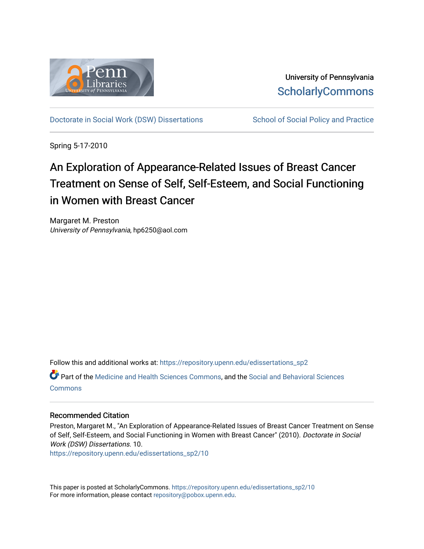

University of Pennsylvania **ScholarlyCommons** 

[Doctorate in Social Work \(DSW\) Dissertations](https://repository.upenn.edu/edissertations_sp2) School of Social Policy and Practice

Spring 5-17-2010

# An Exploration of Appearance-Related Issues of Breast Cancer Treatment on Sense of Self, Self-Esteem, and Social Functioning in Women with Breast Cancer

Margaret M. Preston University of Pennsylvania, hp6250@aol.com

Follow this and additional works at: [https://repository.upenn.edu/edissertations\\_sp2](https://repository.upenn.edu/edissertations_sp2?utm_source=repository.upenn.edu%2Fedissertations_sp2%2F10&utm_medium=PDF&utm_campaign=PDFCoverPages) 

Part of the [Medicine and Health Sciences Commons,](http://network.bepress.com/hgg/discipline/648?utm_source=repository.upenn.edu%2Fedissertations_sp2%2F10&utm_medium=PDF&utm_campaign=PDFCoverPages) and the [Social and Behavioral Sciences](http://network.bepress.com/hgg/discipline/316?utm_source=repository.upenn.edu%2Fedissertations_sp2%2F10&utm_medium=PDF&utm_campaign=PDFCoverPages) **[Commons](http://network.bepress.com/hgg/discipline/316?utm_source=repository.upenn.edu%2Fedissertations_sp2%2F10&utm_medium=PDF&utm_campaign=PDFCoverPages)** 

# Recommended Citation

Preston, Margaret M., "An Exploration of Appearance-Related Issues of Breast Cancer Treatment on Sense of Self, Self-Esteem, and Social Functioning in Women with Breast Cancer" (2010). Doctorate in Social Work (DSW) Dissertations. 10.

[https://repository.upenn.edu/edissertations\\_sp2/10](https://repository.upenn.edu/edissertations_sp2/10?utm_source=repository.upenn.edu%2Fedissertations_sp2%2F10&utm_medium=PDF&utm_campaign=PDFCoverPages)

This paper is posted at ScholarlyCommons. [https://repository.upenn.edu/edissertations\\_sp2/10](https://repository.upenn.edu/edissertations_sp2/10)  For more information, please contact [repository@pobox.upenn.edu.](mailto:repository@pobox.upenn.edu)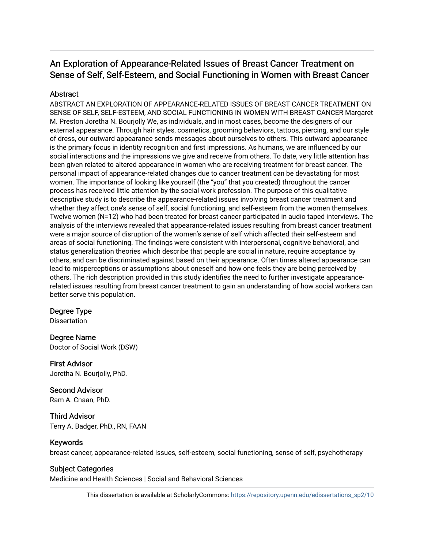# An Exploration of Appearance-Related Issues of Breast Cancer Treatment on Sense of Self, Self-Esteem, and Social Functioning in Women with Breast Cancer

# **Abstract**

ABSTRACT AN EXPLORATION OF APPEARANCE-RELATED ISSUES OF BREAST CANCER TREATMENT ON SENSE OF SELF, SELF-ESTEEM, AND SOCIAL FUNCTIONING IN WOMEN WITH BREAST CANCER Margaret M. Preston Joretha N. Bourjolly We, as individuals, and in most cases, become the designers of our external appearance. Through hair styles, cosmetics, grooming behaviors, tattoos, piercing, and our style of dress, our outward appearance sends messages about ourselves to others. This outward appearance is the primary focus in identity recognition and first impressions. As humans, we are influenced by our social interactions and the impressions we give and receive from others. To date, very little attention has been given related to altered appearance in women who are receiving treatment for breast cancer. The personal impact of appearance-related changes due to cancer treatment can be devastating for most women. The importance of looking like yourself (the "you" that you created) throughout the cancer process has received little attention by the social work profession. The purpose of this qualitative descriptive study is to describe the appearance-related issues involving breast cancer treatment and whether they affect one's sense of self, social functioning, and self-esteem from the women themselves. Twelve women (N=12) who had been treated for breast cancer participated in audio taped interviews. The analysis of the interviews revealed that appearance-related issues resulting from breast cancer treatment were a major source of disruption of the women's sense of self which affected their self-esteem and areas of social functioning. The findings were consistent with interpersonal, cognitive behavioral, and status generalization theories which describe that people are social in nature, require acceptance by others, and can be discriminated against based on their appearance. Often times altered appearance can lead to misperceptions or assumptions about oneself and how one feels they are being perceived by others. The rich description provided in this study identifies the need to further investigate appearancerelated issues resulting from breast cancer treatment to gain an understanding of how social workers can better serve this population.

# Degree Type

**Dissertation** 

Degree Name Doctor of Social Work (DSW)

First Advisor Joretha N. Bourjolly, PhD.

Second Advisor Ram A. Cnaan, PhD.

Third Advisor Terry A. Badger, PhD., RN, FAAN

# Keywords

breast cancer, appearance-related issues, self-esteem, social functioning, sense of self, psychotherapy

## Subject Categories

Medicine and Health Sciences | Social and Behavioral Sciences

This dissertation is available at ScholarlyCommons: [https://repository.upenn.edu/edissertations\\_sp2/10](https://repository.upenn.edu/edissertations_sp2/10)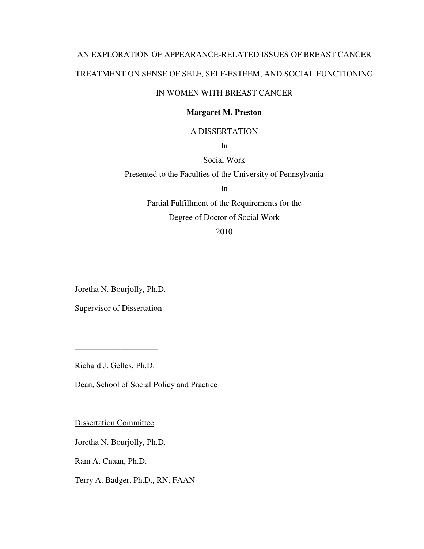# AN EXPLORATION OF APPEARANCE-RELATED ISSUES OF BREAST CANCER TREATMENT ON SENSE OF SELF, SELF-ESTEEM, AND SOCIAL FUNCTIONING

# IN WOMEN WITH BREAST CANCER

### **Margaret M. Preston**

### A DISSERTATION

In

# Social Work

Presented to the Faculties of the University of Pennsylvania

In

Partial Fulfillment of the Requirements for the Degree of Doctor of Social Work

2010

Joretha N. Bourjolly, Ph.D.

\_\_\_\_\_\_\_\_\_\_\_\_\_\_\_\_\_\_\_\_

Supervisor of Dissertation

Richard J. Gelles, Ph.D.

\_\_\_\_\_\_\_\_\_\_\_\_\_\_\_\_\_\_\_\_

Dean, School of Social Policy and Practice

Dissertation Committee

Joretha N. Bourjolly, Ph.D.

Ram A. Cnaan, Ph.D.

Terry A. Badger, Ph.D., RN, FAAN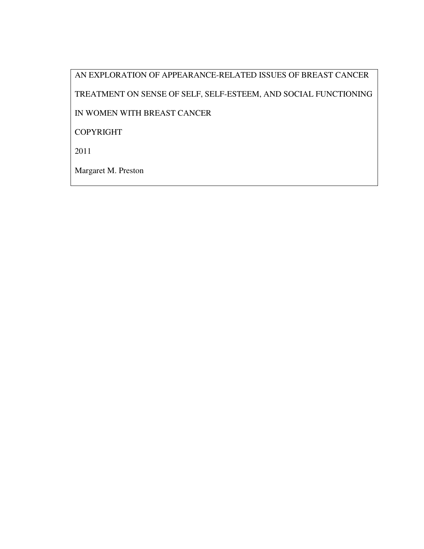AN EXPLORATION OF APPEARANCE-RELATED ISSUES OF BREAST CANCER TREATMENT ON SENSE OF SELF, SELF-ESTEEM, AND SOCIAL FUNCTIONING IN WOMEN WITH BREAST CANCER COPYRIGHT 2011 Margaret M. Preston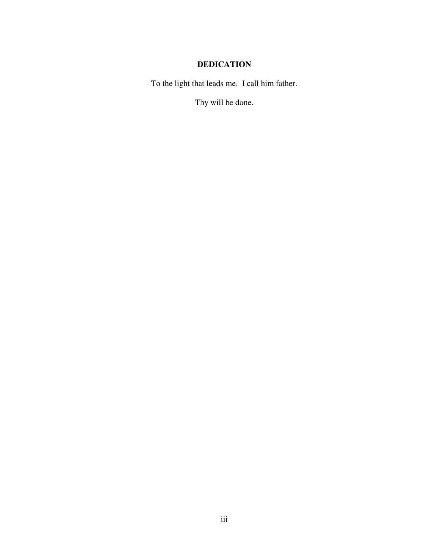# **DEDICATION**

To the light that leads me. I call him father.

Thy will be done.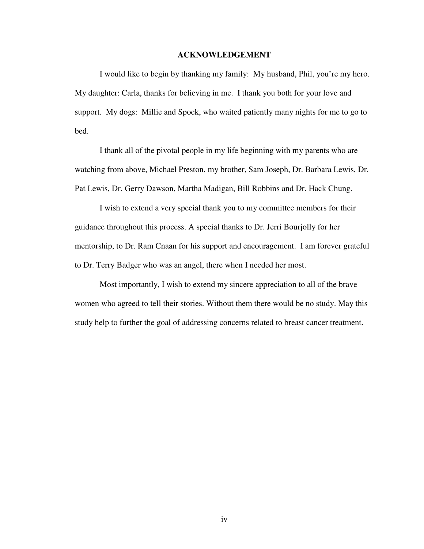### **ACKNOWLEDGEMENT**

I would like to begin by thanking my family: My husband, Phil, you're my hero. My daughter: Carla, thanks for believing in me. I thank you both for your love and support. My dogs: Millie and Spock, who waited patiently many nights for me to go to bed.

I thank all of the pivotal people in my life beginning with my parents who are watching from above, Michael Preston, my brother, Sam Joseph, Dr. Barbara Lewis, Dr. Pat Lewis, Dr. Gerry Dawson, Martha Madigan, Bill Robbins and Dr. Hack Chung.

I wish to extend a very special thank you to my committee members for their guidance throughout this process. A special thanks to Dr. Jerri Bourjolly for her mentorship, to Dr. Ram Cnaan for his support and encouragement. I am forever grateful to Dr. Terry Badger who was an angel, there when I needed her most.

Most importantly, I wish to extend my sincere appreciation to all of the brave women who agreed to tell their stories. Without them there would be no study. May this study help to further the goal of addressing concerns related to breast cancer treatment.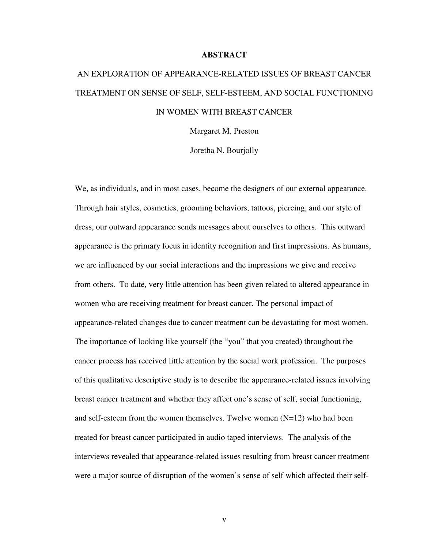#### **ABSTRACT**

# AN EXPLORATION OF APPEARANCE-RELATED ISSUES OF BREAST CANCER TREATMENT ON SENSE OF SELF, SELF-ESTEEM, AND SOCIAL FUNCTIONING IN WOMEN WITH BREAST CANCER

Margaret M. Preston

Joretha N. Bourjolly

We, as individuals, and in most cases, become the designers of our external appearance. Through hair styles, cosmetics, grooming behaviors, tattoos, piercing, and our style of dress, our outward appearance sends messages about ourselves to others. This outward appearance is the primary focus in identity recognition and first impressions. As humans, we are influenced by our social interactions and the impressions we give and receive from others. To date, very little attention has been given related to altered appearance in women who are receiving treatment for breast cancer. The personal impact of appearance-related changes due to cancer treatment can be devastating for most women. The importance of looking like yourself (the "you" that you created) throughout the cancer process has received little attention by the social work profession. The purposes of this qualitative descriptive study is to describe the appearance-related issues involving breast cancer treatment and whether they affect one's sense of self, social functioning, and self-esteem from the women themselves. Twelve women  $(N=12)$  who had been treated for breast cancer participated in audio taped interviews. The analysis of the interviews revealed that appearance-related issues resulting from breast cancer treatment were a major source of disruption of the women's sense of self which affected their self-

v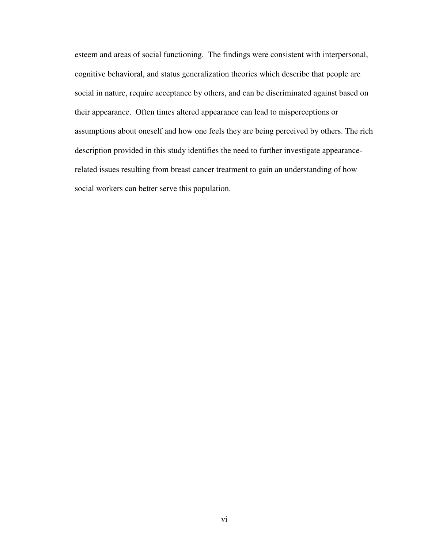esteem and areas of social functioning. The findings were consistent with interpersonal, cognitive behavioral, and status generalization theories which describe that people are social in nature, require acceptance by others, and can be discriminated against based on their appearance. Often times altered appearance can lead to misperceptions or assumptions about oneself and how one feels they are being perceived by others. The rich description provided in this study identifies the need to further investigate appearancerelated issues resulting from breast cancer treatment to gain an understanding of how social workers can better serve this population.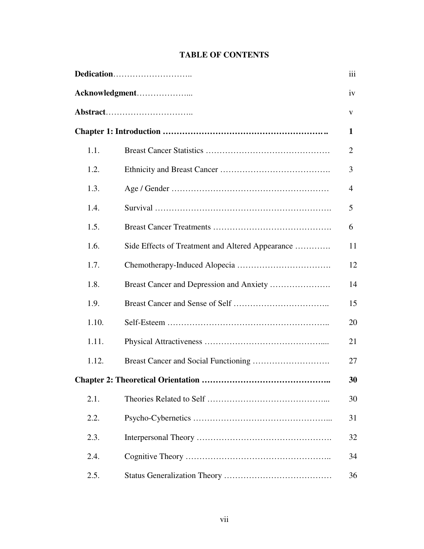# **TABLE OF CONTENTS**

| Acknowledgment |                                                  |    |
|----------------|--------------------------------------------------|----|
|                |                                                  |    |
|                |                                                  | 1  |
| 1.1.           |                                                  | 2  |
| 1.2.           |                                                  | 3  |
| 1.3.           |                                                  | 4  |
| 1.4.           |                                                  | 5  |
| 1.5.           |                                                  | 6  |
| 1.6.           | Side Effects of Treatment and Altered Appearance | 11 |
| 1.7.           |                                                  | 12 |
| 1.8.           |                                                  | 14 |
| 1.9.           |                                                  | 15 |
| 1.10.          |                                                  | 20 |
| 1.11.          |                                                  | 21 |
| 1.12.          |                                                  | 27 |
|                | Chapter 2: Theoretical Orientation               | 30 |
| 2.1.           |                                                  | 30 |
| 2.2.           |                                                  | 31 |
| 2.3.           |                                                  | 32 |
| 2.4.           |                                                  | 34 |
| 2.5.           |                                                  | 36 |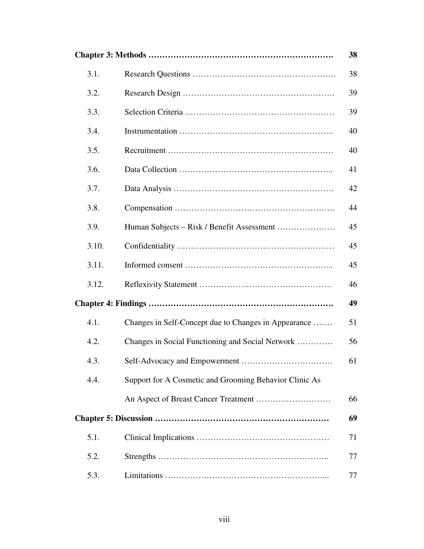|       |                                                        | 38 |
|-------|--------------------------------------------------------|----|
| 3.1.  |                                                        | 38 |
| 3.2.  |                                                        | 39 |
| 3.3.  |                                                        | 39 |
| 3.4.  |                                                        | 40 |
| 3.5.  |                                                        | 40 |
| 3.6.  |                                                        | 41 |
| 3.7.  |                                                        | 42 |
| 3.8.  |                                                        | 44 |
| 3.9.  |                                                        | 45 |
| 3.10. |                                                        | 45 |
| 3.11. |                                                        | 45 |
| 3.12. |                                                        | 46 |
|       |                                                        | 49 |
| 4.1.  | Changes in Self-Concept due to Changes in Appearance   | 51 |
| 4.2.  | Changes in Social Functioning and Social Network       | 56 |
| 4.3.  |                                                        | 61 |
| 4.4.  | Support for A Cosmetic and Grooming Behavior Clinic As |    |
|       |                                                        | 66 |
|       |                                                        | 69 |
| 5.1.  |                                                        | 71 |
| 5.2.  |                                                        | 77 |
| 5.3.  |                                                        | 77 |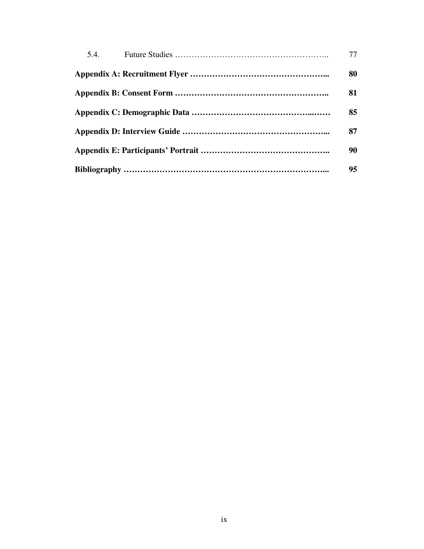| 5.4 | 77 |
|-----|----|
|     | 80 |
|     | 81 |
|     | 85 |
|     | 87 |
|     | 90 |
|     | 95 |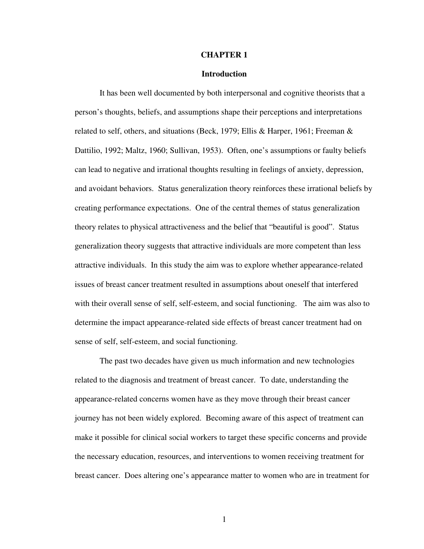#### **CHAPTER 1**

#### **Introduction**

It has been well documented by both interpersonal and cognitive theorists that a person's thoughts, beliefs, and assumptions shape their perceptions and interpretations related to self, others, and situations (Beck, 1979; Ellis & Harper, 1961; Freeman & Dattilio, 1992; Maltz, 1960; Sullivan, 1953). Often, one's assumptions or faulty beliefs can lead to negative and irrational thoughts resulting in feelings of anxiety, depression, and avoidant behaviors. Status generalization theory reinforces these irrational beliefs by creating performance expectations. One of the central themes of status generalization theory relates to physical attractiveness and the belief that "beautiful is good". Status generalization theory suggests that attractive individuals are more competent than less attractive individuals. In this study the aim was to explore whether appearance-related issues of breast cancer treatment resulted in assumptions about oneself that interfered with their overall sense of self, self-esteem, and social functioning. The aim was also to determine the impact appearance-related side effects of breast cancer treatment had on sense of self, self-esteem, and social functioning.

The past two decades have given us much information and new technologies related to the diagnosis and treatment of breast cancer. To date, understanding the appearance-related concerns women have as they move through their breast cancer journey has not been widely explored. Becoming aware of this aspect of treatment can make it possible for clinical social workers to target these specific concerns and provide the necessary education, resources, and interventions to women receiving treatment for breast cancer. Does altering one's appearance matter to women who are in treatment for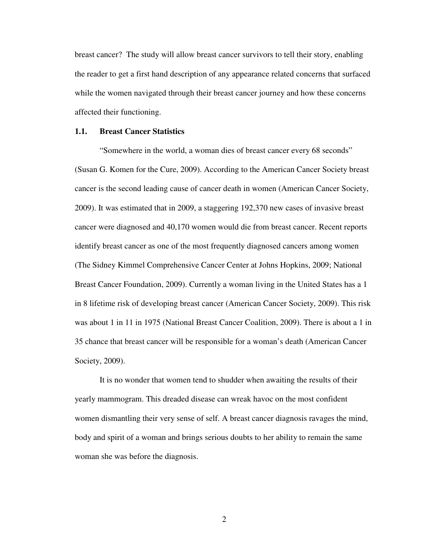breast cancer? The study will allow breast cancer survivors to tell their story, enabling the reader to get a first hand description of any appearance related concerns that surfaced while the women navigated through their breast cancer journey and how these concerns affected their functioning.

#### **1.1. Breast Cancer Statistics**

"Somewhere in the world, a woman dies of breast cancer every 68 seconds" (Susan G. Komen for the Cure, 2009). According to the American Cancer Society breast cancer is the second leading cause of cancer death in women (American Cancer Society, 2009). It was estimated that in 2009, a staggering 192,370 new cases of invasive breast cancer were diagnosed and 40,170 women would die from breast cancer. Recent reports identify breast cancer as one of the most frequently diagnosed cancers among women (The Sidney Kimmel Comprehensive Cancer Center at Johns Hopkins, 2009; National Breast Cancer Foundation, 2009). Currently a woman living in the United States has a 1 in 8 lifetime risk of developing breast cancer (American Cancer Society, 2009). This risk was about 1 in 11 in 1975 (National Breast Cancer Coalition, 2009). There is about a 1 in 35 chance that breast cancer will be responsible for a woman's death (American Cancer Society, 2009).

It is no wonder that women tend to shudder when awaiting the results of their yearly mammogram. This dreaded disease can wreak havoc on the most confident women dismantling their very sense of self. A breast cancer diagnosis ravages the mind, body and spirit of a woman and brings serious doubts to her ability to remain the same woman she was before the diagnosis.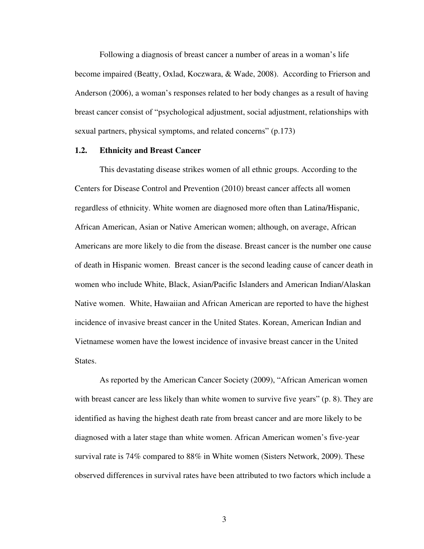Following a diagnosis of breast cancer a number of areas in a woman's life become impaired (Beatty, Oxlad, Koczwara, & Wade, 2008). According to Frierson and Anderson (2006), a woman's responses related to her body changes as a result of having breast cancer consist of "psychological adjustment, social adjustment, relationships with sexual partners, physical symptoms, and related concerns" (p.173)

#### **1.2. Ethnicity and Breast Cancer**

This devastating disease strikes women of all ethnic groups. According to the Centers for Disease Control and Prevention (2010) breast cancer affects all women regardless of ethnicity. White women are diagnosed more often than Latina/Hispanic, African American, Asian or Native American women; although, on average, African Americans are more likely to die from the disease. Breast cancer is the number one cause of death in Hispanic women. Breast cancer is the second leading cause of cancer death in women who include White, Black, Asian/Pacific Islanders and American Indian/Alaskan Native women. White, Hawaiian and African American are reported to have the highest incidence of invasive breast cancer in the United States. Korean, American Indian and Vietnamese women have the lowest incidence of invasive breast cancer in the United States.

As reported by the American Cancer Society (2009), "African American women with breast cancer are less likely than white women to survive five years" (p. 8). They are identified as having the highest death rate from breast cancer and are more likely to be diagnosed with a later stage than white women. African American women's five-year survival rate is 74% compared to 88% in White women (Sisters Network, 2009). These observed differences in survival rates have been attributed to two factors which include a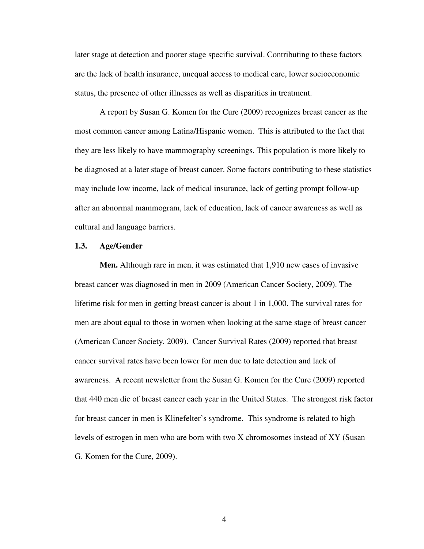later stage at detection and poorer stage specific survival. Contributing to these factors are the lack of health insurance, unequal access to medical care, lower socioeconomic status, the presence of other illnesses as well as disparities in treatment.

A report by Susan G. Komen for the Cure (2009) recognizes breast cancer as the most common cancer among Latina/Hispanic women. This is attributed to the fact that they are less likely to have mammography screenings. This population is more likely to be diagnosed at a later stage of breast cancer. Some factors contributing to these statistics may include low income, lack of medical insurance, lack of getting prompt follow-up after an abnormal mammogram, lack of education, lack of cancer awareness as well as cultural and language barriers.

#### **1.3. Age/Gender**

**Men.** Although rare in men, it was estimated that 1,910 new cases of invasive breast cancer was diagnosed in men in 2009 (American Cancer Society, 2009). The lifetime risk for men in getting breast cancer is about 1 in 1,000. The survival rates for men are about equal to those in women when looking at the same stage of breast cancer (American Cancer Society, 2009). Cancer Survival Rates (2009) reported that breast cancer survival rates have been lower for men due to late detection and lack of awareness. A recent newsletter from the Susan G. Komen for the Cure (2009) reported that 440 men die of breast cancer each year in the United States. The strongest risk factor for breast cancer in men is Klinefelter's syndrome. This syndrome is related to high levels of estrogen in men who are born with two X chromosomes instead of XY (Susan G. Komen for the Cure, 2009).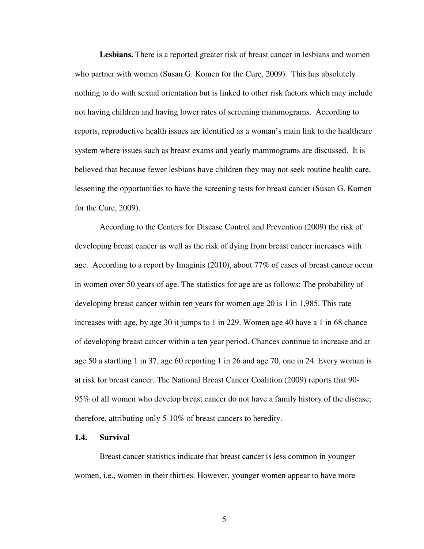**Lesbians.** There is a reported greater risk of breast cancer in lesbians and women who partner with women (Susan G. Komen for the Cure, 2009). This has absolutely nothing to do with sexual orientation but is linked to other risk factors which may include not having children and having lower rates of screening mammograms. According to reports, reproductive health issues are identified as a woman's main link to the healthcare system where issues such as breast exams and yearly mammograms are discussed. It is believed that because fewer lesbians have children they may not seek routine health care, lessening the opportunities to have the screening tests for breast cancer (Susan G. Komen for the Cure, 2009).

According to the Centers for Disease Control and Prevention (2009) the risk of developing breast cancer as well as the risk of dying from breast cancer increases with age. According to a report by Imaginis (2010), about 77% of cases of breast cancer occur in women over 50 years of age. The statistics for age are as follows: The probability of developing breast cancer within ten years for women age 20 is 1 in 1,985. This rate increases with age, by age 30 it jumps to 1 in 229. Women age 40 have a 1 in 68 chance of developing breast cancer within a ten year period. Chances continue to increase and at age 50 a startling 1 in 37, age 60 reporting 1 in 26 and age 70, one in 24. Every woman is at risk for breast cancer. The National Breast Cancer Coalition (2009) reports that 90- 95% of all women who develop breast cancer do not have a family history of the disease; therefore, attributing only 5-10% of breast cancers to heredity.

#### **1.4. Survival**

Breast cancer statistics indicate that breast cancer is less common in younger women, i.e., women in their thirties. However, younger women appear to have more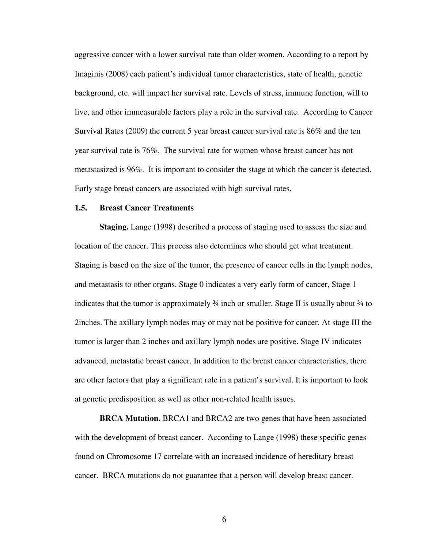aggressive cancer with a lower survival rate than older women. According to a report by Imaginis (2008) each patient's individual tumor characteristics, state of health, genetic background, etc. will impact her survival rate. Levels of stress, immune function, will to live, and other immeasurable factors play a role in the survival rate. According to Cancer Survival Rates (2009) the current 5 year breast cancer survival rate is 86% and the ten year survival rate is 76%. The survival rate for women whose breast cancer has not metastasized is 96%. It is important to consider the stage at which the cancer is detected. Early stage breast cancers are associated with high survival rates.

#### **1.5. Breast Cancer Treatments**

**Staging.** Lange (1998) described a process of staging used to assess the size and location of the cancer. This process also determines who should get what treatment. Staging is based on the size of the tumor, the presence of cancer cells in the lymph nodes, and metastasis to other organs. Stage 0 indicates a very early form of cancer, Stage 1 indicates that the tumor is approximately  $\frac{3}{4}$  inch or smaller. Stage II is usually about  $\frac{3}{4}$  to 2inches. The axillary lymph nodes may or may not be positive for cancer. At stage III the tumor is larger than 2 inches and axillary lymph nodes are positive. Stage IV indicates advanced, metastatic breast cancer. In addition to the breast cancer characteristics, there are other factors that play a significant role in a patient's survival. It is important to look at genetic predisposition as well as other non-related health issues.

**BRCA Mutation.** BRCA1 and BRCA2 are two genes that have been associated with the development of breast cancer. According to Lange (1998) these specific genes found on Chromosome 17 correlate with an increased incidence of hereditary breast cancer. BRCA mutations do not guarantee that a person will develop breast cancer.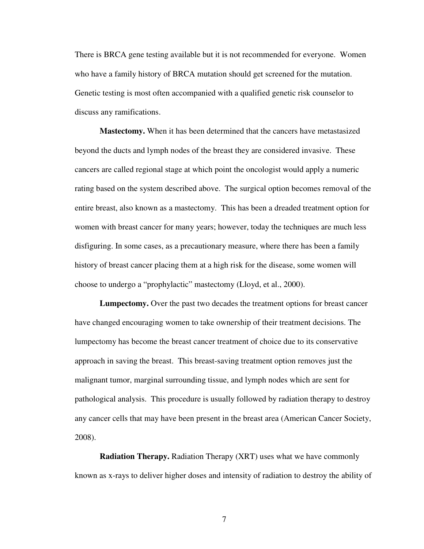There is BRCA gene testing available but it is not recommended for everyone. Women who have a family history of BRCA mutation should get screened for the mutation. Genetic testing is most often accompanied with a qualified genetic risk counselor to discuss any ramifications.

**Mastectomy.** When it has been determined that the cancers have metastasized beyond the ducts and lymph nodes of the breast they are considered invasive. These cancers are called regional stage at which point the oncologist would apply a numeric rating based on the system described above. The surgical option becomes removal of the entire breast, also known as a mastectomy. This has been a dreaded treatment option for women with breast cancer for many years; however, today the techniques are much less disfiguring. In some cases, as a precautionary measure, where there has been a family history of breast cancer placing them at a high risk for the disease, some women will choose to undergo a "prophylactic" mastectomy (Lloyd, et al., 2000).

**Lumpectomy.** Over the past two decades the treatment options for breast cancer have changed encouraging women to take ownership of their treatment decisions. The lumpectomy has become the breast cancer treatment of choice due to its conservative approach in saving the breast. This breast-saving treatment option removes just the malignant tumor, marginal surrounding tissue, and lymph nodes which are sent for pathological analysis. This procedure is usually followed by radiation therapy to destroy any cancer cells that may have been present in the breast area (American Cancer Society, 2008).

**Radiation Therapy.** Radiation Therapy (XRT) uses what we have commonly known as x-rays to deliver higher doses and intensity of radiation to destroy the ability of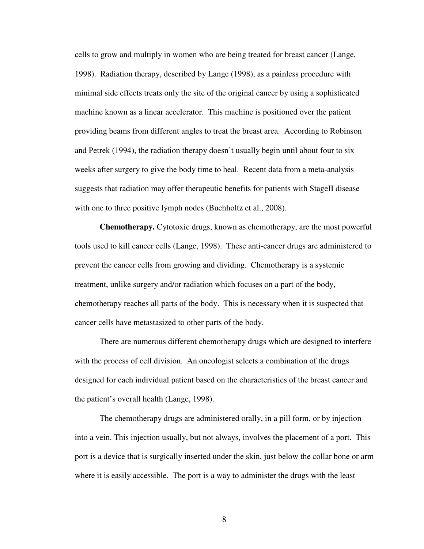cells to grow and multiply in women who are being treated for breast cancer (Lange, 1998). Radiation therapy, described by Lange (1998), as a painless procedure with minimal side effects treats only the site of the original cancer by using a sophisticated machine known as a linear accelerator. This machine is positioned over the patient providing beams from different angles to treat the breast area. According to Robinson and Petrek (1994), the radiation therapy doesn't usually begin until about four to six weeks after surgery to give the body time to heal. Recent data from a meta-analysis suggests that radiation may offer therapeutic benefits for patients with StageII disease with one to three positive lymph nodes (Buchholtz et al., 2008).

**Chemotherapy.** Cytotoxic drugs, known as chemotherapy, are the most powerful tools used to kill cancer cells (Lange, 1998). These anti-cancer drugs are administered to prevent the cancer cells from growing and dividing. Chemotherapy is a systemic treatment, unlike surgery and/or radiation which focuses on a part of the body, chemotherapy reaches all parts of the body. This is necessary when it is suspected that cancer cells have metastasized to other parts of the body.

There are numerous different chemotherapy drugs which are designed to interfere with the process of cell division. An oncologist selects a combination of the drugs designed for each individual patient based on the characteristics of the breast cancer and the patient's overall health (Lange, 1998).

The chemotherapy drugs are administered orally, in a pill form, or by injection into a vein. This injection usually, but not always, involves the placement of a port. This port is a device that is surgically inserted under the skin, just below the collar bone or arm where it is easily accessible. The port is a way to administer the drugs with the least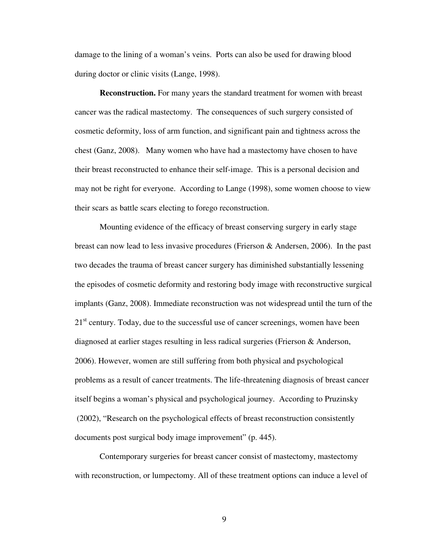damage to the lining of a woman's veins. Ports can also be used for drawing blood during doctor or clinic visits (Lange, 1998).

**Reconstruction.** For many years the standard treatment for women with breast cancer was the radical mastectomy. The consequences of such surgery consisted of cosmetic deformity, loss of arm function, and significant pain and tightness across the chest (Ganz, 2008). Many women who have had a mastectomy have chosen to have their breast reconstructed to enhance their self-image. This is a personal decision and may not be right for everyone. According to Lange (1998), some women choose to view their scars as battle scars electing to forego reconstruction.

Mounting evidence of the efficacy of breast conserving surgery in early stage breast can now lead to less invasive procedures (Frierson & Andersen, 2006). In the past two decades the trauma of breast cancer surgery has diminished substantially lessening the episodes of cosmetic deformity and restoring body image with reconstructive surgical implants (Ganz, 2008). Immediate reconstruction was not widespread until the turn of the 21<sup>st</sup> century. Today, due to the successful use of cancer screenings, women have been diagnosed at earlier stages resulting in less radical surgeries (Frierson & Anderson, 2006). However, women are still suffering from both physical and psychological problems as a result of cancer treatments. The life-threatening diagnosis of breast cancer itself begins a woman's physical and psychological journey. According to Pruzinsky (2002), "Research on the psychological effects of breast reconstruction consistently documents post surgical body image improvement" (p. 445).

Contemporary surgeries for breast cancer consist of mastectomy, mastectomy with reconstruction, or lumpectomy. All of these treatment options can induce a level of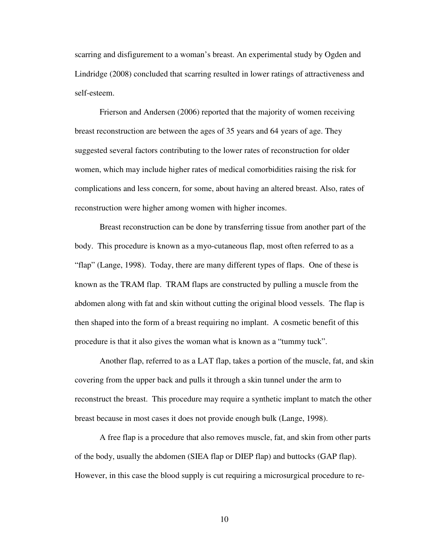scarring and disfigurement to a woman's breast. An experimental study by Ogden and Lindridge (2008) concluded that scarring resulted in lower ratings of attractiveness and self-esteem.

Frierson and Andersen (2006) reported that the majority of women receiving breast reconstruction are between the ages of 35 years and 64 years of age. They suggested several factors contributing to the lower rates of reconstruction for older women, which may include higher rates of medical comorbidities raising the risk for complications and less concern, for some, about having an altered breast. Also, rates of reconstruction were higher among women with higher incomes.

Breast reconstruction can be done by transferring tissue from another part of the body. This procedure is known as a myo-cutaneous flap, most often referred to as a "flap" (Lange, 1998). Today, there are many different types of flaps. One of these is known as the TRAM flap. TRAM flaps are constructed by pulling a muscle from the abdomen along with fat and skin without cutting the original blood vessels. The flap is then shaped into the form of a breast requiring no implant. A cosmetic benefit of this procedure is that it also gives the woman what is known as a "tummy tuck".

Another flap, referred to as a LAT flap, takes a portion of the muscle, fat, and skin covering from the upper back and pulls it through a skin tunnel under the arm to reconstruct the breast. This procedure may require a synthetic implant to match the other breast because in most cases it does not provide enough bulk (Lange, 1998).

A free flap is a procedure that also removes muscle, fat, and skin from other parts of the body, usually the abdomen (SIEA flap or DIEP flap) and buttocks (GAP flap). However, in this case the blood supply is cut requiring a microsurgical procedure to re-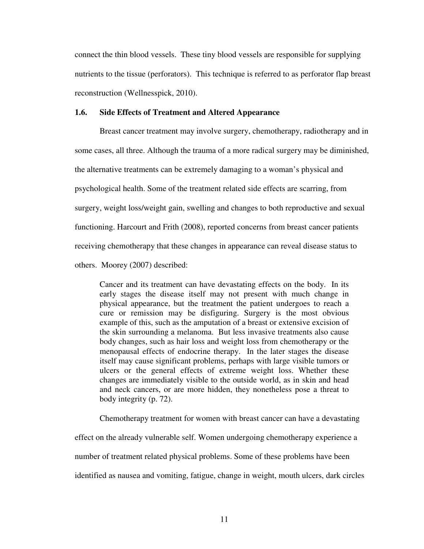connect the thin blood vessels. These tiny blood vessels are responsible for supplying nutrients to the tissue (perforators). This technique is referred to as perforator flap breast reconstruction (Wellnesspick, 2010).

#### **1.6. Side Effects of Treatment and Altered Appearance**

Breast cancer treatment may involve surgery, chemotherapy, radiotherapy and in some cases, all three. Although the trauma of a more radical surgery may be diminished, the alternative treatments can be extremely damaging to a woman's physical and psychological health. Some of the treatment related side effects are scarring, from surgery, weight loss/weight gain, swelling and changes to both reproductive and sexual functioning. Harcourt and Frith (2008), reported concerns from breast cancer patients receiving chemotherapy that these changes in appearance can reveal disease status to others. Moorey (2007) described:

Cancer and its treatment can have devastating effects on the body. In its early stages the disease itself may not present with much change in physical appearance, but the treatment the patient undergoes to reach a cure or remission may be disfiguring. Surgery is the most obvious example of this, such as the amputation of a breast or extensive excision of the skin surrounding a melanoma. But less invasive treatments also cause body changes, such as hair loss and weight loss from chemotherapy or the menopausal effects of endocrine therapy. In the later stages the disease itself may cause significant problems, perhaps with large visible tumors or ulcers or the general effects of extreme weight loss. Whether these changes are immediately visible to the outside world, as in skin and head and neck cancers, or are more hidden, they nonetheless pose a threat to body integrity (p. 72).

Chemotherapy treatment for women with breast cancer can have a devastating effect on the already vulnerable self. Women undergoing chemotherapy experience a number of treatment related physical problems. Some of these problems have been identified as nausea and vomiting, fatigue, change in weight, mouth ulcers, dark circles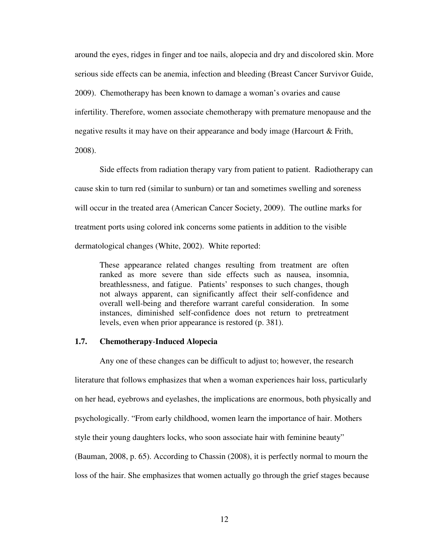around the eyes, ridges in finger and toe nails, alopecia and dry and discolored skin. More serious side effects can be anemia, infection and bleeding (Breast Cancer Survivor Guide, 2009). Chemotherapy has been known to damage a woman's ovaries and cause infertility. Therefore, women associate chemotherapy with premature menopause and the negative results it may have on their appearance and body image (Harcourt & Frith, 2008).

Side effects from radiation therapy vary from patient to patient. Radiotherapy can cause skin to turn red (similar to sunburn) or tan and sometimes swelling and soreness will occur in the treated area (American Cancer Society, 2009). The outline marks for treatment ports using colored ink concerns some patients in addition to the visible dermatological changes (White, 2002). White reported:

These appearance related changes resulting from treatment are often ranked as more severe than side effects such as nausea, insomnia, breathlessness, and fatigue. Patients' responses to such changes, though not always apparent, can significantly affect their self-confidence and overall well-being and therefore warrant careful consideration. In some instances, diminished self-confidence does not return to pretreatment levels, even when prior appearance is restored (p. 381).

#### **1.7. Chemotherapy**-**Induced Alopecia**

Any one of these changes can be difficult to adjust to; however, the research literature that follows emphasizes that when a woman experiences hair loss, particularly on her head, eyebrows and eyelashes, the implications are enormous, both physically and psychologically. "From early childhood, women learn the importance of hair. Mothers style their young daughters locks, who soon associate hair with feminine beauty" (Bauman, 2008, p. 65). According to Chassin (2008), it is perfectly normal to mourn the loss of the hair. She emphasizes that women actually go through the grief stages because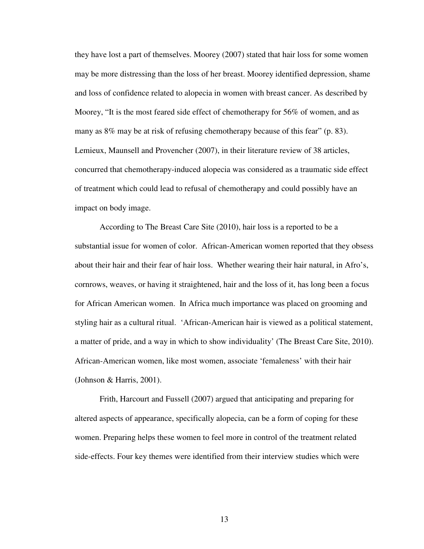they have lost a part of themselves. Moorey (2007) stated that hair loss for some women may be more distressing than the loss of her breast. Moorey identified depression, shame and loss of confidence related to alopecia in women with breast cancer. As described by Moorey, "It is the most feared side effect of chemotherapy for 56% of women, and as many as 8% may be at risk of refusing chemotherapy because of this fear" (p. 83). Lemieux, Maunsell and Provencher (2007), in their literature review of 38 articles, concurred that chemotherapy-induced alopecia was considered as a traumatic side effect of treatment which could lead to refusal of chemotherapy and could possibly have an impact on body image.

According to The Breast Care Site (2010), hair loss is a reported to be a substantial issue for women of color. African-American women reported that they obsess about their hair and their fear of hair loss. Whether wearing their hair natural, in Afro's, cornrows, weaves, or having it straightened, hair and the loss of it, has long been a focus for African American women. In Africa much importance was placed on grooming and styling hair as a cultural ritual. 'African-American hair is viewed as a political statement, a matter of pride, and a way in which to show individuality' (The Breast Care Site, 2010). African-American women, like most women, associate 'femaleness' with their hair (Johnson & Harris, 2001).

Frith, Harcourt and Fussell (2007) argued that anticipating and preparing for altered aspects of appearance, specifically alopecia, can be a form of coping for these women. Preparing helps these women to feel more in control of the treatment related side-effects. Four key themes were identified from their interview studies which were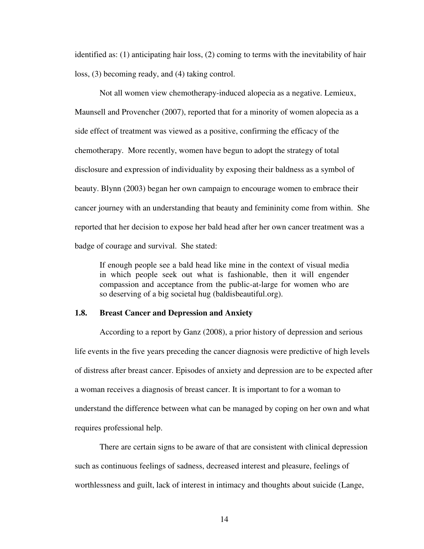identified as: (1) anticipating hair loss, (2) coming to terms with the inevitability of hair loss, (3) becoming ready, and (4) taking control.

Not all women view chemotherapy-induced alopecia as a negative. Lemieux, Maunsell and Provencher (2007), reported that for a minority of women alopecia as a side effect of treatment was viewed as a positive, confirming the efficacy of the chemotherapy. More recently, women have begun to adopt the strategy of total disclosure and expression of individuality by exposing their baldness as a symbol of beauty. Blynn (2003) began her own campaign to encourage women to embrace their cancer journey with an understanding that beauty and femininity come from within. She reported that her decision to expose her bald head after her own cancer treatment was a badge of courage and survival. She stated:

If enough people see a bald head like mine in the context of visual media in which people seek out what is fashionable, then it will engender compassion and acceptance from the public-at-large for women who are so deserving of a big societal hug (baldisbeautiful.org).

#### **1.8. Breast Cancer and Depression and Anxiety**

According to a report by Ganz (2008), a prior history of depression and serious life events in the five years preceding the cancer diagnosis were predictive of high levels of distress after breast cancer. Episodes of anxiety and depression are to be expected after a woman receives a diagnosis of breast cancer. It is important to for a woman to understand the difference between what can be managed by coping on her own and what requires professional help.

There are certain signs to be aware of that are consistent with clinical depression such as continuous feelings of sadness, decreased interest and pleasure, feelings of worthlessness and guilt, lack of interest in intimacy and thoughts about suicide (Lange,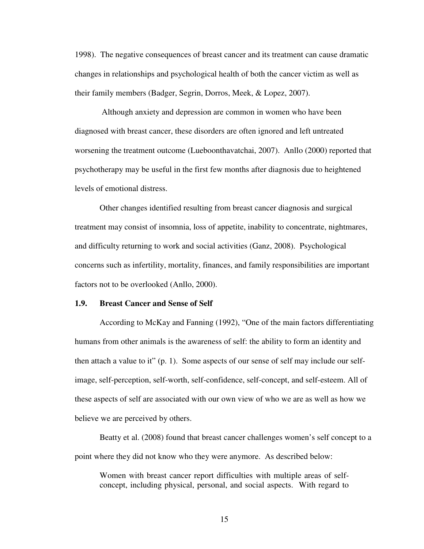1998). The negative consequences of breast cancer and its treatment can cause dramatic changes in relationships and psychological health of both the cancer victim as well as their family members (Badger, Segrin, Dorros, Meek, & Lopez, 2007).

 Although anxiety and depression are common in women who have been diagnosed with breast cancer, these disorders are often ignored and left untreated worsening the treatment outcome (Lueboonthavatchai, 2007). Anllo (2000) reported that psychotherapy may be useful in the first few months after diagnosis due to heightened levels of emotional distress.

Other changes identified resulting from breast cancer diagnosis and surgical treatment may consist of insomnia, loss of appetite, inability to concentrate, nightmares, and difficulty returning to work and social activities (Ganz, 2008). Psychological concerns such as infertility, mortality, finances, and family responsibilities are important factors not to be overlooked (Anllo, 2000).

#### **1.9. Breast Cancer and Sense of Self**

According to McKay and Fanning (1992), "One of the main factors differentiating humans from other animals is the awareness of self: the ability to form an identity and then attach a value to it" (p. 1). Some aspects of our sense of self may include our selfimage, self-perception, self-worth, self-confidence, self-concept, and self-esteem. All of these aspects of self are associated with our own view of who we are as well as how we believe we are perceived by others.

Beatty et al. (2008) found that breast cancer challenges women's self concept to a point where they did not know who they were anymore. As described below:

Women with breast cancer report difficulties with multiple areas of selfconcept, including physical, personal, and social aspects. With regard to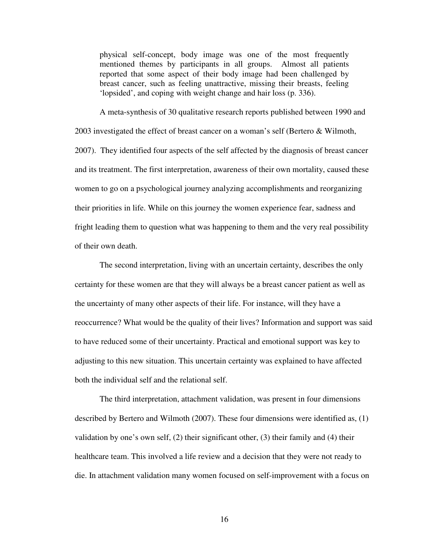physical self-concept, body image was one of the most frequently mentioned themes by participants in all groups. Almost all patients reported that some aspect of their body image had been challenged by breast cancer, such as feeling unattractive, missing their breasts, feeling 'lopsided', and coping with weight change and hair loss (p. 336).

A meta-synthesis of 30 qualitative research reports published between 1990 and 2003 investigated the effect of breast cancer on a woman's self (Bertero & Wilmoth, 2007). They identified four aspects of the self affected by the diagnosis of breast cancer and its treatment. The first interpretation, awareness of their own mortality, caused these women to go on a psychological journey analyzing accomplishments and reorganizing their priorities in life. While on this journey the women experience fear, sadness and fright leading them to question what was happening to them and the very real possibility of their own death.

The second interpretation, living with an uncertain certainty, describes the only certainty for these women are that they will always be a breast cancer patient as well as the uncertainty of many other aspects of their life. For instance, will they have a reoccurrence? What would be the quality of their lives? Information and support was said to have reduced some of their uncertainty. Practical and emotional support was key to adjusting to this new situation. This uncertain certainty was explained to have affected both the individual self and the relational self.

The third interpretation, attachment validation, was present in four dimensions described by Bertero and Wilmoth (2007). These four dimensions were identified as, (1) validation by one's own self, (2) their significant other, (3) their family and (4) their healthcare team. This involved a life review and a decision that they were not ready to die. In attachment validation many women focused on self-improvement with a focus on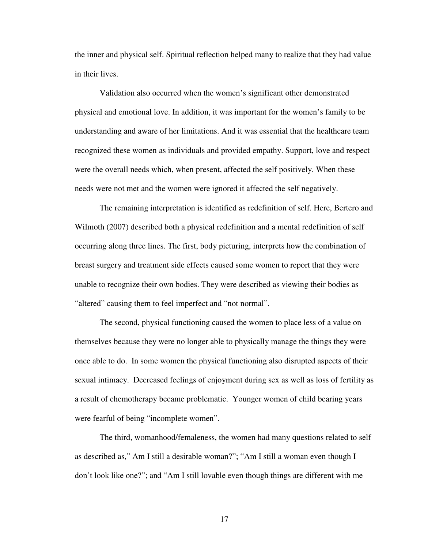the inner and physical self. Spiritual reflection helped many to realize that they had value in their lives.

Validation also occurred when the women's significant other demonstrated physical and emotional love. In addition, it was important for the women's family to be understanding and aware of her limitations. And it was essential that the healthcare team recognized these women as individuals and provided empathy. Support, love and respect were the overall needs which, when present, affected the self positively. When these needs were not met and the women were ignored it affected the self negatively.

The remaining interpretation is identified as redefinition of self. Here, Bertero and Wilmoth (2007) described both a physical redefinition and a mental redefinition of self occurring along three lines. The first, body picturing, interprets how the combination of breast surgery and treatment side effects caused some women to report that they were unable to recognize their own bodies. They were described as viewing their bodies as "altered" causing them to feel imperfect and "not normal".

The second, physical functioning caused the women to place less of a value on themselves because they were no longer able to physically manage the things they were once able to do. In some women the physical functioning also disrupted aspects of their sexual intimacy. Decreased feelings of enjoyment during sex as well as loss of fertility as a result of chemotherapy became problematic. Younger women of child bearing years were fearful of being "incomplete women".

The third, womanhood/femaleness, the women had many questions related to self as described as," Am I still a desirable woman?"; "Am I still a woman even though I don't look like one?"; and "Am I still lovable even though things are different with me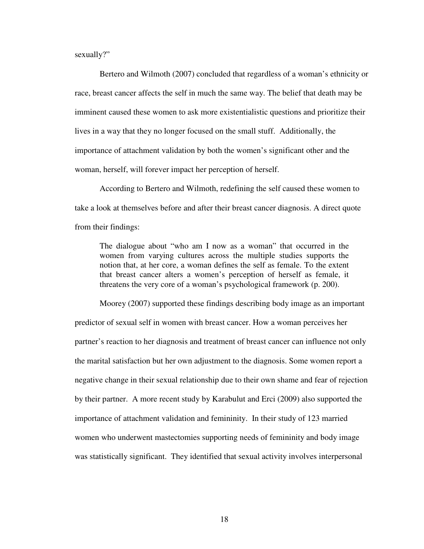sexually?"

Bertero and Wilmoth (2007) concluded that regardless of a woman's ethnicity or race, breast cancer affects the self in much the same way. The belief that death may be imminent caused these women to ask more existentialistic questions and prioritize their lives in a way that they no longer focused on the small stuff. Additionally, the importance of attachment validation by both the women's significant other and the woman, herself, will forever impact her perception of herself.

According to Bertero and Wilmoth, redefining the self caused these women to take a look at themselves before and after their breast cancer diagnosis. A direct quote from their findings:

The dialogue about "who am I now as a woman" that occurred in the women from varying cultures across the multiple studies supports the notion that, at her core, a woman defines the self as female. To the extent that breast cancer alters a women's perception of herself as female, it threatens the very core of a woman's psychological framework (p. 200).

Moorey (2007) supported these findings describing body image as an important predictor of sexual self in women with breast cancer. How a woman perceives her partner's reaction to her diagnosis and treatment of breast cancer can influence not only the marital satisfaction but her own adjustment to the diagnosis. Some women report a negative change in their sexual relationship due to their own shame and fear of rejection by their partner. A more recent study by Karabulut and Erci (2009) also supported the importance of attachment validation and femininity. In their study of 123 married women who underwent mastectomies supporting needs of femininity and body image was statistically significant. They identified that sexual activity involves interpersonal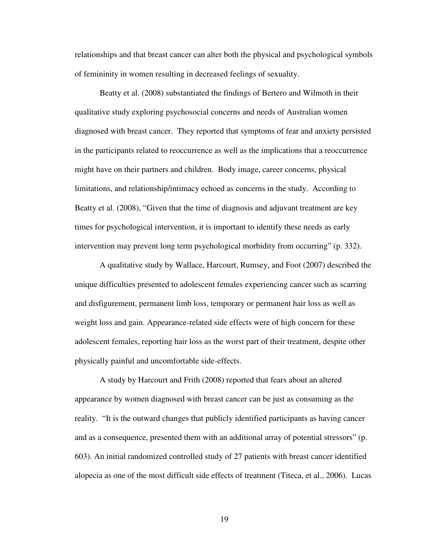relationships and that breast cancer can alter both the physical and psychological symbols of femininity in women resulting in decreased feelings of sexuality.

Beatty et al. (2008) substantiated the findings of Bertero and Wilmoth in their qualitative study exploring psychosocial concerns and needs of Australian women diagnosed with breast cancer. They reported that symptoms of fear and anxiety persisted in the participants related to reoccurrence as well as the implications that a reoccurrence might have on their partners and children. Body image, career concerns, physical limitations, and relationship/intimacy echoed as concerns in the study. According to Beatty et al. (2008), "Given that the time of diagnosis and adjuvant treatment are key times for psychological intervention, it is important to identify these needs as early intervention may prevent long term psychological morbidity from occurring" (p. 332).

A qualitative study by Wallace, Harcourt, Rumsey, and Foot (2007) described the unique difficulties presented to adolescent females experiencing cancer such as scarring and disfigurement, permanent limb loss, temporary or permanent hair loss as well as weight loss and gain. Appearance-related side effects were of high concern for these adolescent females, reporting hair loss as the worst part of their treatment, despite other physically painful and uncomfortable side-effects.

A study by Harcourt and Frith (2008) reported that fears about an altered appearance by women diagnosed with breast cancer can be just as consuming as the reality. "It is the outward changes that publicly identified participants as having cancer and as a consequence, presented them with an additional array of potential stressors" (p. 603). An initial randomized controlled study of 27 patients with breast cancer identified alopecia as one of the most difficult side effects of treatment (Titeca, et al., 2006). Lucas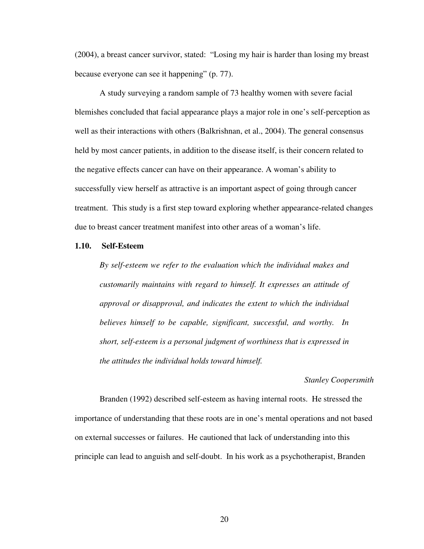(2004), a breast cancer survivor, stated: "Losing my hair is harder than losing my breast because everyone can see it happening" (p. 77).

A study surveying a random sample of 73 healthy women with severe facial blemishes concluded that facial appearance plays a major role in one's self-perception as well as their interactions with others (Balkrishnan, et al., 2004). The general consensus held by most cancer patients, in addition to the disease itself, is their concern related to the negative effects cancer can have on their appearance. A woman's ability to successfully view herself as attractive is an important aspect of going through cancer treatment. This study is a first step toward exploring whether appearance-related changes due to breast cancer treatment manifest into other areas of a woman's life.

#### **1.10. Self-Esteem**

*By self-esteem we refer to the evaluation which the individual makes and customarily maintains with regard to himself. It expresses an attitude of approval or disapproval, and indicates the extent to which the individual believes himself to be capable, significant, successful, and worthy. In short, self-esteem is a personal judgment of worthiness that is expressed in the attitudes the individual holds toward himself.* 

#### *Stanley Coopersmith*

Branden (1992) described self-esteem as having internal roots. He stressed the importance of understanding that these roots are in one's mental operations and not based on external successes or failures. He cautioned that lack of understanding into this principle can lead to anguish and self-doubt. In his work as a psychotherapist, Branden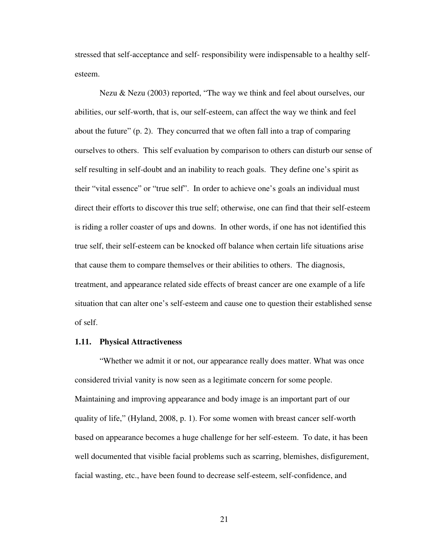stressed that self-acceptance and self- responsibility were indispensable to a healthy selfesteem.

Nezu & Nezu (2003) reported, "The way we think and feel about ourselves, our abilities, our self-worth, that is, our self-esteem, can affect the way we think and feel about the future" (p. 2). They concurred that we often fall into a trap of comparing ourselves to others. This self evaluation by comparison to others can disturb our sense of self resulting in self-doubt and an inability to reach goals. They define one's spirit as their "vital essence" or "true self". In order to achieve one's goals an individual must direct their efforts to discover this true self; otherwise, one can find that their self-esteem is riding a roller coaster of ups and downs. In other words, if one has not identified this true self, their self-esteem can be knocked off balance when certain life situations arise that cause them to compare themselves or their abilities to others. The diagnosis, treatment, and appearance related side effects of breast cancer are one example of a life situation that can alter one's self-esteem and cause one to question their established sense of self.

#### **1.11. Physical Attractiveness**

"Whether we admit it or not, our appearance really does matter. What was once considered trivial vanity is now seen as a legitimate concern for some people. Maintaining and improving appearance and body image is an important part of our quality of life," (Hyland, 2008, p. 1). For some women with breast cancer self-worth based on appearance becomes a huge challenge for her self-esteem. To date, it has been well documented that visible facial problems such as scarring, blemishes, disfigurement, facial wasting, etc., have been found to decrease self-esteem, self-confidence, and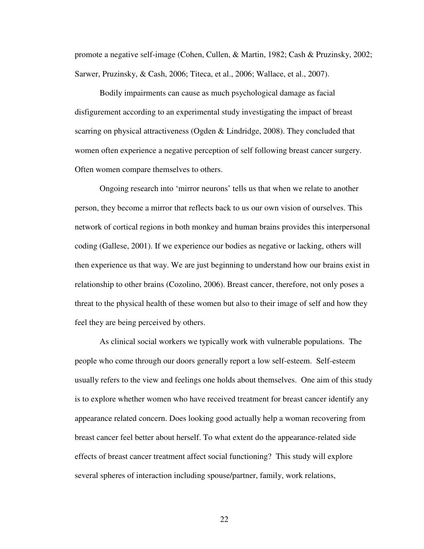promote a negative self-image (Cohen, Cullen, & Martin, 1982; Cash & Pruzinsky, 2002; Sarwer, Pruzinsky, & Cash, 2006; Titeca, et al., 2006; Wallace, et al., 2007).

Bodily impairments can cause as much psychological damage as facial disfigurement according to an experimental study investigating the impact of breast scarring on physical attractiveness (Ogden & Lindridge, 2008). They concluded that women often experience a negative perception of self following breast cancer surgery. Often women compare themselves to others.

Ongoing research into 'mirror neurons' tells us that when we relate to another person, they become a mirror that reflects back to us our own vision of ourselves. This network of cortical regions in both monkey and human brains provides this interpersonal coding (Gallese, 2001). If we experience our bodies as negative or lacking, others will then experience us that way. We are just beginning to understand how our brains exist in relationship to other brains (Cozolino, 2006). Breast cancer, therefore, not only poses a threat to the physical health of these women but also to their image of self and how they feel they are being perceived by others.

As clinical social workers we typically work with vulnerable populations. The people who come through our doors generally report a low self-esteem. Self-esteem usually refers to the view and feelings one holds about themselves. One aim of this study is to explore whether women who have received treatment for breast cancer identify any appearance related concern. Does looking good actually help a woman recovering from breast cancer feel better about herself. To what extent do the appearance-related side effects of breast cancer treatment affect social functioning? This study will explore several spheres of interaction including spouse/partner, family, work relations,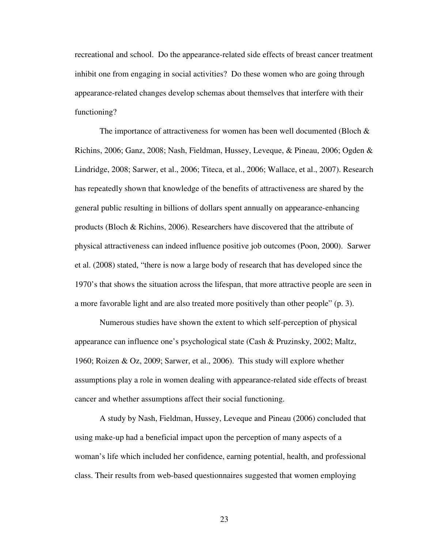recreational and school. Do the appearance-related side effects of breast cancer treatment inhibit one from engaging in social activities? Do these women who are going through appearance-related changes develop schemas about themselves that interfere with their functioning?

The importance of attractiveness for women has been well documented (Bloch  $\&$ Richins, 2006; Ganz, 2008; Nash, Fieldman, Hussey, Leveque, & Pineau, 2006; Ogden & Lindridge, 2008; Sarwer, et al., 2006; Titeca, et al., 2006; Wallace, et al., 2007). Research has repeatedly shown that knowledge of the benefits of attractiveness are shared by the general public resulting in billions of dollars spent annually on appearance-enhancing products (Bloch & Richins, 2006). Researchers have discovered that the attribute of physical attractiveness can indeed influence positive job outcomes (Poon, 2000). Sarwer et al. (2008) stated, "there is now a large body of research that has developed since the 1970's that shows the situation across the lifespan, that more attractive people are seen in a more favorable light and are also treated more positively than other people" (p. 3).

Numerous studies have shown the extent to which self-perception of physical appearance can influence one's psychological state (Cash & Pruzinsky, 2002; Maltz, 1960; Roizen & Oz, 2009; Sarwer, et al., 2006). This study will explore whether assumptions play a role in women dealing with appearance-related side effects of breast cancer and whether assumptions affect their social functioning.

A study by Nash, Fieldman, Hussey, Leveque and Pineau (2006) concluded that using make-up had a beneficial impact upon the perception of many aspects of a woman's life which included her confidence, earning potential, health, and professional class. Their results from web-based questionnaires suggested that women employing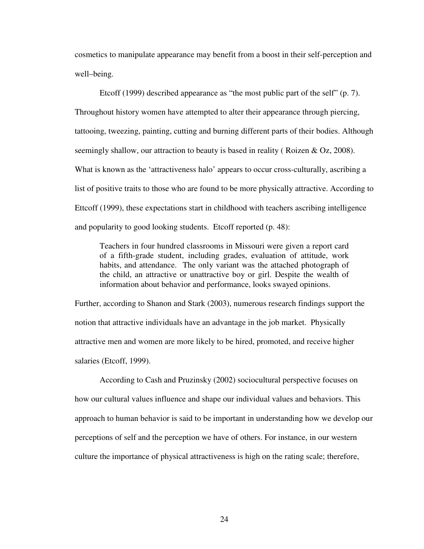cosmetics to manipulate appearance may benefit from a boost in their self-perception and well–being.

Etcoff (1999) described appearance as "the most public part of the self" (p. 7). Throughout history women have attempted to alter their appearance through piercing, tattooing, tweezing, painting, cutting and burning different parts of their bodies. Although seemingly shallow, our attraction to beauty is based in reality ( Roizen & Oz, 2008). What is known as the 'attractiveness halo' appears to occur cross-culturally, ascribing a list of positive traits to those who are found to be more physically attractive. According to Ettcoff (1999), these expectations start in childhood with teachers ascribing intelligence and popularity to good looking students. Etcoff reported (p. 48):

Teachers in four hundred classrooms in Missouri were given a report card of a fifth-grade student, including grades, evaluation of attitude, work habits, and attendance. The only variant was the attached photograph of the child, an attractive or unattractive boy or girl. Despite the wealth of information about behavior and performance, looks swayed opinions.

Further, according to Shanon and Stark (2003), numerous research findings support the notion that attractive individuals have an advantage in the job market. Physically attractive men and women are more likely to be hired, promoted, and receive higher salaries (Etcoff, 1999).

According to Cash and Pruzinsky (2002) sociocultural perspective focuses on how our cultural values influence and shape our individual values and behaviors. This approach to human behavior is said to be important in understanding how we develop our perceptions of self and the perception we have of others. For instance, in our western culture the importance of physical attractiveness is high on the rating scale; therefore,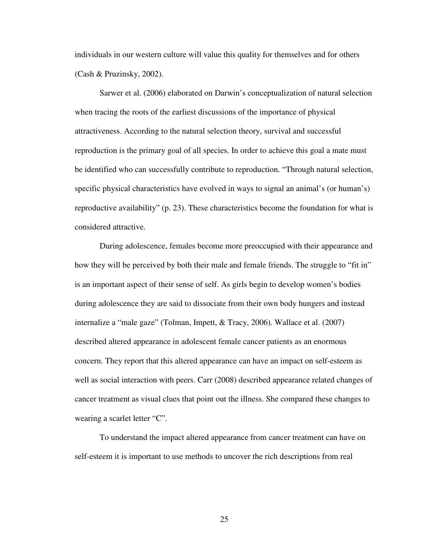individuals in our western culture will value this quality for themselves and for others (Cash & Pruzinsky, 2002).

Sarwer et al. (2006) elaborated on Darwin's conceptualization of natural selection when tracing the roots of the earliest discussions of the importance of physical attractiveness. According to the natural selection theory, survival and successful reproduction is the primary goal of all species. In order to achieve this goal a mate must be identified who can successfully contribute to reproduction. "Through natural selection, specific physical characteristics have evolved in ways to signal an animal's (or human's) reproductive availability" (p. 23). These characteristics become the foundation for what is considered attractive.

During adolescence, females become more preoccupied with their appearance and how they will be perceived by both their male and female friends. The struggle to "fit in" is an important aspect of their sense of self. As girls begin to develop women's bodies during adolescence they are said to dissociate from their own body hungers and instead internalize a "male gaze" (Tolman, Impett, & Tracy, 2006). Wallace et al. (2007) described altered appearance in adolescent female cancer patients as an enormous concern. They report that this altered appearance can have an impact on self-esteem as well as social interaction with peers. Carr (2008) described appearance related changes of cancer treatment as visual clues that point out the illness. She compared these changes to wearing a scarlet letter "C".

To understand the impact altered appearance from cancer treatment can have on self-esteem it is important to use methods to uncover the rich descriptions from real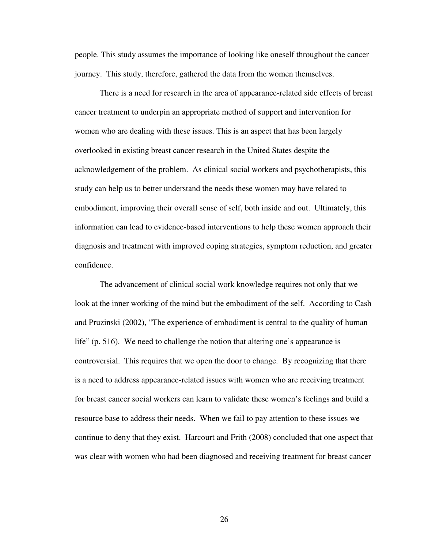people. This study assumes the importance of looking like oneself throughout the cancer journey. This study, therefore, gathered the data from the women themselves.

There is a need for research in the area of appearance-related side effects of breast cancer treatment to underpin an appropriate method of support and intervention for women who are dealing with these issues. This is an aspect that has been largely overlooked in existing breast cancer research in the United States despite the acknowledgement of the problem. As clinical social workers and psychotherapists, this study can help us to better understand the needs these women may have related to embodiment, improving their overall sense of self, both inside and out. Ultimately, this information can lead to evidence-based interventions to help these women approach their diagnosis and treatment with improved coping strategies, symptom reduction, and greater confidence.

The advancement of clinical social work knowledge requires not only that we look at the inner working of the mind but the embodiment of the self. According to Cash and Pruzinski (2002), "The experience of embodiment is central to the quality of human life" (p. 516). We need to challenge the notion that altering one's appearance is controversial. This requires that we open the door to change. By recognizing that there is a need to address appearance-related issues with women who are receiving treatment for breast cancer social workers can learn to validate these women's feelings and build a resource base to address their needs. When we fail to pay attention to these issues we continue to deny that they exist. Harcourt and Frith (2008) concluded that one aspect that was clear with women who had been diagnosed and receiving treatment for breast cancer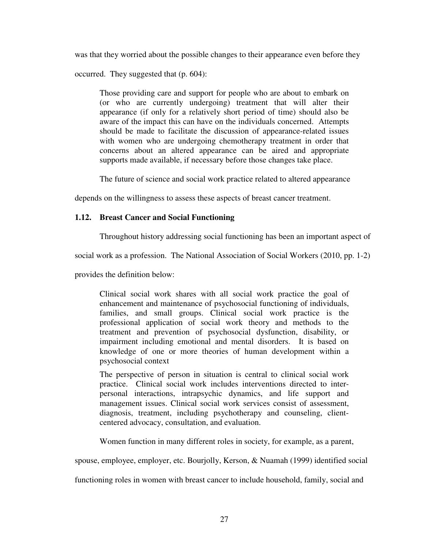was that they worried about the possible changes to their appearance even before they

occurred. They suggested that (p. 604):

Those providing care and support for people who are about to embark on (or who are currently undergoing) treatment that will alter their appearance (if only for a relatively short period of time) should also be aware of the impact this can have on the individuals concerned. Attempts should be made to facilitate the discussion of appearance-related issues with women who are undergoing chemotherapy treatment in order that concerns about an altered appearance can be aired and appropriate supports made available, if necessary before those changes take place.

The future of science and social work practice related to altered appearance

depends on the willingness to assess these aspects of breast cancer treatment.

# **1.12. Breast Cancer and Social Functioning**

Throughout history addressing social functioning has been an important aspect of

social work as a profession. The National Association of Social Workers (2010, pp. 1-2)

provides the definition below:

Clinical social work shares with all social work practice the goal of enhancement and maintenance of psychosocial functioning of individuals, families, and small groups. Clinical social work practice is the professional application of social work theory and methods to the treatment and prevention of psychosocial dysfunction, disability, or impairment including emotional and mental disorders. It is based on knowledge of one or more theories of human development within a psychosocial context

The perspective of person in situation is central to clinical social work practice. Clinical social work includes interventions directed to interpersonal interactions, intrapsychic dynamics, and life support and management issues. Clinical social work services consist of assessment, diagnosis, treatment, including psychotherapy and counseling, clientcentered advocacy, consultation, and evaluation.

Women function in many different roles in society, for example, as a parent,

spouse, employee, employer, etc. Bourjolly, Kerson, & Nuamah (1999) identified social

functioning roles in women with breast cancer to include household, family, social and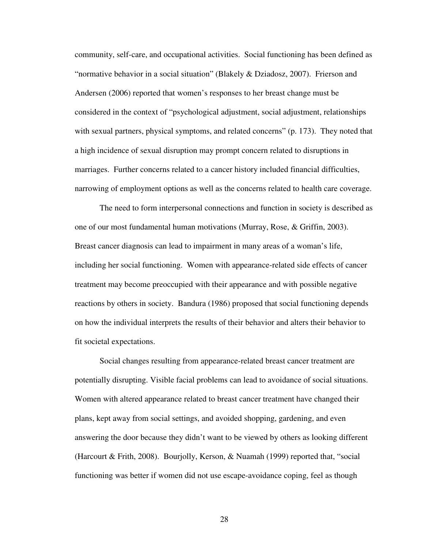community, self-care, and occupational activities. Social functioning has been defined as "normative behavior in a social situation" (Blakely & Dziadosz, 2007). Frierson and Andersen (2006) reported that women's responses to her breast change must be considered in the context of "psychological adjustment, social adjustment, relationships with sexual partners, physical symptoms, and related concerns" (p. 173). They noted that a high incidence of sexual disruption may prompt concern related to disruptions in marriages. Further concerns related to a cancer history included financial difficulties, narrowing of employment options as well as the concerns related to health care coverage.

The need to form interpersonal connections and function in society is described as one of our most fundamental human motivations (Murray, Rose, & Griffin, 2003). Breast cancer diagnosis can lead to impairment in many areas of a woman's life, including her social functioning. Women with appearance-related side effects of cancer treatment may become preoccupied with their appearance and with possible negative reactions by others in society. Bandura (1986) proposed that social functioning depends on how the individual interprets the results of their behavior and alters their behavior to fit societal expectations.

Social changes resulting from appearance-related breast cancer treatment are potentially disrupting. Visible facial problems can lead to avoidance of social situations. Women with altered appearance related to breast cancer treatment have changed their plans, kept away from social settings, and avoided shopping, gardening, and even answering the door because they didn't want to be viewed by others as looking different (Harcourt & Frith, 2008). Bourjolly, Kerson, & Nuamah (1999) reported that, "social functioning was better if women did not use escape-avoidance coping, feel as though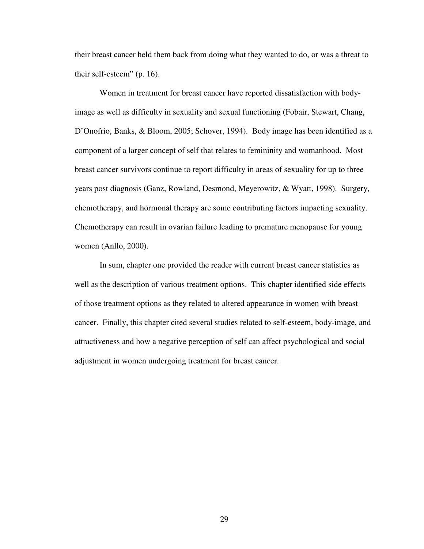their breast cancer held them back from doing what they wanted to do, or was a threat to their self-esteem" (p. 16).

Women in treatment for breast cancer have reported dissatisfaction with bodyimage as well as difficulty in sexuality and sexual functioning (Fobair, Stewart, Chang, D'Onofrio, Banks, & Bloom, 2005; Schover, 1994). Body image has been identified as a component of a larger concept of self that relates to femininity and womanhood. Most breast cancer survivors continue to report difficulty in areas of sexuality for up to three years post diagnosis (Ganz, Rowland, Desmond, Meyerowitz, & Wyatt, 1998). Surgery, chemotherapy, and hormonal therapy are some contributing factors impacting sexuality. Chemotherapy can result in ovarian failure leading to premature menopause for young women (Anllo, 2000).

In sum, chapter one provided the reader with current breast cancer statistics as well as the description of various treatment options. This chapter identified side effects of those treatment options as they related to altered appearance in women with breast cancer. Finally, this chapter cited several studies related to self-esteem, body-image, and attractiveness and how a negative perception of self can affect psychological and social adjustment in women undergoing treatment for breast cancer.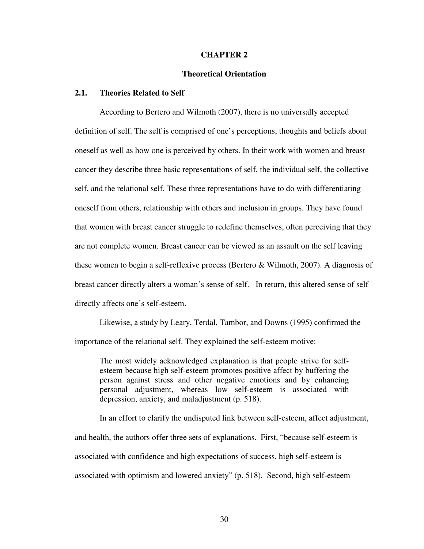#### **CHAPTER 2**

#### **Theoretical Orientation**

# **2.1. Theories Related to Self**

According to Bertero and Wilmoth (2007), there is no universally accepted definition of self. The self is comprised of one's perceptions, thoughts and beliefs about oneself as well as how one is perceived by others. In their work with women and breast cancer they describe three basic representations of self, the individual self, the collective self, and the relational self. These three representations have to do with differentiating oneself from others, relationship with others and inclusion in groups. They have found that women with breast cancer struggle to redefine themselves, often perceiving that they are not complete women. Breast cancer can be viewed as an assault on the self leaving these women to begin a self-reflexive process (Bertero & Wilmoth, 2007). A diagnosis of breast cancer directly alters a woman's sense of self. In return, this altered sense of self directly affects one's self-esteem.

Likewise, a study by Leary, Terdal, Tambor, and Downs (1995) confirmed the importance of the relational self. They explained the self-esteem motive:

The most widely acknowledged explanation is that people strive for selfesteem because high self-esteem promotes positive affect by buffering the person against stress and other negative emotions and by enhancing personal adjustment, whereas low self-esteem is associated with depression, anxiety, and maladjustment (p. 518).

In an effort to clarify the undisputed link between self-esteem, affect adjustment, and health, the authors offer three sets of explanations. First, "because self-esteem is associated with confidence and high expectations of success, high self-esteem is associated with optimism and lowered anxiety" (p. 518). Second, high self-esteem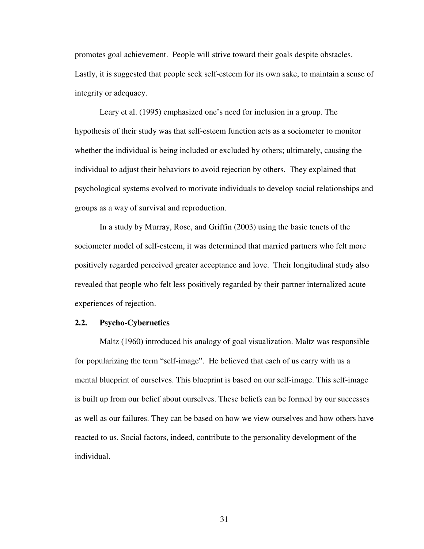promotes goal achievement. People will strive toward their goals despite obstacles. Lastly, it is suggested that people seek self-esteem for its own sake, to maintain a sense of integrity or adequacy.

Leary et al. (1995) emphasized one's need for inclusion in a group. The hypothesis of their study was that self-esteem function acts as a sociometer to monitor whether the individual is being included or excluded by others; ultimately, causing the individual to adjust their behaviors to avoid rejection by others. They explained that psychological systems evolved to motivate individuals to develop social relationships and groups as a way of survival and reproduction.

In a study by Murray, Rose, and Griffin (2003) using the basic tenets of the sociometer model of self-esteem, it was determined that married partners who felt more positively regarded perceived greater acceptance and love. Their longitudinal study also revealed that people who felt less positively regarded by their partner internalized acute experiences of rejection.

### **2.2. Psycho-Cybernetics**

Maltz (1960) introduced his analogy of goal visualization. Maltz was responsible for popularizing the term "self-image". He believed that each of us carry with us a mental blueprint of ourselves. This blueprint is based on our self-image. This self-image is built up from our belief about ourselves. These beliefs can be formed by our successes as well as our failures. They can be based on how we view ourselves and how others have reacted to us. Social factors, indeed, contribute to the personality development of the individual.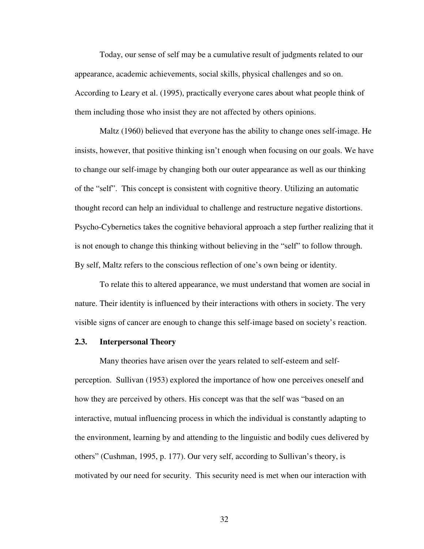Today, our sense of self may be a cumulative result of judgments related to our appearance, academic achievements, social skills, physical challenges and so on. According to Leary et al. (1995), practically everyone cares about what people think of them including those who insist they are not affected by others opinions.

Maltz (1960) believed that everyone has the ability to change ones self-image. He insists, however, that positive thinking isn't enough when focusing on our goals. We have to change our self-image by changing both our outer appearance as well as our thinking of the "self". This concept is consistent with cognitive theory. Utilizing an automatic thought record can help an individual to challenge and restructure negative distortions. Psycho-Cybernetics takes the cognitive behavioral approach a step further realizing that it is not enough to change this thinking without believing in the "self" to follow through. By self, Maltz refers to the conscious reflection of one's own being or identity.

To relate this to altered appearance, we must understand that women are social in nature. Their identity is influenced by their interactions with others in society. The very visible signs of cancer are enough to change this self-image based on society's reaction.

#### **2.3. Interpersonal Theory**

Many theories have arisen over the years related to self-esteem and selfperception. Sullivan (1953) explored the importance of how one perceives oneself and how they are perceived by others. His concept was that the self was "based on an interactive, mutual influencing process in which the individual is constantly adapting to the environment, learning by and attending to the linguistic and bodily cues delivered by others" (Cushman, 1995, p. 177). Our very self, according to Sullivan's theory, is motivated by our need for security. This security need is met when our interaction with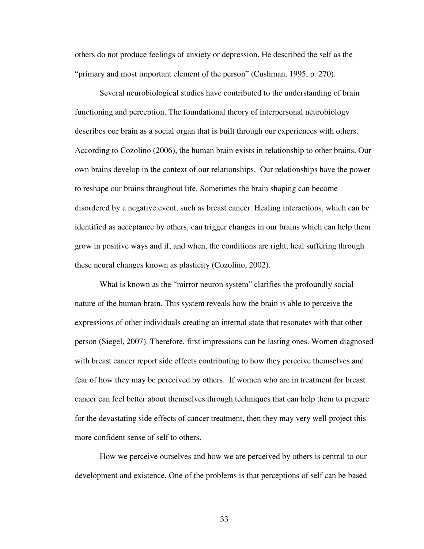others do not produce feelings of anxiety or depression. He described the self as the "primary and most important element of the person" (Cushman, 1995, p. 270).

Several neurobiological studies have contributed to the understanding of brain functioning and perception. The foundational theory of interpersonal neurobiology describes our brain as a social organ that is built through our experiences with others. According to Cozolino (2006), the human brain exists in relationship to other brains. Our own brains develop in the context of our relationships. Our relationships have the power to reshape our brains throughout life. Sometimes the brain shaping can become disordered by a negative event, such as breast cancer. Healing interactions, which can be identified as acceptance by others, can trigger changes in our brains which can help them grow in positive ways and if, and when, the conditions are right, heal suffering through these neural changes known as plasticity (Cozolino, 2002).

What is known as the "mirror neuron system" clarifies the profoundly social nature of the human brain. This system reveals how the brain is able to perceive the expressions of other individuals creating an internal state that resonates with that other person (Siegel, 2007). Therefore, first impressions can be lasting ones. Women diagnosed with breast cancer report side effects contributing to how they perceive themselves and fear of how they may be perceived by others. If women who are in treatment for breast cancer can feel better about themselves through techniques that can help them to prepare for the devastating side effects of cancer treatment, then they may very well project this more confident sense of self to others.

How we perceive ourselves and how we are perceived by others is central to our development and existence. One of the problems is that perceptions of self can be based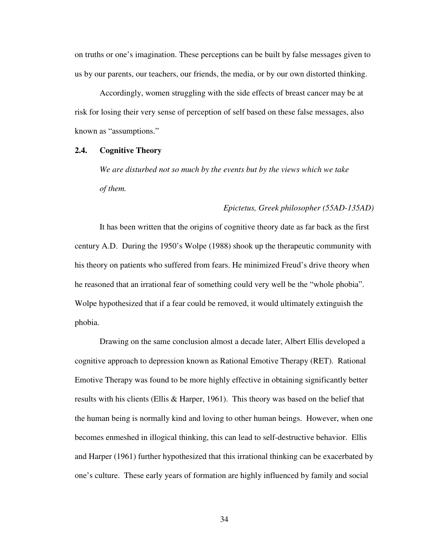on truths or one's imagination. These perceptions can be built by false messages given to us by our parents, our teachers, our friends, the media, or by our own distorted thinking.

Accordingly, women struggling with the side effects of breast cancer may be at risk for losing their very sense of perception of self based on these false messages, also known as "assumptions."

### **2.4. Cognitive Theory**

*We are disturbed not so much by the events but by the views which we take of them.* 

# *Epictetus, Greek philosopher (55AD-135AD)*

It has been written that the origins of cognitive theory date as far back as the first century A.D. During the 1950's Wolpe (1988) shook up the therapeutic community with his theory on patients who suffered from fears. He minimized Freud's drive theory when he reasoned that an irrational fear of something could very well be the "whole phobia". Wolpe hypothesized that if a fear could be removed, it would ultimately extinguish the phobia.

Drawing on the same conclusion almost a decade later, Albert Ellis developed a cognitive approach to depression known as Rational Emotive Therapy (RET). Rational Emotive Therapy was found to be more highly effective in obtaining significantly better results with his clients (Ellis & Harper, 1961). This theory was based on the belief that the human being is normally kind and loving to other human beings. However, when one becomes enmeshed in illogical thinking, this can lead to self-destructive behavior. Ellis and Harper (1961) further hypothesized that this irrational thinking can be exacerbated by one's culture. These early years of formation are highly influenced by family and social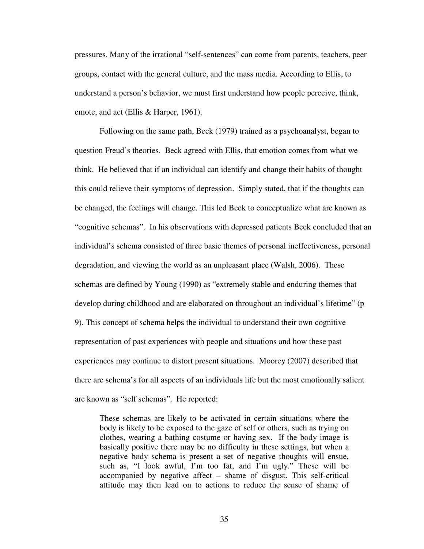pressures. Many of the irrational "self-sentences" can come from parents, teachers, peer groups, contact with the general culture, and the mass media. According to Ellis, to understand a person's behavior, we must first understand how people perceive, think, emote, and act (Ellis & Harper, 1961).

Following on the same path, Beck (1979) trained as a psychoanalyst, began to question Freud's theories. Beck agreed with Ellis, that emotion comes from what we think. He believed that if an individual can identify and change their habits of thought this could relieve their symptoms of depression. Simply stated, that if the thoughts can be changed, the feelings will change. This led Beck to conceptualize what are known as "cognitive schemas". In his observations with depressed patients Beck concluded that an individual's schema consisted of three basic themes of personal ineffectiveness, personal degradation, and viewing the world as an unpleasant place (Walsh, 2006). These schemas are defined by Young (1990) as "extremely stable and enduring themes that develop during childhood and are elaborated on throughout an individual's lifetime" (p 9). This concept of schema helps the individual to understand their own cognitive representation of past experiences with people and situations and how these past experiences may continue to distort present situations. Moorey (2007) described that there are schema's for all aspects of an individuals life but the most emotionally salient are known as "self schemas". He reported:

These schemas are likely to be activated in certain situations where the body is likely to be exposed to the gaze of self or others, such as trying on clothes, wearing a bathing costume or having sex. If the body image is basically positive there may be no difficulty in these settings, but when a negative body schema is present a set of negative thoughts will ensue, such as, "I look awful, I'm too fat, and I'm ugly." These will be accompanied by negative affect – shame of disgust. This self-critical attitude may then lead on to actions to reduce the sense of shame of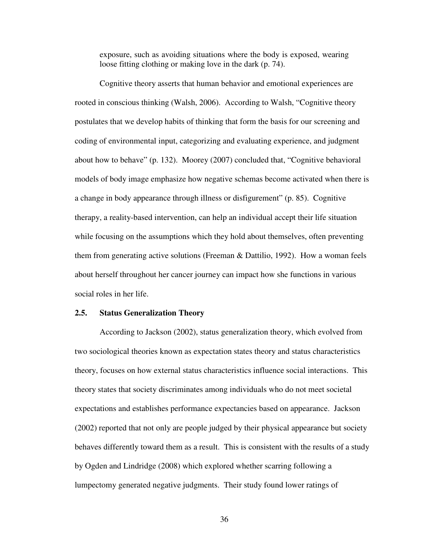exposure, such as avoiding situations where the body is exposed, wearing loose fitting clothing or making love in the dark (p. 74).

Cognitive theory asserts that human behavior and emotional experiences are rooted in conscious thinking (Walsh, 2006). According to Walsh, "Cognitive theory postulates that we develop habits of thinking that form the basis for our screening and coding of environmental input, categorizing and evaluating experience, and judgment about how to behave" (p. 132). Moorey (2007) concluded that, "Cognitive behavioral models of body image emphasize how negative schemas become activated when there is a change in body appearance through illness or disfigurement" (p. 85). Cognitive therapy, a reality-based intervention, can help an individual accept their life situation while focusing on the assumptions which they hold about themselves, often preventing them from generating active solutions (Freeman & Dattilio, 1992). How a woman feels about herself throughout her cancer journey can impact how she functions in various social roles in her life.

#### **2.5. Status Generalization Theory**

According to Jackson (2002), status generalization theory, which evolved from two sociological theories known as expectation states theory and status characteristics theory, focuses on how external status characteristics influence social interactions. This theory states that society discriminates among individuals who do not meet societal expectations and establishes performance expectancies based on appearance. Jackson (2002) reported that not only are people judged by their physical appearance but society behaves differently toward them as a result. This is consistent with the results of a study by Ogden and Lindridge (2008) which explored whether scarring following a lumpectomy generated negative judgments. Their study found lower ratings of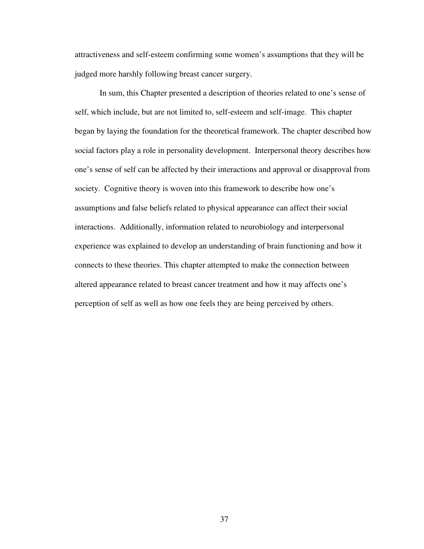attractiveness and self-esteem confirming some women's assumptions that they will be judged more harshly following breast cancer surgery.

In sum, this Chapter presented a description of theories related to one's sense of self, which include, but are not limited to, self-esteem and self-image. This chapter began by laying the foundation for the theoretical framework. The chapter described how social factors play a role in personality development. Interpersonal theory describes how one's sense of self can be affected by their interactions and approval or disapproval from society. Cognitive theory is woven into this framework to describe how one's assumptions and false beliefs related to physical appearance can affect their social interactions. Additionally, information related to neurobiology and interpersonal experience was explained to develop an understanding of brain functioning and how it connects to these theories. This chapter attempted to make the connection between altered appearance related to breast cancer treatment and how it may affects one's perception of self as well as how one feels they are being perceived by others.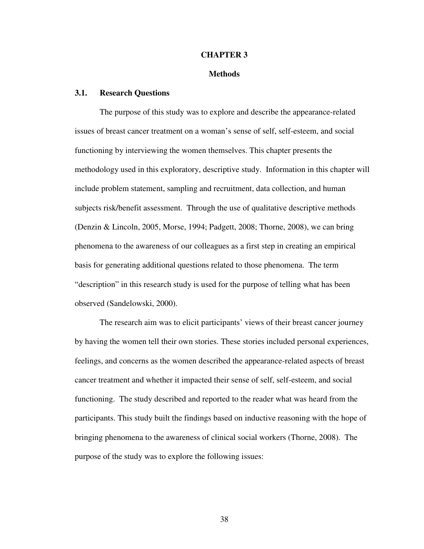#### **CHAPTER 3**

#### **Methods**

### **3.1. Research Questions**

The purpose of this study was to explore and describe the appearance-related issues of breast cancer treatment on a woman's sense of self, self-esteem, and social functioning by interviewing the women themselves. This chapter presents the methodology used in this exploratory, descriptive study. Information in this chapter will include problem statement, sampling and recruitment, data collection, and human subjects risk/benefit assessment. Through the use of qualitative descriptive methods (Denzin & Lincoln, 2005, Morse, 1994; Padgett, 2008; Thorne, 2008), we can bring phenomena to the awareness of our colleagues as a first step in creating an empirical basis for generating additional questions related to those phenomena. The term "description" in this research study is used for the purpose of telling what has been observed (Sandelowski, 2000).

The research aim was to elicit participants' views of their breast cancer journey by having the women tell their own stories. These stories included personal experiences, feelings, and concerns as the women described the appearance-related aspects of breast cancer treatment and whether it impacted their sense of self, self-esteem, and social functioning. The study described and reported to the reader what was heard from the participants. This study built the findings based on inductive reasoning with the hope of bringing phenomena to the awareness of clinical social workers (Thorne, 2008). The purpose of the study was to explore the following issues: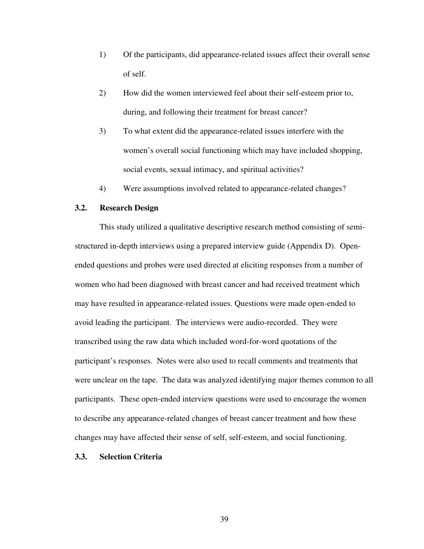- 1) Of the participants, did appearance-related issues affect their overall sense of self.
- 2) How did the women interviewed feel about their self-esteem prior to, during, and following their treatment for breast cancer?
- 3) To what extent did the appearance-related issues interfere with the women's overall social functioning which may have included shopping, social events, sexual intimacy, and spiritual activities?
- 4) Were assumptions involved related to appearance-related changes?

### **3.2. Research Design**

This study utilized a qualitative descriptive research method consisting of semistructured in-depth interviews using a prepared interview guide (Appendix D). Openended questions and probes were used directed at eliciting responses from a number of women who had been diagnosed with breast cancer and had received treatment which may have resulted in appearance-related issues. Questions were made open-ended to avoid leading the participant. The interviews were audio-recorded. They were transcribed using the raw data which included word-for-word quotations of the participant's responses. Notes were also used to recall comments and treatments that were unclear on the tape. The data was analyzed identifying major themes common to all participants. These open-ended interview questions were used to encourage the women to describe any appearance-related changes of breast cancer treatment and how these changes may have affected their sense of self, self-esteem, and social functioning.

### **3.3. Selection Criteria**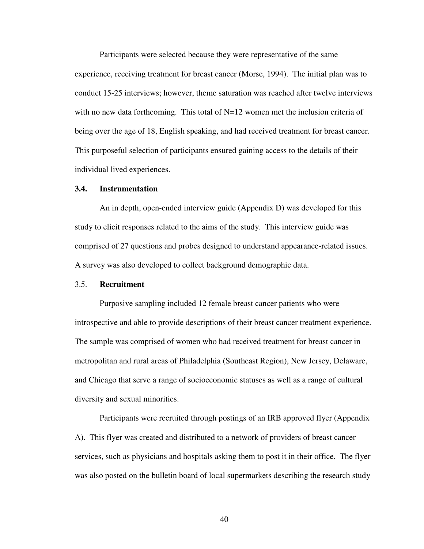Participants were selected because they were representative of the same experience, receiving treatment for breast cancer (Morse, 1994). The initial plan was to conduct 15-25 interviews; however, theme saturation was reached after twelve interviews with no new data forthcoming. This total of  $N=12$  women met the inclusion criteria of being over the age of 18, English speaking, and had received treatment for breast cancer. This purposeful selection of participants ensured gaining access to the details of their individual lived experiences.

### **3.4. Instrumentation**

An in depth, open-ended interview guide (Appendix D) was developed for this study to elicit responses related to the aims of the study. This interview guide was comprised of 27 questions and probes designed to understand appearance-related issues. A survey was also developed to collect background demographic data.

#### 3.5. **Recruitment**

Purposive sampling included 12 female breast cancer patients who were introspective and able to provide descriptions of their breast cancer treatment experience. The sample was comprised of women who had received treatment for breast cancer in metropolitan and rural areas of Philadelphia (Southeast Region), New Jersey, Delaware, and Chicago that serve a range of socioeconomic statuses as well as a range of cultural diversity and sexual minorities.

Participants were recruited through postings of an IRB approved flyer (Appendix A). This flyer was created and distributed to a network of providers of breast cancer services, such as physicians and hospitals asking them to post it in their office. The flyer was also posted on the bulletin board of local supermarkets describing the research study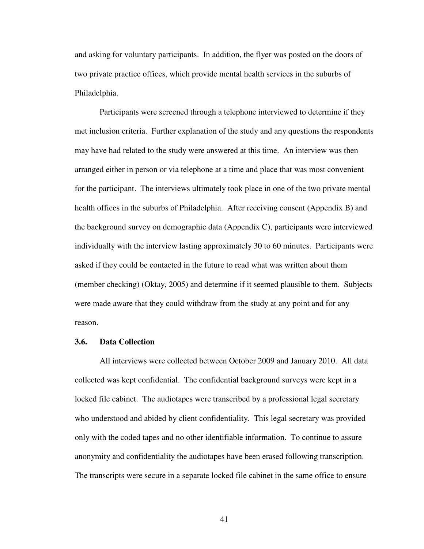and asking for voluntary participants. In addition, the flyer was posted on the doors of two private practice offices, which provide mental health services in the suburbs of Philadelphia.

Participants were screened through a telephone interviewed to determine if they met inclusion criteria. Further explanation of the study and any questions the respondents may have had related to the study were answered at this time. An interview was then arranged either in person or via telephone at a time and place that was most convenient for the participant. The interviews ultimately took place in one of the two private mental health offices in the suburbs of Philadelphia. After receiving consent (Appendix B) and the background survey on demographic data (Appendix C), participants were interviewed individually with the interview lasting approximately 30 to 60 minutes. Participants were asked if they could be contacted in the future to read what was written about them (member checking) (Oktay, 2005) and determine if it seemed plausible to them. Subjects were made aware that they could withdraw from the study at any point and for any reason.

### **3.6. Data Collection**

All interviews were collected between October 2009 and January 2010. All data collected was kept confidential. The confidential background surveys were kept in a locked file cabinet. The audiotapes were transcribed by a professional legal secretary who understood and abided by client confidentiality. This legal secretary was provided only with the coded tapes and no other identifiable information. To continue to assure anonymity and confidentiality the audiotapes have been erased following transcription. The transcripts were secure in a separate locked file cabinet in the same office to ensure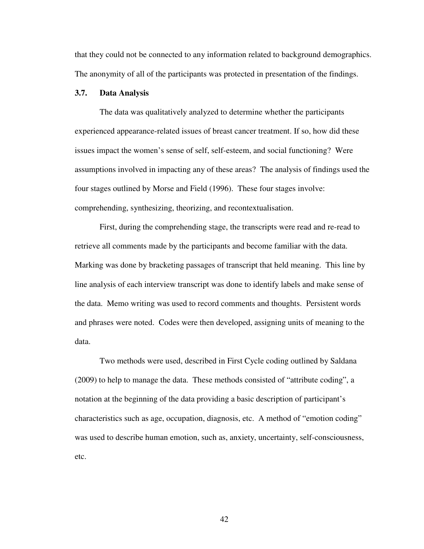that they could not be connected to any information related to background demographics. The anonymity of all of the participants was protected in presentation of the findings.

### **3.7. Data Analysis**

The data was qualitatively analyzed to determine whether the participants experienced appearance-related issues of breast cancer treatment. If so, how did these issues impact the women's sense of self, self-esteem, and social functioning? Were assumptions involved in impacting any of these areas? The analysis of findings used the four stages outlined by Morse and Field (1996). These four stages involve: comprehending, synthesizing, theorizing, and recontextualisation.

First, during the comprehending stage, the transcripts were read and re-read to retrieve all comments made by the participants and become familiar with the data. Marking was done by bracketing passages of transcript that held meaning. This line by line analysis of each interview transcript was done to identify labels and make sense of the data. Memo writing was used to record comments and thoughts. Persistent words and phrases were noted. Codes were then developed, assigning units of meaning to the data.

Two methods were used, described in First Cycle coding outlined by Saldana (2009) to help to manage the data. These methods consisted of "attribute coding", a notation at the beginning of the data providing a basic description of participant's characteristics such as age, occupation, diagnosis, etc. A method of "emotion coding" was used to describe human emotion, such as, anxiety, uncertainty, self-consciousness, etc.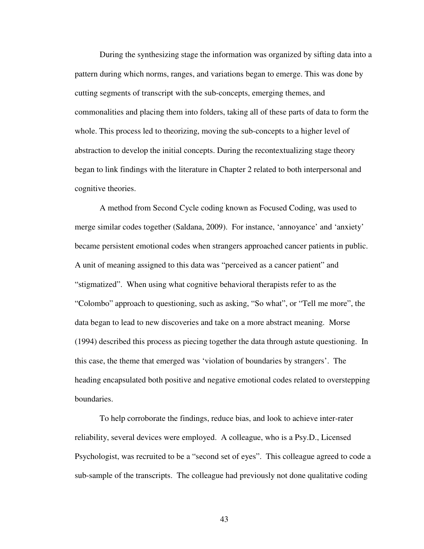During the synthesizing stage the information was organized by sifting data into a pattern during which norms, ranges, and variations began to emerge. This was done by cutting segments of transcript with the sub-concepts, emerging themes, and commonalities and placing them into folders, taking all of these parts of data to form the whole. This process led to theorizing, moving the sub-concepts to a higher level of abstraction to develop the initial concepts. During the recontextualizing stage theory began to link findings with the literature in Chapter 2 related to both interpersonal and cognitive theories.

A method from Second Cycle coding known as Focused Coding, was used to merge similar codes together (Saldana, 2009). For instance, 'annoyance' and 'anxiety' became persistent emotional codes when strangers approached cancer patients in public. A unit of meaning assigned to this data was "perceived as a cancer patient" and "stigmatized". When using what cognitive behavioral therapists refer to as the "Colombo" approach to questioning, such as asking, "So what", or "Tell me more", the data began to lead to new discoveries and take on a more abstract meaning. Morse (1994) described this process as piecing together the data through astute questioning. In this case, the theme that emerged was 'violation of boundaries by strangers'. The heading encapsulated both positive and negative emotional codes related to overstepping boundaries.

To help corroborate the findings, reduce bias, and look to achieve inter-rater reliability, several devices were employed. A colleague, who is a Psy.D., Licensed Psychologist, was recruited to be a "second set of eyes". This colleague agreed to code a sub-sample of the transcripts. The colleague had previously not done qualitative coding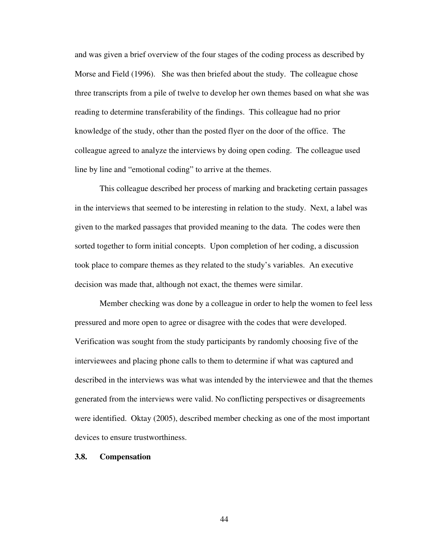and was given a brief overview of the four stages of the coding process as described by Morse and Field (1996). She was then briefed about the study. The colleague chose three transcripts from a pile of twelve to develop her own themes based on what she was reading to determine transferability of the findings. This colleague had no prior knowledge of the study, other than the posted flyer on the door of the office. The colleague agreed to analyze the interviews by doing open coding. The colleague used line by line and "emotional coding" to arrive at the themes.

This colleague described her process of marking and bracketing certain passages in the interviews that seemed to be interesting in relation to the study. Next, a label was given to the marked passages that provided meaning to the data. The codes were then sorted together to form initial concepts. Upon completion of her coding, a discussion took place to compare themes as they related to the study's variables. An executive decision was made that, although not exact, the themes were similar.

Member checking was done by a colleague in order to help the women to feel less pressured and more open to agree or disagree with the codes that were developed. Verification was sought from the study participants by randomly choosing five of the interviewees and placing phone calls to them to determine if what was captured and described in the interviews was what was intended by the interviewee and that the themes generated from the interviews were valid. No conflicting perspectives or disagreements were identified. Oktay (2005), described member checking as one of the most important devices to ensure trustworthiness.

#### **3.8. Compensation**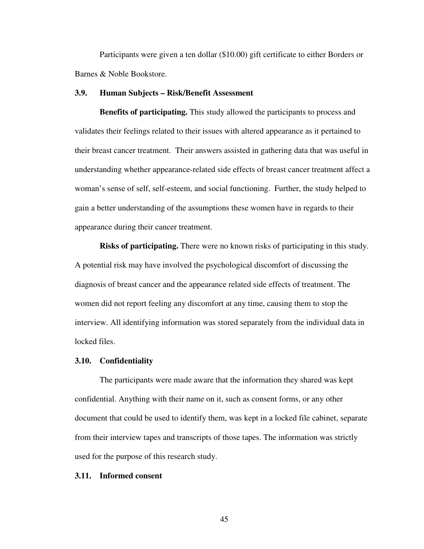Participants were given a ten dollar (\$10.00) gift certificate to either Borders or Barnes & Noble Bookstore.

# **3.9. Human Subjects – Risk/Benefit Assessment**

**Benefits of participating.** This study allowed the participants to process and validates their feelings related to their issues with altered appearance as it pertained to their breast cancer treatment. Their answers assisted in gathering data that was useful in understanding whether appearance-related side effects of breast cancer treatment affect a woman's sense of self, self-esteem, and social functioning. Further, the study helped to gain a better understanding of the assumptions these women have in regards to their appearance during their cancer treatment.

**Risks of participating.** There were no known risks of participating in this study. A potential risk may have involved the psychological discomfort of discussing the diagnosis of breast cancer and the appearance related side effects of treatment. The women did not report feeling any discomfort at any time, causing them to stop the interview. All identifying information was stored separately from the individual data in locked files.

#### **3.10. Confidentiality**

The participants were made aware that the information they shared was kept confidential. Anything with their name on it, such as consent forms, or any other document that could be used to identify them, was kept in a locked file cabinet, separate from their interview tapes and transcripts of those tapes. The information was strictly used for the purpose of this research study.

### **3.11. Informed consent**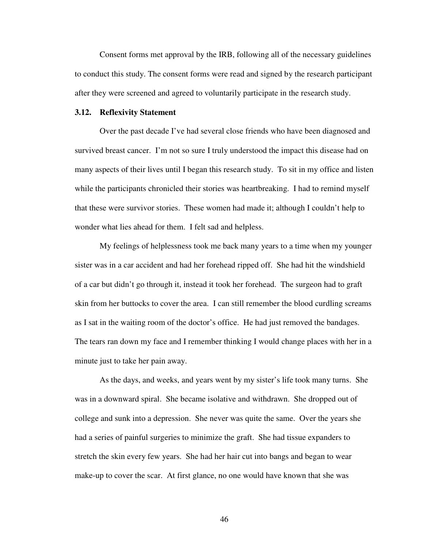Consent forms met approval by the IRB, following all of the necessary guidelines to conduct this study. The consent forms were read and signed by the research participant after they were screened and agreed to voluntarily participate in the research study.

#### **3.12. Reflexivity Statement**

Over the past decade I've had several close friends who have been diagnosed and survived breast cancer. I'm not so sure I truly understood the impact this disease had on many aspects of their lives until I began this research study. To sit in my office and listen while the participants chronicled their stories was heartbreaking. I had to remind myself that these were survivor stories. These women had made it; although I couldn't help to wonder what lies ahead for them. I felt sad and helpless.

My feelings of helplessness took me back many years to a time when my younger sister was in a car accident and had her forehead ripped off. She had hit the windshield of a car but didn't go through it, instead it took her forehead. The surgeon had to graft skin from her buttocks to cover the area. I can still remember the blood curdling screams as I sat in the waiting room of the doctor's office. He had just removed the bandages. The tears ran down my face and I remember thinking I would change places with her in a minute just to take her pain away.

As the days, and weeks, and years went by my sister's life took many turns. She was in a downward spiral. She became isolative and withdrawn. She dropped out of college and sunk into a depression. She never was quite the same. Over the years she had a series of painful surgeries to minimize the graft. She had tissue expanders to stretch the skin every few years. She had her hair cut into bangs and began to wear make-up to cover the scar. At first glance, no one would have known that she was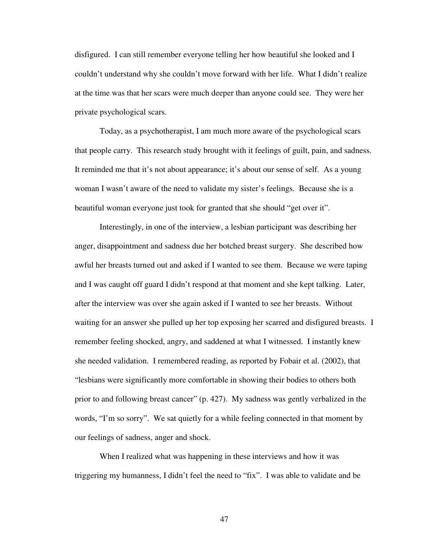disfigured. I can still remember everyone telling her how beautiful she looked and I couldn't understand why she couldn't move forward with her life. What I didn't realize at the time was that her scars were much deeper than anyone could see. They were her private psychological scars.

Today, as a psychotherapist, I am much more aware of the psychological scars that people carry. This research study brought with it feelings of guilt, pain, and sadness. It reminded me that it's not about appearance; it's about our sense of self. As a young woman I wasn't aware of the need to validate my sister's feelings. Because she is a beautiful woman everyone just took for granted that she should "get over it".

Interestingly, in one of the interview, a lesbian participant was describing her anger, disappointment and sadness due her botched breast surgery. She described how awful her breasts turned out and asked if I wanted to see them. Because we were taping and I was caught off guard I didn't respond at that moment and she kept talking. Later, after the interview was over she again asked if I wanted to see her breasts. Without waiting for an answer she pulled up her top exposing her scarred and disfigured breasts. I remember feeling shocked, angry, and saddened at what I witnessed. I instantly knew she needed validation. I remembered reading, as reported by Fobair et al. (2002), that "lesbians were significantly more comfortable in showing their bodies to others both prior to and following breast cancer" (p. 427). My sadness was gently verbalized in the words, "I'm so sorry". We sat quietly for a while feeling connected in that moment by our feelings of sadness, anger and shock.

When I realized what was happening in these interviews and how it was triggering my humanness, I didn't feel the need to "fix". I was able to validate and be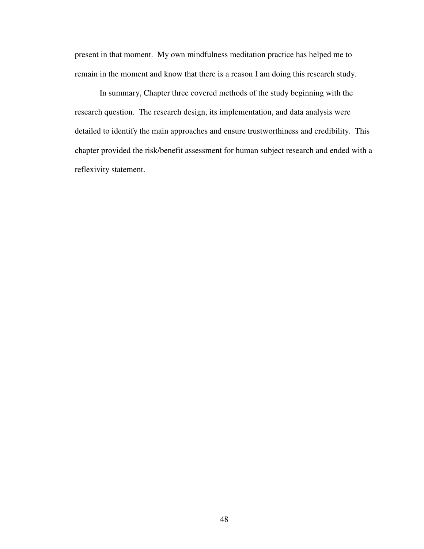present in that moment. My own mindfulness meditation practice has helped me to remain in the moment and know that there is a reason I am doing this research study.

In summary, Chapter three covered methods of the study beginning with the research question. The research design, its implementation, and data analysis were detailed to identify the main approaches and ensure trustworthiness and credibility. This chapter provided the risk/benefit assessment for human subject research and ended with a reflexivity statement.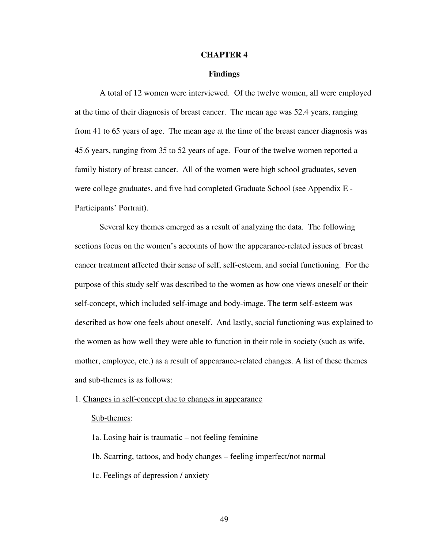#### **CHAPTER 4**

### **Findings**

A total of 12 women were interviewed. Of the twelve women, all were employed at the time of their diagnosis of breast cancer. The mean age was 52.4 years, ranging from 41 to 65 years of age. The mean age at the time of the breast cancer diagnosis was 45.6 years, ranging from 35 to 52 years of age. Four of the twelve women reported a family history of breast cancer. All of the women were high school graduates, seven were college graduates, and five had completed Graduate School (see Appendix E - Participants' Portrait).

Several key themes emerged as a result of analyzing the data. The following sections focus on the women's accounts of how the appearance-related issues of breast cancer treatment affected their sense of self, self-esteem, and social functioning. For the purpose of this study self was described to the women as how one views oneself or their self-concept, which included self-image and body-image. The term self-esteem was described as how one feels about oneself. And lastly, social functioning was explained to the women as how well they were able to function in their role in society (such as wife, mother, employee, etc.) as a result of appearance-related changes. A list of these themes and sub-themes is as follows:

1. Changes in self-concept due to changes in appearance

### Sub-themes:

- 1a. Losing hair is traumatic not feeling feminine
- 1b. Scarring, tattoos, and body changes feeling imperfect/not normal
- 1c. Feelings of depression / anxiety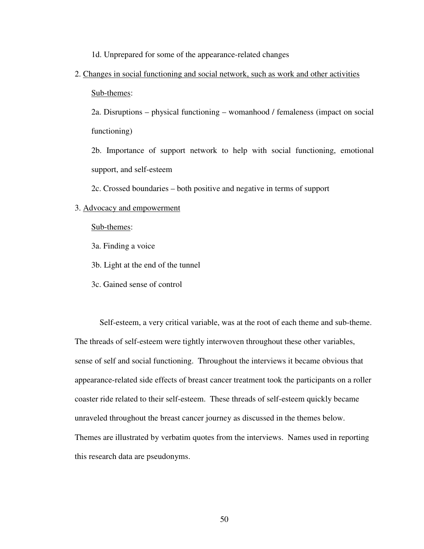1d. Unprepared for some of the appearance-related changes

2. Changes in social functioning and social network, such as work and other activities Sub-themes:

2a. Disruptions – physical functioning – womanhood / femaleness (impact on social functioning)

2b. Importance of support network to help with social functioning, emotional support, and self-esteem

2c. Crossed boundaries – both positive and negative in terms of support

#### 3. Advocacy and empowerment

Sub-themes:

3a. Finding a voice

3b. Light at the end of the tunnel

3c. Gained sense of control

Self-esteem, a very critical variable, was at the root of each theme and sub-theme. The threads of self-esteem were tightly interwoven throughout these other variables, sense of self and social functioning. Throughout the interviews it became obvious that appearance-related side effects of breast cancer treatment took the participants on a roller coaster ride related to their self-esteem. These threads of self-esteem quickly became unraveled throughout the breast cancer journey as discussed in the themes below. Themes are illustrated by verbatim quotes from the interviews. Names used in reporting this research data are pseudonyms.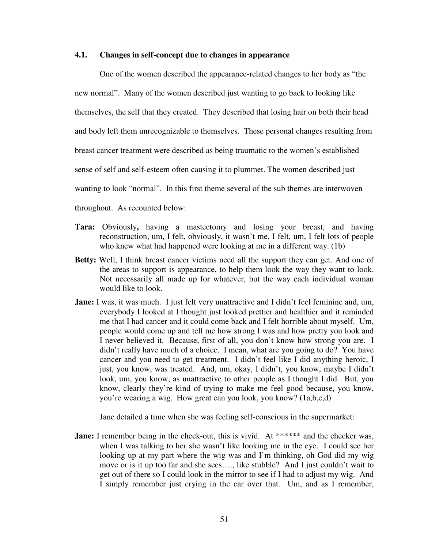### **4.1. Changes in self-concept due to changes in appearance**

One of the women described the appearance-related changes to her body as "the new normal". Many of the women described just wanting to go back to looking like themselves, the self that they created. They described that losing hair on both their head and body left them unrecognizable to themselves. These personal changes resulting from breast cancer treatment were described as being traumatic to the women's established sense of self and self-esteem often causing it to plummet. The women described just wanting to look "normal". In this first theme several of the sub themes are interwoven throughout. As recounted below:

- **Tara:** Obviously**,** having a mastectomy and losing your breast, and having reconstruction, um, I felt, obviously, it wasn't me, I felt, um, I felt lots of people who knew what had happened were looking at me in a different way. (1b)
- **Betty:** Well, I think breast cancer victims need all the support they can get. And one of the areas to support is appearance, to help them look the way they want to look. Not necessarily all made up for whatever, but the way each individual woman would like to look.
- **Jane:** I was, it was much. I just felt very unattractive and I didn't feel feminine and, um, everybody I looked at I thought just looked prettier and healthier and it reminded me that I had cancer and it could come back and I felt horrible about myself. Um, people would come up and tell me how strong I was and how pretty you look and I never believed it. Because, first of all, you don't know how strong you are. I didn't really have much of a choice. I mean, what are you going to do? You have cancer and you need to get treatment. I didn't feel like I did anything heroic, I just, you know, was treated. And, um, okay, I didn't, you know, maybe I didn't look, um, you know, as unattractive to other people as I thought I did. But, you know, clearly they're kind of trying to make me feel good because, you know, you're wearing a wig. How great can you look, you know? (1a,b,c,d)

Jane detailed a time when she was feeling self-conscious in the supermarket:

**Jane:** I remember being in the check-out, this is vivid. At \*\*\*\*\*\*\* and the checker was, when I was talking to her she wasn't like looking me in the eye. I could see her looking up at my part where the wig was and I'm thinking, oh God did my wig move or is it up too far and she sees…., like stubble? And I just couldn't wait to get out of there so I could look in the mirror to see if I had to adjust my wig. And I simply remember just crying in the car over that. Um, and as I remember,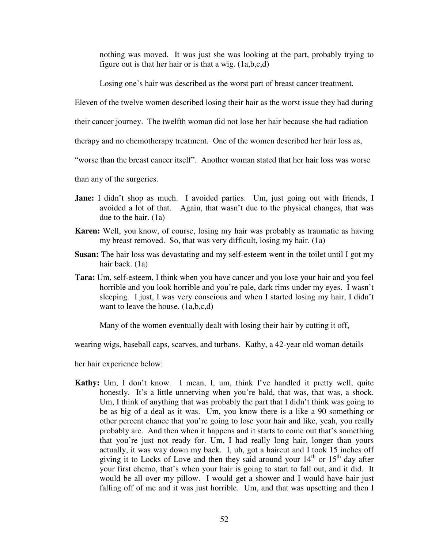nothing was moved. It was just she was looking at the part, probably trying to figure out is that her hair or is that a wig. (1a,b,c,d)

Losing one's hair was described as the worst part of breast cancer treatment.

Eleven of the twelve women described losing their hair as the worst issue they had during

their cancer journey. The twelfth woman did not lose her hair because she had radiation

therapy and no chemotherapy treatment. One of the women described her hair loss as,

"worse than the breast cancer itself". Another woman stated that her hair loss was worse

than any of the surgeries.

- Jane: I didn't shop as much. I avoided parties. Um, just going out with friends, I avoided a lot of that. Again, that wasn't due to the physical changes, that was due to the hair. (1a)
- **Karen:** Well, you know, of course, losing my hair was probably as traumatic as having my breast removed. So, that was very difficult, losing my hair. (1a)
- **Susan:** The hair loss was devastating and my self-esteem went in the toilet until I got my hair back. (1a)
- **Tara:** Um, self-esteem, I think when you have cancer and you lose your hair and you feel horrible and you look horrible and you're pale, dark rims under my eyes. I wasn't sleeping. I just, I was very conscious and when I started losing my hair, I didn't want to leave the house. (1a,b,c,d)

Many of the women eventually dealt with losing their hair by cutting it off,

wearing wigs, baseball caps, scarves, and turbans. Kathy, a 42-year old woman details

her hair experience below:

**Kathy:** Um, I don't know. I mean, I, um, think I've handled it pretty well, quite honestly. It's a little unnerving when you're bald, that was, that was, a shock. Um, I think of anything that was probably the part that I didn't think was going to be as big of a deal as it was. Um, you know there is a like a 90 something or other percent chance that you're going to lose your hair and like, yeah, you really probably are. And then when it happens and it starts to come out that's something that you're just not ready for. Um, I had really long hair, longer than yours actually, it was way down my back. I, uh, got a haircut and I took 15 inches off giving it to Locks of Love and then they said around your  $14<sup>th</sup>$  or  $15<sup>th</sup>$  day after your first chemo, that's when your hair is going to start to fall out, and it did. It would be all over my pillow. I would get a shower and I would have hair just falling off of me and it was just horrible. Um, and that was upsetting and then I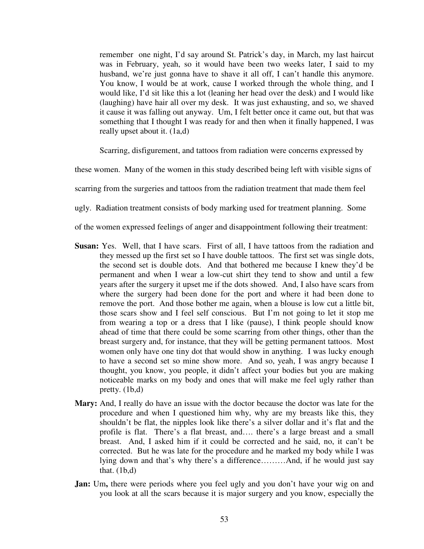remember one night, I'd say around St. Patrick's day, in March, my last haircut was in February, yeah, so it would have been two weeks later, I said to my husband, we're just gonna have to shave it all off, I can't handle this anymore. You know, I would be at work, cause I worked through the whole thing, and I would like, I'd sit like this a lot (leaning her head over the desk) and I would like (laughing) have hair all over my desk. It was just exhausting, and so, we shaved it cause it was falling out anyway. Um, I felt better once it came out, but that was something that I thought I was ready for and then when it finally happened, I was really upset about it. (1a,d)

Scarring, disfigurement, and tattoos from radiation were concerns expressed by

these women. Many of the women in this study described being left with visible signs of

scarring from the surgeries and tattoos from the radiation treatment that made them feel

ugly. Radiation treatment consists of body marking used for treatment planning. Some

of the women expressed feelings of anger and disappointment following their treatment:

- **Susan:** Yes. Well, that I have scars. First of all, I have tattoos from the radiation and they messed up the first set so I have double tattoos. The first set was single dots, the second set is double dots. And that bothered me because I knew they'd be permanent and when I wear a low-cut shirt they tend to show and until a few years after the surgery it upset me if the dots showed. And, I also have scars from where the surgery had been done for the port and where it had been done to remove the port. And those bother me again, when a blouse is low cut a little bit, those scars show and I feel self conscious. But I'm not going to let it stop me from wearing a top or a dress that I like (pause), I think people should know ahead of time that there could be some scarring from other things, other than the breast surgery and, for instance, that they will be getting permanent tattoos. Most women only have one tiny dot that would show in anything. I was lucky enough to have a second set so mine show more. And so, yeah, I was angry because I thought, you know, you people, it didn't affect your bodies but you are making noticeable marks on my body and ones that will make me feel ugly rather than pretty. (1b,d)
- **Mary:** And, I really do have an issue with the doctor because the doctor was late for the procedure and when I questioned him why, why are my breasts like this, they shouldn't be flat, the nipples look like there's a silver dollar and it's flat and the profile is flat. There's a flat breast, and…. there's a large breast and a small breast. And, I asked him if it could be corrected and he said, no, it can't be corrected. But he was late for the procedure and he marked my body while I was lying down and that's why there's a difference………And, if he would just say that.  $(1b,d)$
- **Jan:** Um, there were periods where you feel ugly and you don't have your wig on and you look at all the scars because it is major surgery and you know, especially the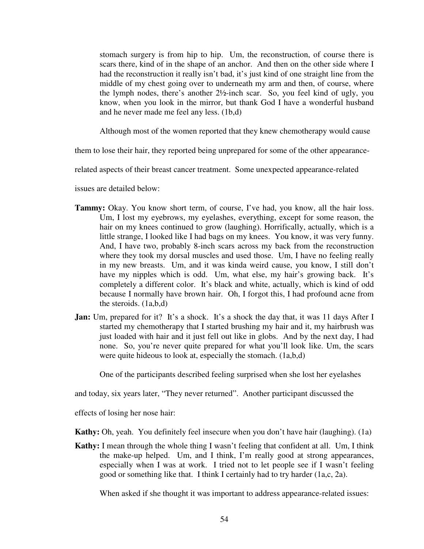stomach surgery is from hip to hip. Um, the reconstruction, of course there is scars there, kind of in the shape of an anchor. And then on the other side where I had the reconstruction it really isn't bad, it's just kind of one straight line from the middle of my chest going over to underneath my arm and then, of course, where the lymph nodes, there's another 2½-inch scar. So, you feel kind of ugly, you know, when you look in the mirror, but thank God I have a wonderful husband and he never made me feel any less. (1b,d)

Although most of the women reported that they knew chemotherapy would cause

them to lose their hair, they reported being unprepared for some of the other appearance-

related aspects of their breast cancer treatment. Some unexpected appearance-related

issues are detailed below:

- **Tammy:** Okay. You know short term, of course, I've had, you know, all the hair loss. Um, I lost my eyebrows, my eyelashes, everything, except for some reason, the hair on my knees continued to grow (laughing). Horrifically, actually, which is a little strange, I looked like I had bags on my knees. You know, it was very funny. And, I have two, probably 8-inch scars across my back from the reconstruction where they took my dorsal muscles and used those. Um, I have no feeling really in my new breasts. Um, and it was kinda weird cause, you know, I still don't have my nipples which is odd. Um, what else, my hair's growing back. It's completely a different color. It's black and white, actually, which is kind of odd because I normally have brown hair. Oh, I forgot this, I had profound acne from the steroids. (1a,b,d)
- **Jan:** Um, prepared for it? It's a shock. It's a shock the day that, it was 11 days After I started my chemotherapy that I started brushing my hair and it, my hairbrush was just loaded with hair and it just fell out like in globs. And by the next day, I had none. So, you're never quite prepared for what you'll look like. Um, the scars were quite hideous to look at, especially the stomach. (1a,b,d)

One of the participants described feeling surprised when she lost her eyelashes

and today, six years later, "They never returned". Another participant discussed the

effects of losing her nose hair:

**Kathy:** Oh, yeah. You definitely feel insecure when you don't have hair (laughing). (1a)

**Kathy:** I mean through the whole thing I wasn't feeling that confident at all. Um, I think the make-up helped. Um, and I think, I'm really good at strong appearances, especially when I was at work. I tried not to let people see if I wasn't feeling good or something like that. I think I certainly had to try harder (1a,c, 2a).

When asked if she thought it was important to address appearance-related issues: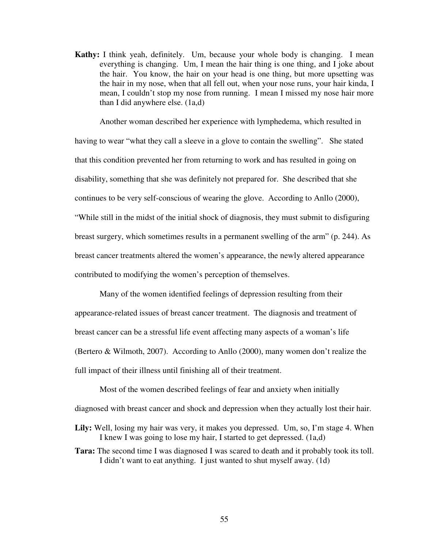**Kathy:** I think yeah, definitely. Um, because your whole body is changing. I mean everything is changing. Um, I mean the hair thing is one thing, and I joke about the hair. You know, the hair on your head is one thing, but more upsetting was the hair in my nose, when that all fell out, when your nose runs, your hair kinda, I mean, I couldn't stop my nose from running. I mean I missed my nose hair more than I did anywhere else. (1a,d)

Another woman described her experience with lymphedema, which resulted in having to wear "what they call a sleeve in a glove to contain the swelling". She stated that this condition prevented her from returning to work and has resulted in going on disability, something that she was definitely not prepared for. She described that she continues to be very self-conscious of wearing the glove. According to Anllo (2000), "While still in the midst of the initial shock of diagnosis, they must submit to disfiguring breast surgery, which sometimes results in a permanent swelling of the arm" (p. 244). As breast cancer treatments altered the women's appearance, the newly altered appearance contributed to modifying the women's perception of themselves.

Many of the women identified feelings of depression resulting from their appearance-related issues of breast cancer treatment. The diagnosis and treatment of breast cancer can be a stressful life event affecting many aspects of a woman's life (Bertero & Wilmoth, 2007). According to Anllo (2000), many women don't realize the full impact of their illness until finishing all of their treatment.

Most of the women described feelings of fear and anxiety when initially diagnosed with breast cancer and shock and depression when they actually lost their hair.

- **Lily:** Well, losing my hair was very, it makes you depressed. Um, so, I'm stage 4. When I knew I was going to lose my hair, I started to get depressed. (1a,d)
- **Tara:** The second time I was diagnosed I was scared to death and it probably took its toll. I didn't want to eat anything. I just wanted to shut myself away. (1d)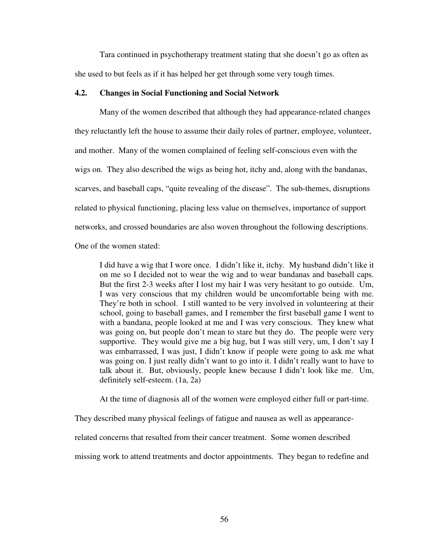Tara continued in psychotherapy treatment stating that she doesn't go as often as she used to but feels as if it has helped her get through some very tough times.

# **4.2. Changes in Social Functioning and Social Network**

Many of the women described that although they had appearance-related changes they reluctantly left the house to assume their daily roles of partner, employee, volunteer, and mother. Many of the women complained of feeling self-conscious even with the wigs on. They also described the wigs as being hot, itchy and, along with the bandanas, scarves, and baseball caps, "quite revealing of the disease". The sub-themes, disruptions related to physical functioning, placing less value on themselves, importance of support networks, and crossed boundaries are also woven throughout the following descriptions. One of the women stated:

I did have a wig that I wore once. I didn't like it, itchy. My husband didn't like it on me so I decided not to wear the wig and to wear bandanas and baseball caps. But the first 2-3 weeks after I lost my hair I was very hesitant to go outside. Um, I was very conscious that my children would be uncomfortable being with me. They're both in school. I still wanted to be very involved in volunteering at their school, going to baseball games, and I remember the first baseball game I went to with a bandana, people looked at me and I was very conscious. They knew what was going on, but people don't mean to stare but they do. The people were very supportive. They would give me a big hug, but I was still very, um, I don't say I was embarrassed, I was just, I didn't know if people were going to ask me what was going on. I just really didn't want to go into it. I didn't really want to have to talk about it. But, obviously, people knew because I didn't look like me. Um, definitely self-esteem. (1a, 2a)

At the time of diagnosis all of the women were employed either full or part-time.

They described many physical feelings of fatigue and nausea as well as appearance-

related concerns that resulted from their cancer treatment. Some women described

missing work to attend treatments and doctor appointments. They began to redefine and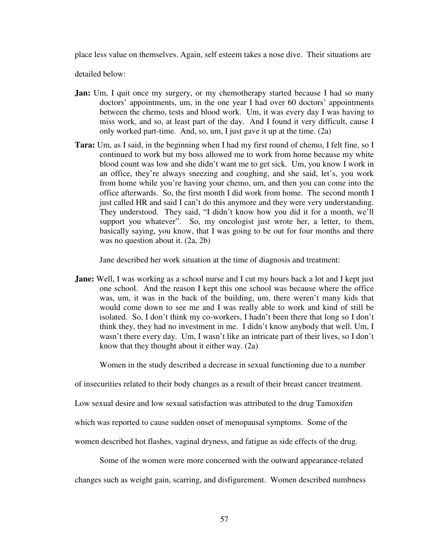place less value on themselves. Again, self esteem takes a nose dive. Their situations are

detailed below:

- **Jan:** Um, I quit once my surgery, or my chemotherapy started because I had so many doctors' appointments, um, in the one year I had over 60 doctors' appointments between the chemo, tests and blood work. Um, it was every day I was having to miss work, and so, at least part of the day. And I found it very difficult, cause I only worked part-time. And, so, um, I just gave it up at the time. (2a)
- **Tara:** Um, as I said, in the beginning when I had my first round of chemo, I felt fine, so I continued to work but my boss allowed me to work from home because my white blood count was low and she didn't want me to get sick. Um, you know I work in an office, they're always sneezing and coughing, and she said, let's, you work from home while you're having your chemo, um, and then you can come into the office afterwards. So, the first month I did work from home. The second month I just called HR and said I can't do this anymore and they were very understanding. They understood. They said, "I didn't know how you did it for a month, we'll support you whatever". So, my oncologist just wrote her, a letter, to them, basically saying, you know, that I was going to be out for four months and there was no question about it. (2a, 2b)

Jane described her work situation at the time of diagnosis and treatment:

**Jane:** Well, I was working as a school nurse and I cut my hours back a lot and I kept just one school. And the reason I kept this one school was because where the office was, um, it was in the back of the building, um, there weren't many kids that would come down to see me and I was really able to work and kind of still be isolated. So, I don't think my co-workers, I hadn't been there that long so I don't think they, they had no investment in me. I didn't know anybody that well. Um, I wasn't there every day. Um, I wasn't like an intricate part of their lives, so I don't know that they thought about it either way. (2a)

Women in the study described a decrease in sexual functioning due to a number

of insecurities related to their body changes as a result of their breast cancer treatment.

Low sexual desire and low sexual satisfaction was attributed to the drug Tamoxifen

which was reported to cause sudden onset of menopausal symptoms. Some of the

women described hot flashes, vaginal dryness, and fatigue as side effects of the drug.

Some of the women were more concerned with the outward appearance-related

changes such as weight gain, scarring, and disfigurement. Women described numbness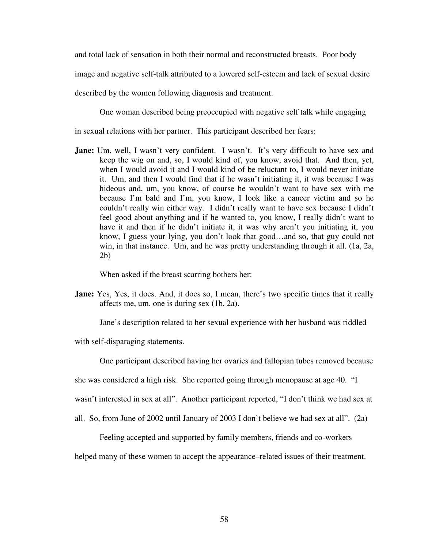and total lack of sensation in both their normal and reconstructed breasts. Poor body

image and negative self-talk attributed to a lowered self-esteem and lack of sexual desire

described by the women following diagnosis and treatment.

One woman described being preoccupied with negative self talk while engaging

in sexual relations with her partner. This participant described her fears:

**Jane:** Um, well, I wasn't very confident. I wasn't. It's very difficult to have sex and keep the wig on and, so, I would kind of, you know, avoid that. And then, yet, when I would avoid it and I would kind of be reluctant to, I would never initiate it. Um, and then I would find that if he wasn't initiating it, it was because I was hideous and, um, you know, of course he wouldn't want to have sex with me because I'm bald and I'm, you know, I look like a cancer victim and so he couldn't really win either way. I didn't really want to have sex because I didn't feel good about anything and if he wanted to, you know, I really didn't want to have it and then if he didn't initiate it, it was why aren't you initiating it, you know, I guess your lying, you don't look that good…and so, that guy could not win, in that instance. Um, and he was pretty understanding through it all. (1a, 2a, 2b)

When asked if the breast scarring bothers her:

Jane: Yes, Yes, it does. And, it does so, I mean, there's two specific times that it really affects me, um, one is during sex (1b, 2a).

Jane's description related to her sexual experience with her husband was riddled

with self-disparaging statements.

One participant described having her ovaries and fallopian tubes removed because

she was considered a high risk. She reported going through menopause at age 40. "I

wasn't interested in sex at all". Another participant reported, "I don't think we had sex at

all. So, from June of 2002 until January of 2003 I don't believe we had sex at all". (2a)

Feeling accepted and supported by family members, friends and co-workers

helped many of these women to accept the appearance–related issues of their treatment.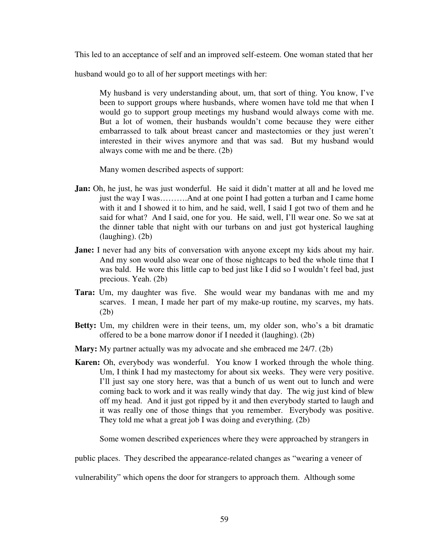This led to an acceptance of self and an improved self-esteem. One woman stated that her

husband would go to all of her support meetings with her:

My husband is very understanding about, um, that sort of thing. You know, I've been to support groups where husbands, where women have told me that when I would go to support group meetings my husband would always come with me. But a lot of women, their husbands wouldn't come because they were either embarrassed to talk about breast cancer and mastectomies or they just weren't interested in their wives anymore and that was sad. But my husband would always come with me and be there. (2b)

Many women described aspects of support:

- Jan: Oh, he just, he was just wonderful. He said it didn't matter at all and he loved me just the way I was……….And at one point I had gotten a turban and I came home with it and I showed it to him, and he said, well, I said I got two of them and he said for what? And I said, one for you. He said, well, I'll wear one. So we sat at the dinner table that night with our turbans on and just got hysterical laughing (laughing). (2b)
- **Jane:** I never had any bits of conversation with anyone except my kids about my hair. And my son would also wear one of those nightcaps to bed the whole time that I was bald. He wore this little cap to bed just like I did so I wouldn't feel bad, just precious. Yeah. (2b)
- **Tara:** Um, my daughter was five. She would wear my bandanas with me and my scarves. I mean, I made her part of my make-up routine, my scarves, my hats. (2b)
- **Betty:** Um, my children were in their teens, um, my older son, who's a bit dramatic offered to be a bone marrow donor if I needed it (laughing). (2b)
- **Mary:** My partner actually was my advocate and she embraced me 24/7. (2b)
- Karen: Oh, everybody was wonderful. You know I worked through the whole thing. Um, I think I had my mastectomy for about six weeks. They were very positive. I'll just say one story here, was that a bunch of us went out to lunch and were coming back to work and it was really windy that day. The wig just kind of blew off my head. And it just got ripped by it and then everybody started to laugh and it was really one of those things that you remember. Everybody was positive. They told me what a great job I was doing and everything. (2b)

Some women described experiences where they were approached by strangers in

public places. They described the appearance-related changes as "wearing a veneer of

vulnerability" which opens the door for strangers to approach them. Although some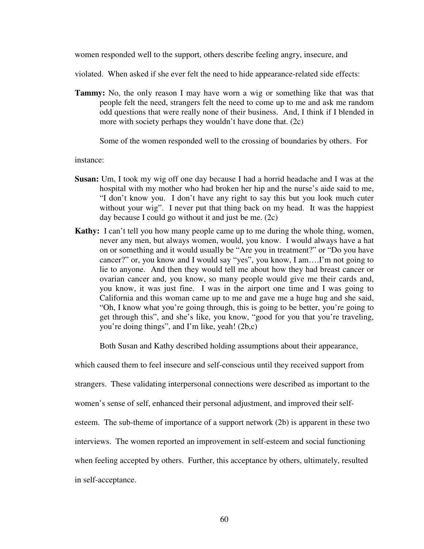women responded well to the support, others describe feeling angry, insecure, and

violated. When asked if she ever felt the need to hide appearance-related side effects:

**Tammy:** No, the only reason I may have worn a wig or something like that was that people felt the need, strangers felt the need to come up to me and ask me random odd questions that were really none of their business. And, I think if I blended in more with society perhaps they wouldn't have done that. (2c)

Some of the women responded well to the crossing of boundaries by others. For

instance:

- **Susan:** Um, I took my wig off one day because I had a horrid headache and I was at the hospital with my mother who had broken her hip and the nurse's aide said to me, "I don't know you. I don't have any right to say this but you look much cuter without your wig". I never put that thing back on my head. It was the happiest day because I could go without it and just be me. (2c)
- **Kathy:** I can't tell you how many people came up to me during the whole thing, women, never any men, but always women, would, you know. I would always have a hat on or something and it would usually be "Are you in treatment?" or "Do you have cancer?" or, you know and I would say "yes", you know, I am….I'm not going to lie to anyone. And then they would tell me about how they had breast cancer or ovarian cancer and, you know, so many people would give me their cards and, you know, it was just fine. I was in the airport one time and I was going to California and this woman came up to me and gave me a huge hug and she said, "Oh, I know what you're going through, this is going to be better, you're going to get through this", and she's like, you know, "good for you that you're traveling, you're doing things", and I'm like, yeah! (2b,c)

Both Susan and Kathy described holding assumptions about their appearance,

which caused them to feel insecure and self-conscious until they received support from

strangers. These validating interpersonal connections were described as important to the

women's sense of self, enhanced their personal adjustment, and improved their self-

esteem. The sub-theme of importance of a support network (2b) is apparent in these two

interviews. The women reported an improvement in self-esteem and social functioning

when feeling accepted by others. Further, this acceptance by others, ultimately, resulted

in self-acceptance.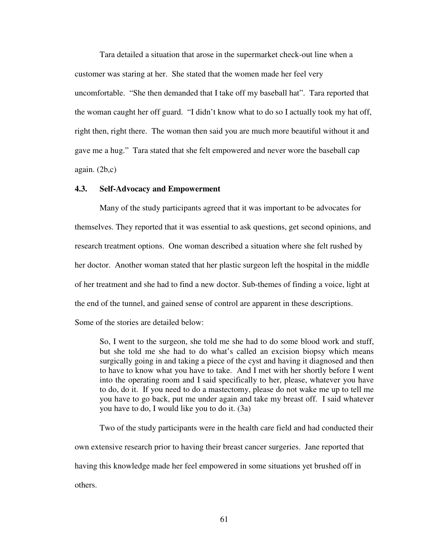Tara detailed a situation that arose in the supermarket check-out line when a customer was staring at her. She stated that the women made her feel very uncomfortable. "She then demanded that I take off my baseball hat". Tara reported that the woman caught her off guard. "I didn't know what to do so I actually took my hat off, right then, right there. The woman then said you are much more beautiful without it and gave me a hug." Tara stated that she felt empowered and never wore the baseball cap again. (2b,c)

### **4.3. Self-Advocacy and Empowerment**

Many of the study participants agreed that it was important to be advocates for themselves. They reported that it was essential to ask questions, get second opinions, and research treatment options. One woman described a situation where she felt rushed by her doctor. Another woman stated that her plastic surgeon left the hospital in the middle of her treatment and she had to find a new doctor. Sub-themes of finding a voice, light at the end of the tunnel, and gained sense of control are apparent in these descriptions.

Some of the stories are detailed below:

So, I went to the surgeon, she told me she had to do some blood work and stuff, but she told me she had to do what's called an excision biopsy which means surgically going in and taking a piece of the cyst and having it diagnosed and then to have to know what you have to take. And I met with her shortly before I went into the operating room and I said specifically to her, please, whatever you have to do, do it. If you need to do a mastectomy, please do not wake me up to tell me you have to go back, put me under again and take my breast off. I said whatever you have to do, I would like you to do it. (3a)

Two of the study participants were in the health care field and had conducted their

own extensive research prior to having their breast cancer surgeries. Jane reported that

having this knowledge made her feel empowered in some situations yet brushed off in

others.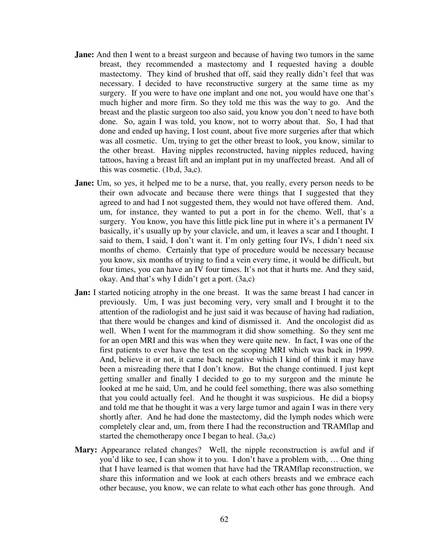- **Jane:** And then I went to a breast surgeon and because of having two tumors in the same breast, they recommended a mastectomy and I requested having a double mastectomy. They kind of brushed that off, said they really didn't feel that was necessary. I decided to have reconstructive surgery at the same time as my surgery. If you were to have one implant and one not, you would have one that's much higher and more firm. So they told me this was the way to go. And the breast and the plastic surgeon too also said, you know you don't need to have both done. So, again I was told, you know, not to worry about that. So, I had that done and ended up having, I lost count, about five more surgeries after that which was all cosmetic. Um, trying to get the other breast to look, you know, similar to the other breast. Having nipples reconstructed, having nipples reduced, having tattoos, having a breast lift and an implant put in my unaffected breast. And all of this was cosmetic. (1b,d, 3a,c).
- **Jane:** Um, so yes, it helped me to be a nurse, that, you really, every person needs to be their own advocate and because there were things that I suggested that they agreed to and had I not suggested them, they would not have offered them. And, um, for instance, they wanted to put a port in for the chemo. Well, that's a surgery. You know, you have this little pick line put in where it's a permanent IV basically, it's usually up by your clavicle, and um, it leaves a scar and I thought. I said to them, I said, I don't want it. I'm only getting four IVs, I didn't need six months of chemo. Certainly that type of procedure would be necessary because you know, six months of trying to find a vein every time, it would be difficult, but four times, you can have an IV four times. It's not that it hurts me. And they said, okay. And that's why I didn't get a port. (3a,c)
- **Jan:** I started noticing atrophy in the one breast. It was the same breast I had cancer in previously. Um, I was just becoming very, very small and I brought it to the attention of the radiologist and he just said it was because of having had radiation, that there would be changes and kind of dismissed it. And the oncologist did as well. When I went for the mammogram it did show something. So they sent me for an open MRI and this was when they were quite new. In fact, I was one of the first patients to ever have the test on the scoping MRI which was back in 1999. And, believe it or not, it came back negative which I kind of think it may have been a misreading there that I don't know. But the change continued. I just kept getting smaller and finally I decided to go to my surgeon and the minute he looked at me he said, Um, and he could feel something, there was also something that you could actually feel. And he thought it was suspicious. He did a biopsy and told me that he thought it was a very large tumor and again I was in there very shortly after. And he had done the mastectomy, did the lymph nodes which were completely clear and, um, from there I had the reconstruction and TRAMflap and started the chemotherapy once I began to heal. (3a,c)
- **Mary:** Appearance related changes? Well, the nipple reconstruction is awful and if you'd like to see, I can show it to you. I don't have a problem with, … One thing that I have learned is that women that have had the TRAMflap reconstruction, we share this information and we look at each others breasts and we embrace each other because, you know, we can relate to what each other has gone through. And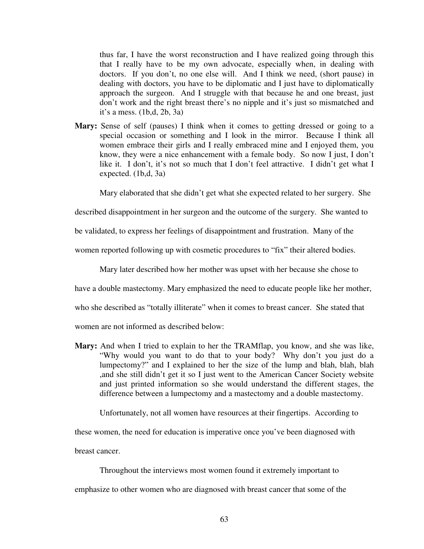thus far, I have the worst reconstruction and I have realized going through this that I really have to be my own advocate, especially when, in dealing with doctors. If you don't, no one else will. And I think we need, (short pause) in dealing with doctors, you have to be diplomatic and I just have to diplomatically approach the surgeon. And I struggle with that because he and one breast, just don't work and the right breast there's no nipple and it's just so mismatched and it's a mess. (1b,d, 2b, 3a)

**Mary:** Sense of self (pauses) I think when it comes to getting dressed or going to a special occasion or something and I look in the mirror. Because I think all women embrace their girls and I really embraced mine and I enjoyed them, you know, they were a nice enhancement with a female body. So now I just, I don't like it. I don't, it's not so much that I don't feel attractive. I didn't get what I expected. (1b,d, 3a)

Mary elaborated that she didn't get what she expected related to her surgery. She

described disappointment in her surgeon and the outcome of the surgery. She wanted to

be validated, to express her feelings of disappointment and frustration. Many of the

women reported following up with cosmetic procedures to "fix" their altered bodies.

Mary later described how her mother was upset with her because she chose to

have a double mastectomy. Mary emphasized the need to educate people like her mother,

who she described as "totally illiterate" when it comes to breast cancer. She stated that

women are not informed as described below:

**Mary:** And when I tried to explain to her the TRAMflap, you know, and she was like, "Why would you want to do that to your body? Why don't you just do a lumpectomy?" and I explained to her the size of the lump and blah, blah, blah ,and she still didn't get it so I just went to the American Cancer Society website and just printed information so she would understand the different stages, the difference between a lumpectomy and a mastectomy and a double mastectomy.

Unfortunately, not all women have resources at their fingertips. According to

these women, the need for education is imperative once you've been diagnosed with

breast cancer.

Throughout the interviews most women found it extremely important to emphasize to other women who are diagnosed with breast cancer that some of the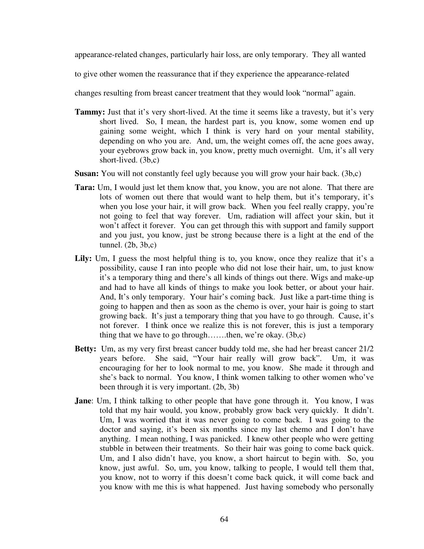appearance-related changes, particularly hair loss, are only temporary. They all wanted

to give other women the reassurance that if they experience the appearance-related

changes resulting from breast cancer treatment that they would look "normal" again.

- **Tammy:** Just that it's very short-lived. At the time it seems like a travesty, but it's very short lived. So, I mean, the hardest part is, you know, some women end up gaining some weight, which I think is very hard on your mental stability, depending on who you are. And, um, the weight comes off, the acne goes away, your eyebrows grow back in, you know, pretty much overnight. Um, it's all very short-lived. (3b,c)
- **Susan:** You will not constantly feel ugly because you will grow your hair back. (3b,c)
- **Tara:** Um, I would just let them know that, you know, you are not alone. That there are lots of women out there that would want to help them, but it's temporary, it's when you lose your hair, it will grow back. When you feel really crappy, you're not going to feel that way forever. Um, radiation will affect your skin, but it won't affect it forever. You can get through this with support and family support and you just, you know, just be strong because there is a light at the end of the tunnel. (2b, 3b,c)
- Lily: Um, I guess the most helpful thing is to, you know, once they realize that it's a possibility, cause I ran into people who did not lose their hair, um, to just know it's a temporary thing and there's all kinds of things out there. Wigs and make-up and had to have all kinds of things to make you look better, or about your hair. And, It's only temporary. Your hair's coming back. Just like a part-time thing is going to happen and then as soon as the chemo is over, your hair is going to start growing back. It's just a temporary thing that you have to go through. Cause, it's not forever. I think once we realize this is not forever, this is just a temporary thing that we have to go through…….then, we're okay. (3b,c)
- **Betty:** Um, as my very first breast cancer buddy told me, she had her breast cancer 21/2 years before. She said, "Your hair really will grow back". Um, it was encouraging for her to look normal to me, you know. She made it through and she's back to normal. You know, I think women talking to other women who've been through it is very important. (2b, 3b)
- **Jane**: Um, I think talking to other people that have gone through it. You know, I was told that my hair would, you know, probably grow back very quickly. It didn't. Um, I was worried that it was never going to come back. I was going to the doctor and saying, it's been six months since my last chemo and I don't have anything. I mean nothing, I was panicked. I knew other people who were getting stubble in between their treatments. So their hair was going to come back quick. Um, and I also didn't have, you know, a short haircut to begin with. So, you know, just awful. So, um, you know, talking to people, I would tell them that, you know, not to worry if this doesn't come back quick, it will come back and you know with me this is what happened. Just having somebody who personally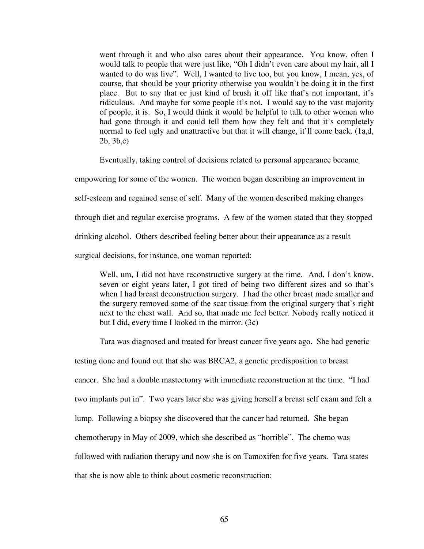went through it and who also cares about their appearance. You know, often I would talk to people that were just like, "Oh I didn't even care about my hair, all I wanted to do was live". Well, I wanted to live too, but you know, I mean, yes, of course, that should be your priority otherwise you wouldn't be doing it in the first place. But to say that or just kind of brush it off like that's not important, it's ridiculous. And maybe for some people it's not. I would say to the vast majority of people, it is. So, I would think it would be helpful to talk to other women who had gone through it and could tell them how they felt and that it's completely normal to feel ugly and unattractive but that it will change, it'll come back. (1a,d, 2b, 3b,c)

Eventually, taking control of decisions related to personal appearance became

empowering for some of the women. The women began describing an improvement in

self-esteem and regained sense of self. Many of the women described making changes

through diet and regular exercise programs. A few of the women stated that they stopped

drinking alcohol. Others described feeling better about their appearance as a result

surgical decisions, for instance, one woman reported:

Well, um, I did not have reconstructive surgery at the time. And, I don't know, seven or eight years later, I got tired of being two different sizes and so that's when I had breast deconstruction surgery. I had the other breast made smaller and the surgery removed some of the scar tissue from the original surgery that's right next to the chest wall. And so, that made me feel better. Nobody really noticed it but I did, every time I looked in the mirror. (3c)

Tara was diagnosed and treated for breast cancer five years ago. She had genetic

testing done and found out that she was BRCA2, a genetic predisposition to breast cancer. She had a double mastectomy with immediate reconstruction at the time. "I had two implants put in". Two years later she was giving herself a breast self exam and felt a lump. Following a biopsy she discovered that the cancer had returned. She began chemotherapy in May of 2009, which she described as "horrible". The chemo was followed with radiation therapy and now she is on Tamoxifen for five years. Tara states that she is now able to think about cosmetic reconstruction: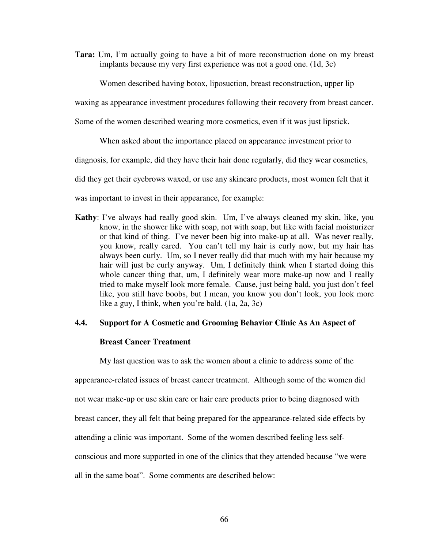**Tara:** Um, I'm actually going to have a bit of more reconstruction done on my breast implants because my very first experience was not a good one. (1d, 3c)

Women described having botox, liposuction, breast reconstruction, upper lip

waxing as appearance investment procedures following their recovery from breast cancer.

Some of the women described wearing more cosmetics, even if it was just lipstick.

When asked about the importance placed on appearance investment prior to

diagnosis, for example, did they have their hair done regularly, did they wear cosmetics,

did they get their eyebrows waxed, or use any skincare products, most women felt that it

was important to invest in their appearance, for example:

**Kathy**: I've always had really good skin. Um, I've always cleaned my skin, like, you know, in the shower like with soap, not with soap, but like with facial moisturizer or that kind of thing. I've never been big into make-up at all. Was never really, you know, really cared. You can't tell my hair is curly now, but my hair has always been curly. Um, so I never really did that much with my hair because my hair will just be curly anyway. Um, I definitely think when I started doing this whole cancer thing that, um, I definitely wear more make-up now and I really tried to make myself look more female. Cause, just being bald, you just don't feel like, you still have boobs, but I mean, you know you don't look, you look more like a guy, I think, when you're bald. (1a, 2a, 3c)

## **4.4. Support for A Cosmetic and Grooming Behavior Clinic As An Aspect of**

## **Breast Cancer Treatment**

My last question was to ask the women about a clinic to address some of the appearance-related issues of breast cancer treatment. Although some of the women did not wear make-up or use skin care or hair care products prior to being diagnosed with breast cancer, they all felt that being prepared for the appearance-related side effects by attending a clinic was important. Some of the women described feeling less selfconscious and more supported in one of the clinics that they attended because "we were all in the same boat". Some comments are described below: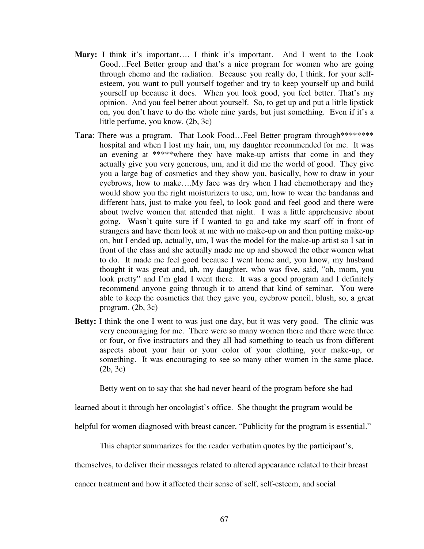- **Mary:** I think it's important…. I think it's important. And I went to the Look Good…Feel Better group and that's a nice program for women who are going through chemo and the radiation. Because you really do, I think, for your selfesteem, you want to pull yourself together and try to keep yourself up and build yourself up because it does. When you look good, you feel better. That's my opinion. And you feel better about yourself. So, to get up and put a little lipstick on, you don't have to do the whole nine yards, but just something. Even if it's a little perfume, you know. (2b, 3c)
- Tara: There was a program. That Look Food...Feel Better program through\*\*\*\*\*\*\*\* hospital and when I lost my hair, um, my daughter recommended for me. It was an evening at \*\*\*\*\*where they have make-up artists that come in and they actually give you very generous, um, and it did me the world of good. They give you a large bag of cosmetics and they show you, basically, how to draw in your eyebrows, how to make….My face was dry when I had chemotherapy and they would show you the right moisturizers to use, um, how to wear the bandanas and different hats, just to make you feel, to look good and feel good and there were about twelve women that attended that night. I was a little apprehensive about going. Wasn't quite sure if I wanted to go and take my scarf off in front of strangers and have them look at me with no make-up on and then putting make-up on, but I ended up, actually, um, I was the model for the make-up artist so I sat in front of the class and she actually made me up and showed the other women what to do. It made me feel good because I went home and, you know, my husband thought it was great and, uh, my daughter, who was five, said, "oh, mom, you look pretty" and I'm glad I went there. It was a good program and I definitely recommend anyone going through it to attend that kind of seminar. You were able to keep the cosmetics that they gave you, eyebrow pencil, blush, so, a great program. (2b, 3c)
- **Betty:** I think the one I went to was just one day, but it was very good. The clinic was very encouraging for me. There were so many women there and there were three or four, or five instructors and they all had something to teach us from different aspects about your hair or your color of your clothing, your make-up, or something. It was encouraging to see so many other women in the same place. (2b, 3c)

Betty went on to say that she had never heard of the program before she had

learned about it through her oncologist's office. She thought the program would be

helpful for women diagnosed with breast cancer, "Publicity for the program is essential."

This chapter summarizes for the reader verbatim quotes by the participant's,

themselves, to deliver their messages related to altered appearance related to their breast

cancer treatment and how it affected their sense of self, self-esteem, and social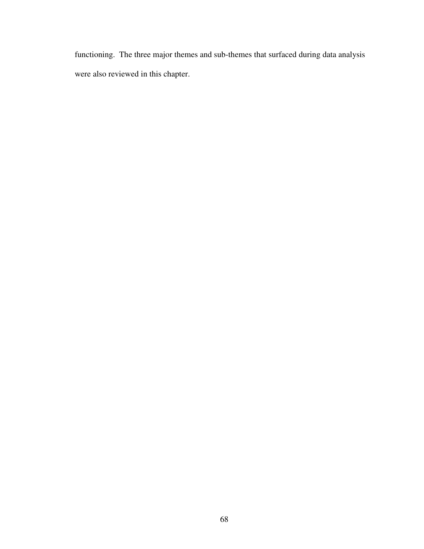functioning. The three major themes and sub-themes that surfaced during data analysis were also reviewed in this chapter.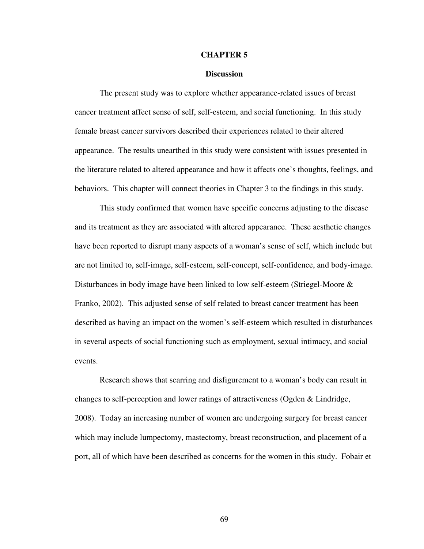#### **CHAPTER 5**

#### **Discussion**

The present study was to explore whether appearance-related issues of breast cancer treatment affect sense of self, self-esteem, and social functioning. In this study female breast cancer survivors described their experiences related to their altered appearance. The results unearthed in this study were consistent with issues presented in the literature related to altered appearance and how it affects one's thoughts, feelings, and behaviors. This chapter will connect theories in Chapter 3 to the findings in this study.

This study confirmed that women have specific concerns adjusting to the disease and its treatment as they are associated with altered appearance. These aesthetic changes have been reported to disrupt many aspects of a woman's sense of self, which include but are not limited to, self-image, self-esteem, self-concept, self-confidence, and body-image. Disturbances in body image have been linked to low self-esteem (Striegel-Moore & Franko, 2002). This adjusted sense of self related to breast cancer treatment has been described as having an impact on the women's self-esteem which resulted in disturbances in several aspects of social functioning such as employment, sexual intimacy, and social events.

Research shows that scarring and disfigurement to a woman's body can result in changes to self-perception and lower ratings of attractiveness (Ogden & Lindridge, 2008). Today an increasing number of women are undergoing surgery for breast cancer which may include lumpectomy, mastectomy, breast reconstruction, and placement of a port, all of which have been described as concerns for the women in this study. Fobair et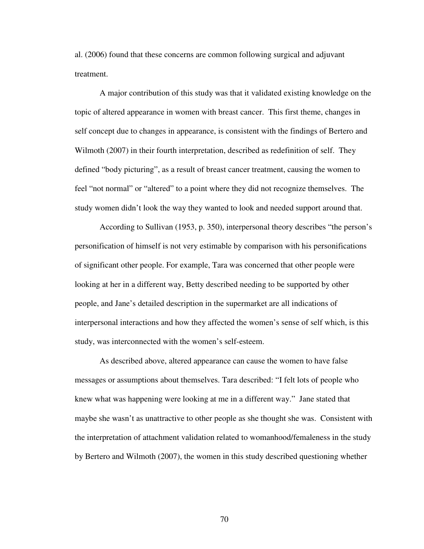al. (2006) found that these concerns are common following surgical and adjuvant treatment.

A major contribution of this study was that it validated existing knowledge on the topic of altered appearance in women with breast cancer. This first theme, changes in self concept due to changes in appearance, is consistent with the findings of Bertero and Wilmoth (2007) in their fourth interpretation, described as redefinition of self. They defined "body picturing", as a result of breast cancer treatment, causing the women to feel "not normal" or "altered" to a point where they did not recognize themselves. The study women didn't look the way they wanted to look and needed support around that.

According to Sullivan (1953, p. 350), interpersonal theory describes "the person's personification of himself is not very estimable by comparison with his personifications of significant other people. For example, Tara was concerned that other people were looking at her in a different way, Betty described needing to be supported by other people, and Jane's detailed description in the supermarket are all indications of interpersonal interactions and how they affected the women's sense of self which, is this study, was interconnected with the women's self-esteem.

As described above, altered appearance can cause the women to have false messages or assumptions about themselves. Tara described: "I felt lots of people who knew what was happening were looking at me in a different way." Jane stated that maybe she wasn't as unattractive to other people as she thought she was. Consistent with the interpretation of attachment validation related to womanhood/femaleness in the study by Bertero and Wilmoth (2007), the women in this study described questioning whether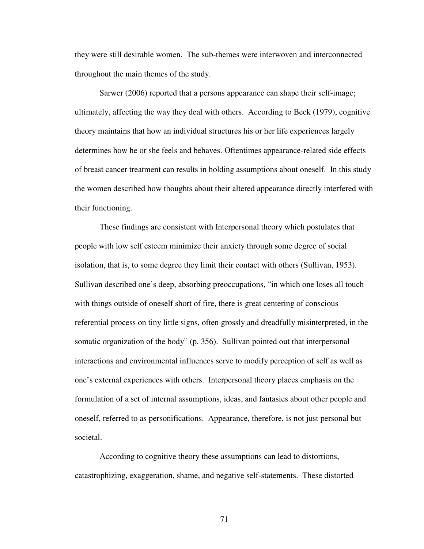they were still desirable women. The sub-themes were interwoven and interconnected throughout the main themes of the study.

Sarwer (2006) reported that a persons appearance can shape their self-image; ultimately, affecting the way they deal with others. According to Beck (1979), cognitive theory maintains that how an individual structures his or her life experiences largely determines how he or she feels and behaves. Oftentimes appearance-related side effects of breast cancer treatment can results in holding assumptions about oneself. In this study the women described how thoughts about their altered appearance directly interfered with their functioning.

These findings are consistent with Interpersonal theory which postulates that people with low self esteem minimize their anxiety through some degree of social isolation, that is, to some degree they limit their contact with others (Sullivan, 1953). Sullivan described one's deep, absorbing preoccupations, "in which one loses all touch with things outside of oneself short of fire, there is great centering of conscious referential process on tiny little signs, often grossly and dreadfully misinterpreted, in the somatic organization of the body" (p. 356). Sullivan pointed out that interpersonal interactions and environmental influences serve to modify perception of self as well as one's external experiences with others. Interpersonal theory places emphasis on the formulation of a set of internal assumptions, ideas, and fantasies about other people and oneself, referred to as personifications. Appearance, therefore, is not just personal but societal.

According to cognitive theory these assumptions can lead to distortions, catastrophizing, exaggeration, shame, and negative self-statements. These distorted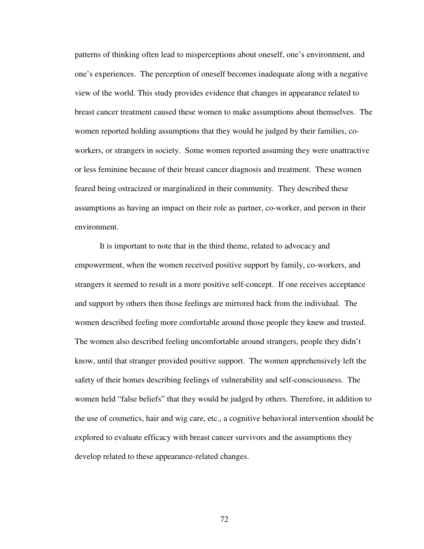patterns of thinking often lead to misperceptions about oneself, one's environment, and one's experiences. The perception of oneself becomes inadequate along with a negative view of the world. This study provides evidence that changes in appearance related to breast cancer treatment caused these women to make assumptions about themselves. The women reported holding assumptions that they would be judged by their families, coworkers, or strangers in society. Some women reported assuming they were unattractive or less feminine because of their breast cancer diagnosis and treatment. These women feared being ostracized or marginalized in their community. They described these assumptions as having an impact on their role as partner, co-worker, and person in their environment.

It is important to note that in the third theme, related to advocacy and empowerment, when the women received positive support by family, co-workers, and strangers it seemed to result in a more positive self-concept. If one receives acceptance and support by others then those feelings are mirrored back from the individual. The women described feeling more comfortable around those people they knew and trusted. The women also described feeling uncomfortable around strangers, people they didn't know, until that stranger provided positive support. The women apprehensively left the safety of their homes describing feelings of vulnerability and self-consciousness. The women held "false beliefs" that they would be judged by others. Therefore, in addition to the use of cosmetics, hair and wig care, etc., a cognitive behavioral intervention should be explored to evaluate efficacy with breast cancer survivors and the assumptions they develop related to these appearance-related changes.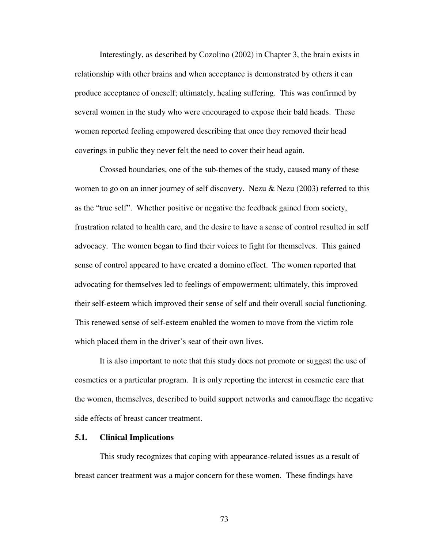Interestingly, as described by Cozolino (2002) in Chapter 3, the brain exists in relationship with other brains and when acceptance is demonstrated by others it can produce acceptance of oneself; ultimately, healing suffering. This was confirmed by several women in the study who were encouraged to expose their bald heads. These women reported feeling empowered describing that once they removed their head coverings in public they never felt the need to cover their head again.

Crossed boundaries, one of the sub-themes of the study, caused many of these women to go on an inner journey of self discovery. Nezu  $\&$  Nezu (2003) referred to this as the "true self". Whether positive or negative the feedback gained from society, frustration related to health care, and the desire to have a sense of control resulted in self advocacy. The women began to find their voices to fight for themselves. This gained sense of control appeared to have created a domino effect. The women reported that advocating for themselves led to feelings of empowerment; ultimately, this improved their self-esteem which improved their sense of self and their overall social functioning. This renewed sense of self-esteem enabled the women to move from the victim role which placed them in the driver's seat of their own lives.

It is also important to note that this study does not promote or suggest the use of cosmetics or a particular program. It is only reporting the interest in cosmetic care that the women, themselves, described to build support networks and camouflage the negative side effects of breast cancer treatment.

#### **5.1. Clinical Implications**

This study recognizes that coping with appearance-related issues as a result of breast cancer treatment was a major concern for these women. These findings have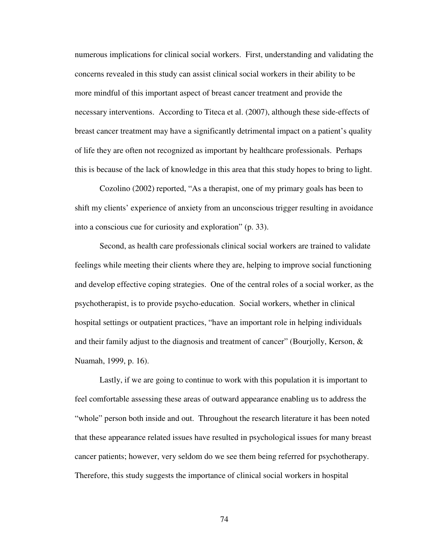numerous implications for clinical social workers. First, understanding and validating the concerns revealed in this study can assist clinical social workers in their ability to be more mindful of this important aspect of breast cancer treatment and provide the necessary interventions. According to Titeca et al. (2007), although these side-effects of breast cancer treatment may have a significantly detrimental impact on a patient's quality of life they are often not recognized as important by healthcare professionals. Perhaps this is because of the lack of knowledge in this area that this study hopes to bring to light.

Cozolino (2002) reported, "As a therapist, one of my primary goals has been to shift my clients' experience of anxiety from an unconscious trigger resulting in avoidance into a conscious cue for curiosity and exploration" (p. 33).

Second, as health care professionals clinical social workers are trained to validate feelings while meeting their clients where they are, helping to improve social functioning and develop effective coping strategies. One of the central roles of a social worker, as the psychotherapist, is to provide psycho-education. Social workers, whether in clinical hospital settings or outpatient practices, "have an important role in helping individuals and their family adjust to the diagnosis and treatment of cancer" (Bourjolly, Kerson,  $\&$ Nuamah, 1999, p. 16).

Lastly, if we are going to continue to work with this population it is important to feel comfortable assessing these areas of outward appearance enabling us to address the "whole" person both inside and out. Throughout the research literature it has been noted that these appearance related issues have resulted in psychological issues for many breast cancer patients; however, very seldom do we see them being referred for psychotherapy. Therefore, this study suggests the importance of clinical social workers in hospital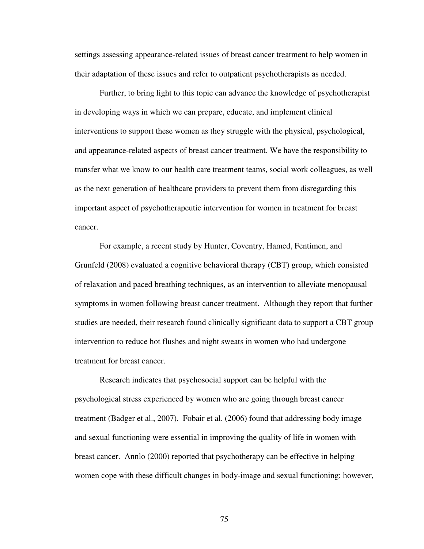settings assessing appearance-related issues of breast cancer treatment to help women in their adaptation of these issues and refer to outpatient psychotherapists as needed.

Further, to bring light to this topic can advance the knowledge of psychotherapist in developing ways in which we can prepare, educate, and implement clinical interventions to support these women as they struggle with the physical, psychological, and appearance-related aspects of breast cancer treatment. We have the responsibility to transfer what we know to our health care treatment teams, social work colleagues, as well as the next generation of healthcare providers to prevent them from disregarding this important aspect of psychotherapeutic intervention for women in treatment for breast cancer.

For example, a recent study by Hunter, Coventry, Hamed, Fentimen, and Grunfeld (2008) evaluated a cognitive behavioral therapy (CBT) group, which consisted of relaxation and paced breathing techniques, as an intervention to alleviate menopausal symptoms in women following breast cancer treatment. Although they report that further studies are needed, their research found clinically significant data to support a CBT group intervention to reduce hot flushes and night sweats in women who had undergone treatment for breast cancer.

Research indicates that psychosocial support can be helpful with the psychological stress experienced by women who are going through breast cancer treatment (Badger et al., 2007). Fobair et al. (2006) found that addressing body image and sexual functioning were essential in improving the quality of life in women with breast cancer. Annlo (2000) reported that psychotherapy can be effective in helping women cope with these difficult changes in body-image and sexual functioning; however,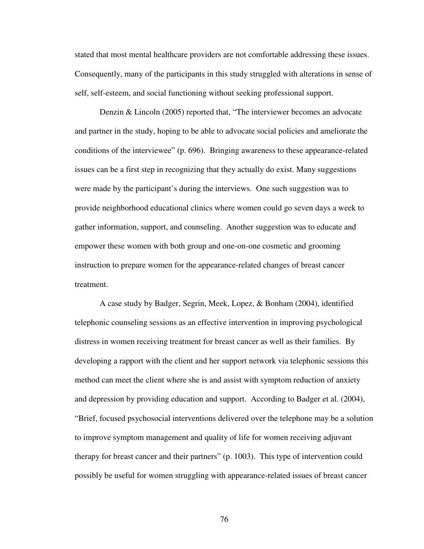stated that most mental healthcare providers are not comfortable addressing these issues. Consequently, many of the participants in this study struggled with alterations in sense of self, self-esteem, and social functioning without seeking professional support.

Denzin & Lincoln (2005) reported that, "The interviewer becomes an advocate and partner in the study, hoping to be able to advocate social policies and ameliorate the conditions of the interviewee" (p. 696). Bringing awareness to these appearance-related issues can be a first step in recognizing that they actually do exist. Many suggestions were made by the participant's during the interviews. One such suggestion was to provide neighborhood educational clinics where women could go seven days a week to gather information, support, and counseling. Another suggestion was to educate and empower these women with both group and one-on-one cosmetic and grooming instruction to prepare women for the appearance-related changes of breast cancer treatment.

A case study by Badger, Segrin, Meek, Lopez, & Bonham (2004), identified telephonic counseling sessions as an effective intervention in improving psychological distress in women receiving treatment for breast cancer as well as their families. By developing a rapport with the client and her support network via telephonic sessions this method can meet the client where she is and assist with symptom reduction of anxiety and depression by providing education and support. According to Badger et al. (2004), "Brief, focused psychosocial interventions delivered over the telephone may be a solution to improve symptom management and quality of life for women receiving adjuvant therapy for breast cancer and their partners" (p. 1003). This type of intervention could possibly be useful for women struggling with appearance-related issues of breast cancer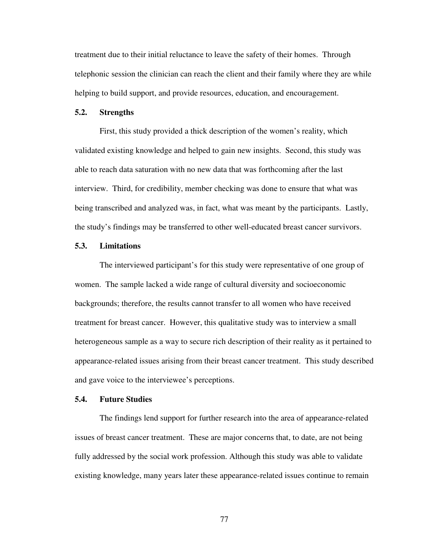treatment due to their initial reluctance to leave the safety of their homes. Through telephonic session the clinician can reach the client and their family where they are while helping to build support, and provide resources, education, and encouragement.

#### **5.2. Strengths**

First, this study provided a thick description of the women's reality, which validated existing knowledge and helped to gain new insights. Second, this study was able to reach data saturation with no new data that was forthcoming after the last interview. Third, for credibility, member checking was done to ensure that what was being transcribed and analyzed was, in fact, what was meant by the participants. Lastly, the study's findings may be transferred to other well-educated breast cancer survivors.

#### **5.3. Limitations**

The interviewed participant's for this study were representative of one group of women. The sample lacked a wide range of cultural diversity and socioeconomic backgrounds; therefore, the results cannot transfer to all women who have received treatment for breast cancer. However, this qualitative study was to interview a small heterogeneous sample as a way to secure rich description of their reality as it pertained to appearance-related issues arising from their breast cancer treatment. This study described and gave voice to the interviewee's perceptions.

#### **5.4. Future Studies**

The findings lend support for further research into the area of appearance-related issues of breast cancer treatment. These are major concerns that, to date, are not being fully addressed by the social work profession. Although this study was able to validate existing knowledge, many years later these appearance-related issues continue to remain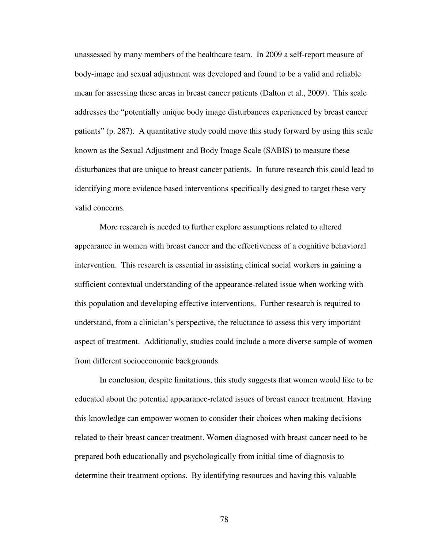unassessed by many members of the healthcare team. In 2009 a self-report measure of body-image and sexual adjustment was developed and found to be a valid and reliable mean for assessing these areas in breast cancer patients (Dalton et al., 2009). This scale addresses the "potentially unique body image disturbances experienced by breast cancer patients" (p. 287). A quantitative study could move this study forward by using this scale known as the Sexual Adjustment and Body Image Scale (SABIS) to measure these disturbances that are unique to breast cancer patients. In future research this could lead to identifying more evidence based interventions specifically designed to target these very valid concerns.

More research is needed to further explore assumptions related to altered appearance in women with breast cancer and the effectiveness of a cognitive behavioral intervention. This research is essential in assisting clinical social workers in gaining a sufficient contextual understanding of the appearance-related issue when working with this population and developing effective interventions. Further research is required to understand, from a clinician's perspective, the reluctance to assess this very important aspect of treatment. Additionally, studies could include a more diverse sample of women from different socioeconomic backgrounds.

In conclusion, despite limitations, this study suggests that women would like to be educated about the potential appearance-related issues of breast cancer treatment. Having this knowledge can empower women to consider their choices when making decisions related to their breast cancer treatment. Women diagnosed with breast cancer need to be prepared both educationally and psychologically from initial time of diagnosis to determine their treatment options. By identifying resources and having this valuable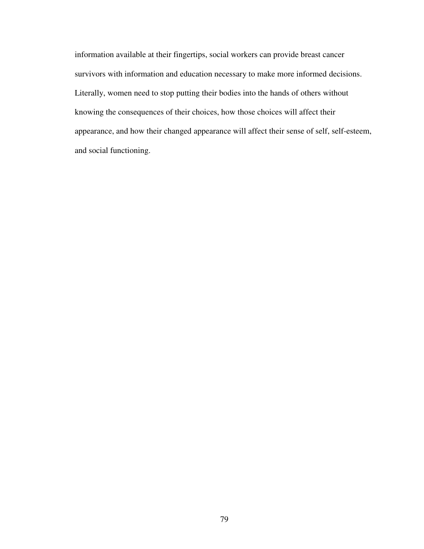information available at their fingertips, social workers can provide breast cancer survivors with information and education necessary to make more informed decisions. Literally, women need to stop putting their bodies into the hands of others without knowing the consequences of their choices, how those choices will affect their appearance, and how their changed appearance will affect their sense of self, self-esteem, and social functioning.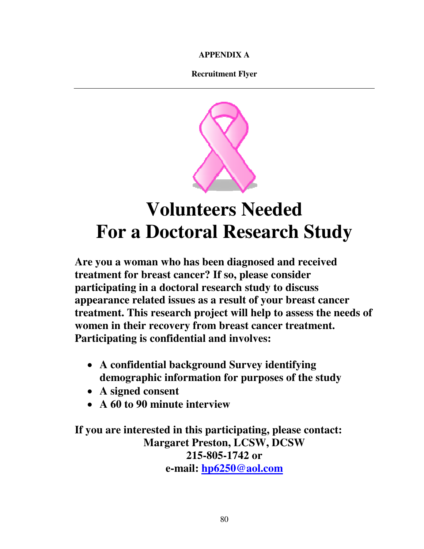**APPENDIX A** 

**Recruitment Flyer** 



# **Volunteers Needed For a Doctoral Research Study**

**Are you a woman who has been diagnosed and received treatment for breast cancer? If so, please consider participating in a doctoral research study to discuss appearance related issues as a result of your breast cancer treatment. This research project will help to assess the needs of women in their recovery from breast cancer treatment. Participating is confidential and involves:** 

- **A confidential background Survey identifying demographic information for purposes of the study**
- **A signed consent**
- **A 60 to 90 minute interview**

**If you are interested in this participating, please contact: Margaret Preston, LCSW, DCSW 215-805-1742 or e-mail: hp6250@aol.com**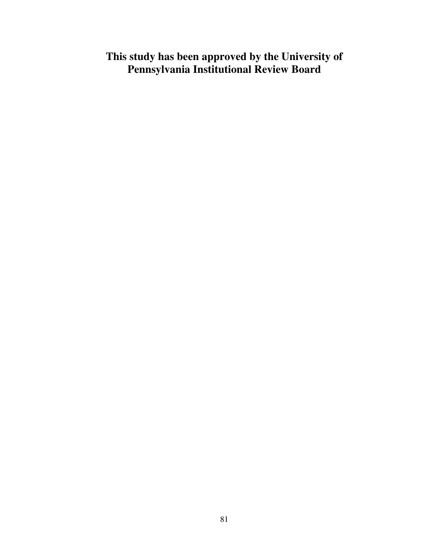# **This study has been approved by the University of Pennsylvania Institutional Review Board**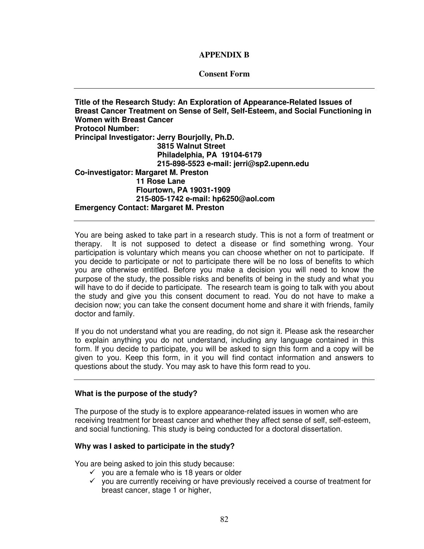## **APPENDIX B**

## **Consent Form**

**Title of the Research Study: An Exploration of Appearance-Related Issues of Breast Cancer Treatment on Sense of Self, Self-Esteem, and Social Functioning in Women with Breast Cancer Protocol Number: Principal Investigator: Jerry Bourjolly, Ph.D. 3815 Walnut Street Philadelphia, PA 19104-6179 215-898-5523 e-mail: jerri@sp2.upenn.edu Co-investigator: Margaret M. Preston 11 Rose Lane Flourtown, PA 19031-1909 215-805-1742 e-mail: hp6250@aol.com Emergency Contact: Margaret M. Preston** 

You are being asked to take part in a research study. This is not a form of treatment or therapy. It is not supposed to detect a disease or find something wrong. Your participation is voluntary which means you can choose whether on not to participate. If you decide to participate or not to participate there will be no loss of benefits to which you are otherwise entitled. Before you make a decision you will need to know the purpose of the study, the possible risks and benefits of being in the study and what you will have to do if decide to participate. The research team is going to talk with you about the study and give you this consent document to read. You do not have to make a decision now; you can take the consent document home and share it with friends, family doctor and family.

If you do not understand what you are reading, do not sign it. Please ask the researcher to explain anything you do not understand, including any language contained in this form. If you decide to participate, you will be asked to sign this form and a copy will be given to you. Keep this form, in it you will find contact information and answers to questions about the study. You may ask to have this form read to you.

## **What is the purpose of the study?**

The purpose of the study is to explore appearance-related issues in women who are receiving treatment for breast cancer and whether they affect sense of self, self-esteem, and social functioning. This study is being conducted for a doctoral dissertation.

## **Why was I asked to participate in the study?**

You are being asked to join this study because:

- $\checkmark$  you are a female who is 18 years or older
- $\checkmark$  you are currently receiving or have previously received a course of treatment for breast cancer, stage 1 or higher,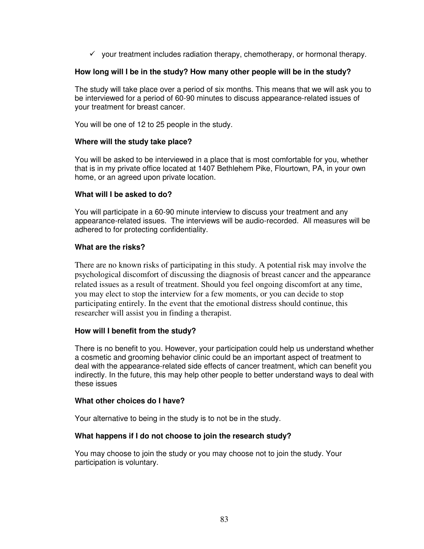$\checkmark$  your treatment includes radiation therapy, chemotherapy, or hormonal therapy.

## **How long will I be in the study? How many other people will be in the study?**

The study will take place over a period of six months. This means that we will ask you to be interviewed for a period of 60-90 minutes to discuss appearance-related issues of your treatment for breast cancer.

You will be one of 12 to 25 people in the study.

## **Where will the study take place?**

You will be asked to be interviewed in a place that is most comfortable for you, whether that is in my private office located at 1407 Bethlehem Pike, Flourtown, PA, in your own home, or an agreed upon private location.

## **What will I be asked to do?**

You will participate in a 60-90 minute interview to discuss your treatment and any appearance-related issues. The interviews will be audio-recorded. All measures will be adhered to for protecting confidentiality.

## **What are the risks?**

There are no known risks of participating in this study. A potential risk may involve the psychological discomfort of discussing the diagnosis of breast cancer and the appearance related issues as a result of treatment. Should you feel ongoing discomfort at any time, you may elect to stop the interview for a few moments, or you can decide to stop participating entirely. In the event that the emotional distress should continue, this researcher will assist you in finding a therapist.

## **How will I benefit from the study?**

There is no benefit to you. However, your participation could help us understand whether a cosmetic and grooming behavior clinic could be an important aspect of treatment to deal with the appearance-related side effects of cancer treatment, which can benefit you indirectly. In the future, this may help other people to better understand ways to deal with these issues

## **What other choices do I have?**

Your alternative to being in the study is to not be in the study.

## **What happens if I do not choose to join the research study?**

You may choose to join the study or you may choose not to join the study. Your participation is voluntary.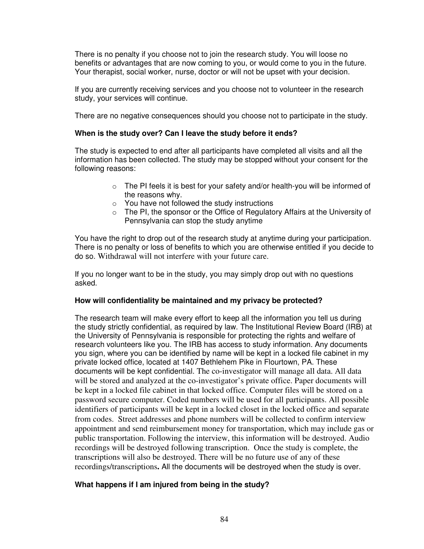There is no penalty if you choose not to join the research study. You will loose no benefits or advantages that are now coming to you, or would come to you in the future. Your therapist, social worker, nurse, doctor or will not be upset with your decision.

If you are currently receiving services and you choose not to volunteer in the research study, your services will continue.

There are no negative consequences should you choose not to participate in the study.

## **When is the study over? Can I leave the study before it ends?**

The study is expected to end after all participants have completed all visits and all the information has been collected. The study may be stopped without your consent for the following reasons:

- $\circ$  The PI feels it is best for your safety and/or health-you will be informed of the reasons why.
- o You have not followed the study instructions
- $\circ$  The PI, the sponsor or the Office of Regulatory Affairs at the University of Pennsylvania can stop the study anytime

You have the right to drop out of the research study at anytime during your participation. There is no penalty or loss of benefits to which you are otherwise entitled if you decide to do so. Withdrawal will not interfere with your future care.

If you no longer want to be in the study, you may simply drop out with no questions asked.

## **How will confidentiality be maintained and my privacy be protected?**

The research team will make every effort to keep all the information you tell us during the study strictly confidential, as required by law. The Institutional Review Board (IRB) at the University of Pennsylvania is responsible for protecting the rights and welfare of research volunteers like you. The IRB has access to study information. Any documents you sign, where you can be identified by name will be kept in a locked file cabinet in my private locked office, located at 1407 Bethlehem Pike in Flourtown, PA. These documents will be kept confidential. The co-investigator will manage all data. All data will be stored and analyzed at the co-investigator's private office. Paper documents will be kept in a locked file cabinet in that locked office. Computer files will be stored on a password secure computer. Coded numbers will be used for all participants. All possible identifiers of participants will be kept in a locked closet in the locked office and separate from codes. Street addresses and phone numbers will be collected to confirm interview appointment and send reimbursement money for transportation, which may include gas or public transportation. Following the interview, this information will be destroyed. Audio recordings will be destroyed following transcription. Once the study is complete, the transcriptions will also be destroyed. There will be no future use of any of these recordings/transcriptions**.** All the documents will be destroyed when the study is over.

## **What happens if I am injured from being in the study?**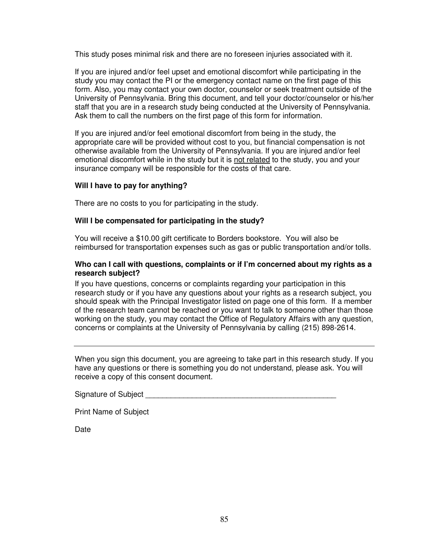This study poses minimal risk and there are no foreseen injuries associated with it.

If you are injured and/or feel upset and emotional discomfort while participating in the study you may contact the PI or the emergency contact name on the first page of this form. Also, you may contact your own doctor, counselor or seek treatment outside of the University of Pennsylvania. Bring this document, and tell your doctor/counselor or his/her staff that you are in a research study being conducted at the University of Pennsylvania. Ask them to call the numbers on the first page of this form for information.

If you are injured and/or feel emotional discomfort from being in the study, the appropriate care will be provided without cost to you, but financial compensation is not otherwise available from the University of Pennsylvania. If you are injured and/or feel emotional discomfort while in the study but it is not related to the study, you and your insurance company will be responsible for the costs of that care.

## **Will I have to pay for anything?**

There are no costs to you for participating in the study.

## **Will I be compensated for participating in the study?**

You will receive a \$10.00 gift certificate to Borders bookstore. You will also be reimbursed for transportation expenses such as gas or public transportation and/or tolls.

## **Who can I call with questions, complaints or if I'm concerned about my rights as a research subject?**

If you have questions, concerns or complaints regarding your participation in this research study or if you have any questions about your rights as a research subject, you should speak with the Principal Investigator listed on page one of this form. If a member of the research team cannot be reached or you want to talk to someone other than those working on the study, you may contact the Office of Regulatory Affairs with any question, concerns or complaints at the University of Pennsylvania by calling (215) 898-2614.

When you sign this document, you are agreeing to take part in this research study. If you have any questions or there is something you do not understand, please ask. You will receive a copy of this consent document.

Signature of Subject **Example 20** 

Print Name of Subject

Date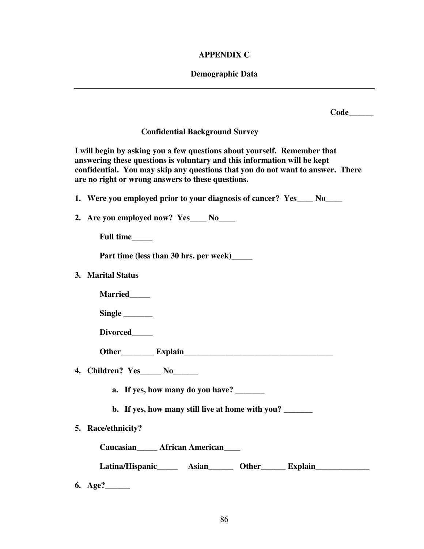## **APPENDIX C**

# **Demographic Data**

|                                                                                                                                                                                                                                                                                             | Code |
|---------------------------------------------------------------------------------------------------------------------------------------------------------------------------------------------------------------------------------------------------------------------------------------------|------|
| <b>Confidential Background Survey</b>                                                                                                                                                                                                                                                       |      |
| I will begin by asking you a few questions about yourself. Remember that<br>answering these questions is voluntary and this information will be kept<br>confidential. You may skip any questions that you do not want to answer. There<br>are no right or wrong answers to these questions. |      |
| 1. Were you employed prior to your diagnosis of cancer? Yes No                                                                                                                                                                                                                              |      |
| 2. Are you employed now? Yes____ No____                                                                                                                                                                                                                                                     |      |
| Full time                                                                                                                                                                                                                                                                                   |      |
| Part time (less than 30 hrs. per week)_______                                                                                                                                                                                                                                               |      |
| 3. Marital Status                                                                                                                                                                                                                                                                           |      |
| Married_____                                                                                                                                                                                                                                                                                |      |
|                                                                                                                                                                                                                                                                                             |      |
| Divorced______                                                                                                                                                                                                                                                                              |      |
|                                                                                                                                                                                                                                                                                             |      |
| 4. Children? Yes_____ No______                                                                                                                                                                                                                                                              |      |
| a. If yes, how many do you have?                                                                                                                                                                                                                                                            |      |
| b. If yes, how many still live at home with you?                                                                                                                                                                                                                                            |      |
| 5. Race/ethnicity?                                                                                                                                                                                                                                                                          |      |
| Caucasian<br><u> </u> <b>African American</b>                                                                                                                                                                                                                                               |      |
| Latina/Hispanic_______ Asian________ Other________ Explain______________________                                                                                                                                                                                                            |      |
|                                                                                                                                                                                                                                                                                             |      |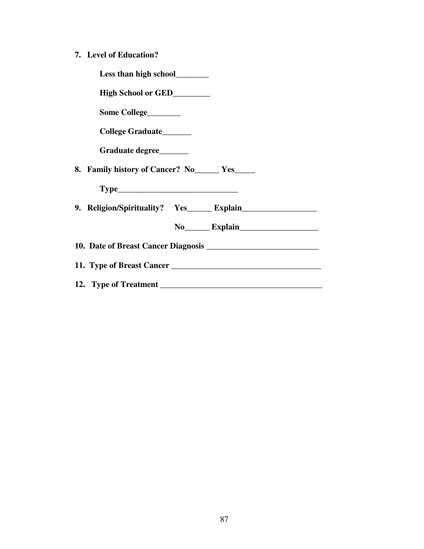**7. Level of Education?** 

| Less than high school________       |                       |
|-------------------------------------|-----------------------|
| High School or GED________          |                       |
| Some College________                |                       |
| College Graduate______              |                       |
| Graduate degree                     |                       |
| 8. Family history of Cancer? No Yes |                       |
|                                     |                       |
|                                     |                       |
|                                     | No Explain            |
|                                     |                       |
|                                     |                       |
|                                     | 12. Type of Treatment |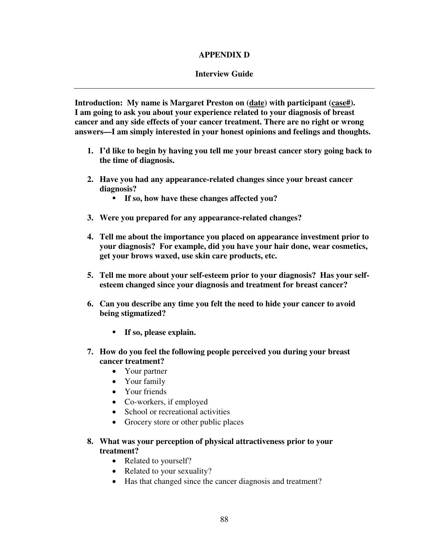## **APPENDIX D**

## **Interview Guide**

**Introduction: My name is Margaret Preston on (date) with participant (case#). I am going to ask you about your experience related to your diagnosis of breast cancer and any side effects of your cancer treatment. There are no right or wrong answers—I am simply interested in your honest opinions and feelings and thoughts.** 

- **1. I'd like to begin by having you tell me your breast cancer story going back to the time of diagnosis.**
- **2. Have you had any appearance-related changes since your breast cancer diagnosis?** 
	- **If so, how have these changes affected you?**
- **3. Were you prepared for any appearance-related changes?**
- **4. Tell me about the importance you placed on appearance investment prior to your diagnosis? For example, did you have your hair done, wear cosmetics, get your brows waxed, use skin care products, etc.**
- **5. Tell me more about your self-esteem prior to your diagnosis? Has your selfesteem changed since your diagnosis and treatment for breast cancer?**
- **6. Can you describe any time you felt the need to hide your cancer to avoid being stigmatized?** 
	- **If so, please explain.**
- **7. How do you feel the following people perceived you during your breast cancer treatment?** 
	- Your partner
	- Your family
	- Your friends
	- Co-workers, if employed
	- School or recreational activities
	- Grocery store or other public places
- **8. What was your perception of physical attractiveness prior to your treatment?** 
	- Related to yourself?
	- Related to your sexuality?
	- Has that changed since the cancer diagnosis and treatment?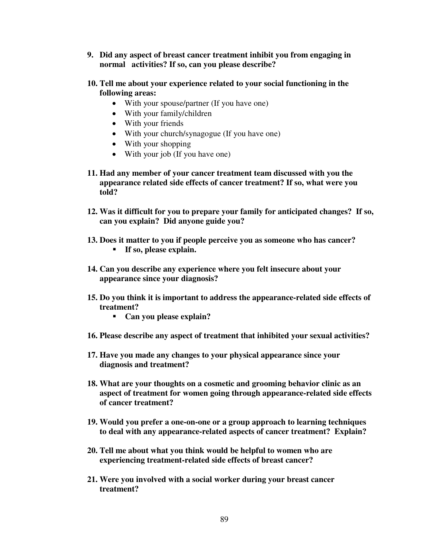- **9. Did any aspect of breast cancer treatment inhibit you from engaging in normal activities? If so, can you please describe?**
- **10. Tell me about your experience related to your social functioning in the following areas:** 
	- With your spouse/partner (If you have one)
	- With your family/children
	- With your friends
	- With your church/synagogue (If you have one)
	- With your shopping
	- With your job (If you have one)
- **11. Had any member of your cancer treatment team discussed with you the appearance related side effects of cancer treatment? If so, what were you told?**
- **12. Was it difficult for you to prepare your family for anticipated changes? If so, can you explain? Did anyone guide you?**
- **13. Does it matter to you if people perceive you as someone who has cancer?**  - **If so, please explain.**
- **14. Can you describe any experience where you felt insecure about your appearance since your diagnosis?**
- **15. Do you think it is important to address the appearance-related side effects of treatment?** 
	- **Can you please explain?**
- **16. Please describe any aspect of treatment that inhibited your sexual activities?**
- **17. Have you made any changes to your physical appearance since your diagnosis and treatment?**
- **18. What are your thoughts on a cosmetic and grooming behavior clinic as an aspect of treatment for women going through appearance-related side effects of cancer treatment?**
- **19. Would you prefer a one-on-one or a group approach to learning techniques to deal with any appearance-related aspects of cancer treatment? Explain?**
- **20. Tell me about what you think would be helpful to women who are experiencing treatment-related side effects of breast cancer?**
- **21. Were you involved with a social worker during your breast cancer treatment?**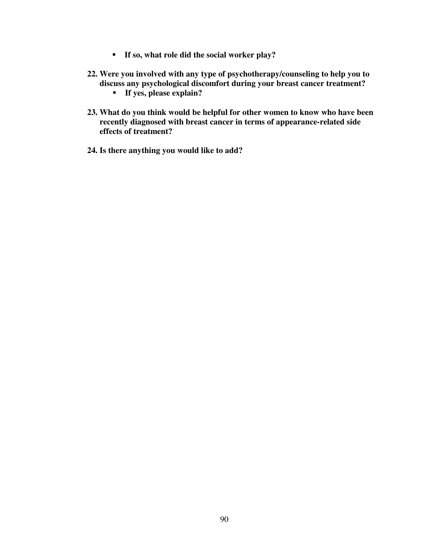- **If so, what role did the social worker play?**
- **22. Were you involved with any type of psychotherapy/counseling to help you to discuss any psychological discomfort during your breast cancer treatment?** 
	- **If yes, please explain?**
- **23. What do you think would be helpful for other women to know who have been recently diagnosed with breast cancer in terms of appearance-related side effects of treatment?**
- **24. Is there anything you would like to add?**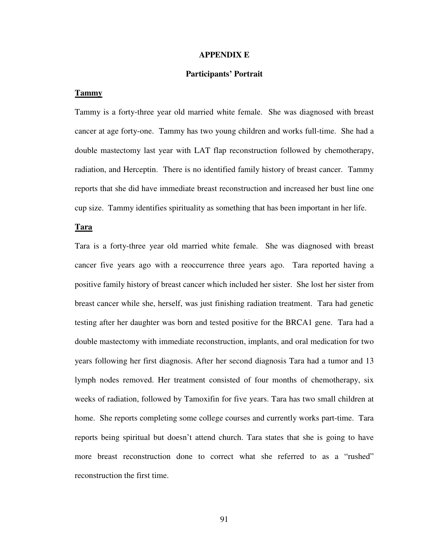#### **APPENDIX E**

#### **Participants' Portrait**

#### **Tammy**

Tammy is a forty-three year old married white female. She was diagnosed with breast cancer at age forty-one. Tammy has two young children and works full-time. She had a double mastectomy last year with LAT flap reconstruction followed by chemotherapy, radiation, and Herceptin. There is no identified family history of breast cancer. Tammy reports that she did have immediate breast reconstruction and increased her bust line one cup size. Tammy identifies spirituality as something that has been important in her life.

#### **Tara**

Tara is a forty-three year old married white female. She was diagnosed with breast cancer five years ago with a reoccurrence three years ago. Tara reported having a positive family history of breast cancer which included her sister. She lost her sister from breast cancer while she, herself, was just finishing radiation treatment. Tara had genetic testing after her daughter was born and tested positive for the BRCA1 gene. Tara had a double mastectomy with immediate reconstruction, implants, and oral medication for two years following her first diagnosis. After her second diagnosis Tara had a tumor and 13 lymph nodes removed. Her treatment consisted of four months of chemotherapy, six weeks of radiation, followed by Tamoxifin for five years. Tara has two small children at home. She reports completing some college courses and currently works part-time. Tara reports being spiritual but doesn't attend church. Tara states that she is going to have more breast reconstruction done to correct what she referred to as a "rushed" reconstruction the first time.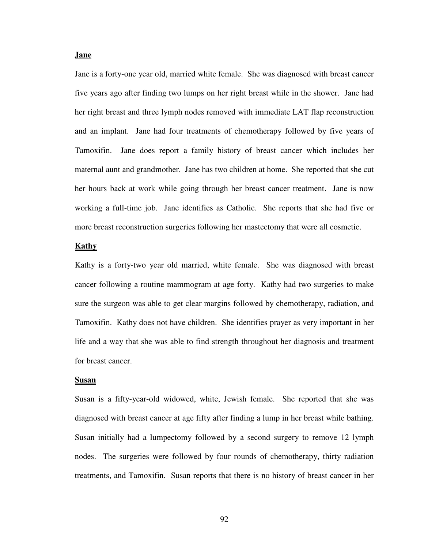#### **Jane**

Jane is a forty-one year old, married white female. She was diagnosed with breast cancer five years ago after finding two lumps on her right breast while in the shower. Jane had her right breast and three lymph nodes removed with immediate LAT flap reconstruction and an implant. Jane had four treatments of chemotherapy followed by five years of Tamoxifin. Jane does report a family history of breast cancer which includes her maternal aunt and grandmother. Jane has two children at home. She reported that she cut her hours back at work while going through her breast cancer treatment. Jane is now working a full-time job. Jane identifies as Catholic. She reports that she had five or more breast reconstruction surgeries following her mastectomy that were all cosmetic.

#### **Kathy**

Kathy is a forty-two year old married, white female. She was diagnosed with breast cancer following a routine mammogram at age forty. Kathy had two surgeries to make sure the surgeon was able to get clear margins followed by chemotherapy, radiation, and Tamoxifin. Kathy does not have children. She identifies prayer as very important in her life and a way that she was able to find strength throughout her diagnosis and treatment for breast cancer.

#### **Susan**

Susan is a fifty-year-old widowed, white, Jewish female. She reported that she was diagnosed with breast cancer at age fifty after finding a lump in her breast while bathing. Susan initially had a lumpectomy followed by a second surgery to remove 12 lymph nodes. The surgeries were followed by four rounds of chemotherapy, thirty radiation treatments, and Tamoxifin. Susan reports that there is no history of breast cancer in her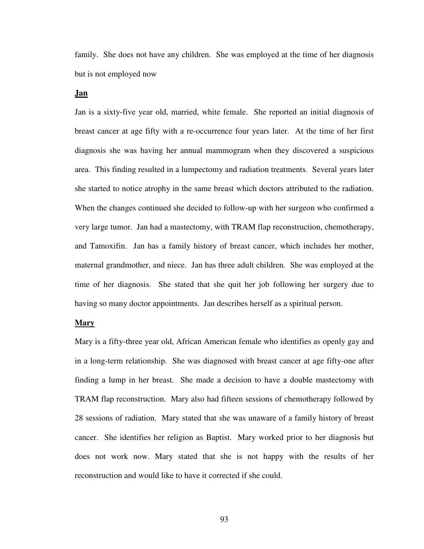family. She does not have any children. She was employed at the time of her diagnosis but is not employed now

## **Jan**

Jan is a sixty-five year old, married, white female. She reported an initial diagnosis of breast cancer at age fifty with a re-occurrence four years later. At the time of her first diagnosis she was having her annual mammogram when they discovered a suspicious area. This finding resulted in a lumpectomy and radiation treatments. Several years later she started to notice atrophy in the same breast which doctors attributed to the radiation. When the changes continued she decided to follow-up with her surgeon who confirmed a very large tumor. Jan had a mastectomy, with TRAM flap reconstruction, chemotherapy, and Tamoxifin. Jan has a family history of breast cancer, which includes her mother, maternal grandmother, and niece. Jan has three adult children. She was employed at the time of her diagnosis. She stated that she quit her job following her surgery due to having so many doctor appointments. Jan describes herself as a spiritual person.

#### **Mary**

Mary is a fifty-three year old, African American female who identifies as openly gay and in a long-term relationship. She was diagnosed with breast cancer at age fifty-one after finding a lump in her breast. She made a decision to have a double mastectomy with TRAM flap reconstruction. Mary also had fifteen sessions of chemotherapy followed by 28 sessions of radiation. Mary stated that she was unaware of a family history of breast cancer. She identifies her religion as Baptist. Mary worked prior to her diagnosis but does not work now. Mary stated that she is not happy with the results of her reconstruction and would like to have it corrected if she could.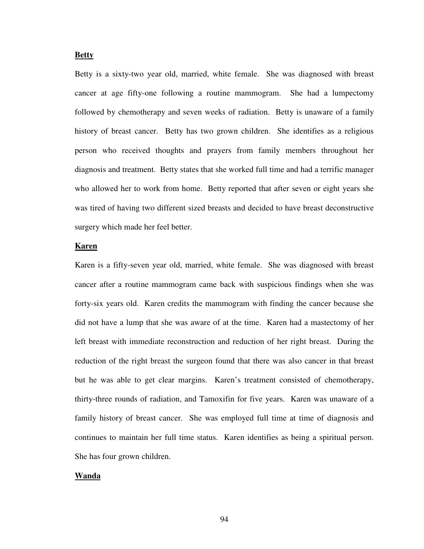#### **Betty**

Betty is a sixty-two year old, married, white female. She was diagnosed with breast cancer at age fifty-one following a routine mammogram. She had a lumpectomy followed by chemotherapy and seven weeks of radiation. Betty is unaware of a family history of breast cancer. Betty has two grown children. She identifies as a religious person who received thoughts and prayers from family members throughout her diagnosis and treatment. Betty states that she worked full time and had a terrific manager who allowed her to work from home. Betty reported that after seven or eight years she was tired of having two different sized breasts and decided to have breast deconstructive surgery which made her feel better.

#### **Karen**

Karen is a fifty-seven year old, married, white female. She was diagnosed with breast cancer after a routine mammogram came back with suspicious findings when she was forty-six years old. Karen credits the mammogram with finding the cancer because she did not have a lump that she was aware of at the time. Karen had a mastectomy of her left breast with immediate reconstruction and reduction of her right breast. During the reduction of the right breast the surgeon found that there was also cancer in that breast but he was able to get clear margins. Karen's treatment consisted of chemotherapy, thirty-three rounds of radiation, and Tamoxifin for five years. Karen was unaware of a family history of breast cancer. She was employed full time at time of diagnosis and continues to maintain her full time status. Karen identifies as being a spiritual person. She has four grown children.

#### **Wanda**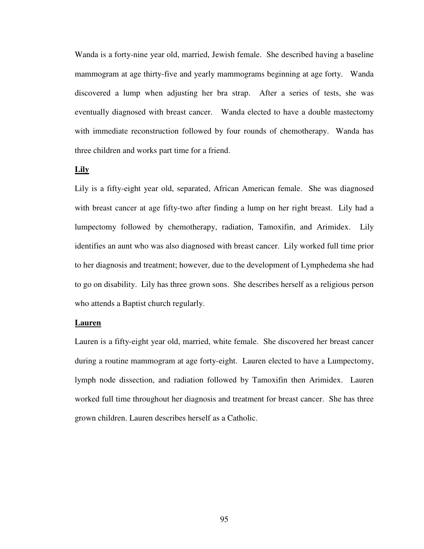Wanda is a forty-nine year old, married, Jewish female. She described having a baseline mammogram at age thirty-five and yearly mammograms beginning at age forty. Wanda discovered a lump when adjusting her bra strap. After a series of tests, she was eventually diagnosed with breast cancer. Wanda elected to have a double mastectomy with immediate reconstruction followed by four rounds of chemotherapy. Wanda has three children and works part time for a friend.

## **Lily**

Lily is a fifty-eight year old, separated, African American female. She was diagnosed with breast cancer at age fifty-two after finding a lump on her right breast. Lily had a lumpectomy followed by chemotherapy, radiation, Tamoxifin, and Arimidex. Lily identifies an aunt who was also diagnosed with breast cancer. Lily worked full time prior to her diagnosis and treatment; however, due to the development of Lymphedema she had to go on disability. Lily has three grown sons. She describes herself as a religious person who attends a Baptist church regularly.

#### **Lauren**

Lauren is a fifty-eight year old, married, white female. She discovered her breast cancer during a routine mammogram at age forty-eight. Lauren elected to have a Lumpectomy, lymph node dissection, and radiation followed by Tamoxifin then Arimidex. Lauren worked full time throughout her diagnosis and treatment for breast cancer. She has three grown children. Lauren describes herself as a Catholic.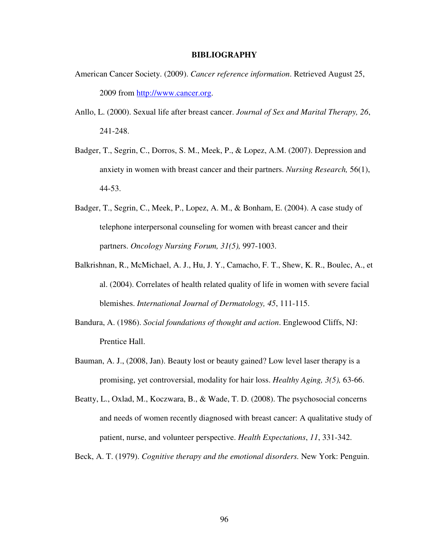#### **BIBLIOGRAPHY**

- American Cancer Society. (2009). *Cancer reference information*. Retrieved August 25, 2009 from http://www.cancer.org.
- Anllo, L. (2000). Sexual life after breast cancer. *Journal of Sex and Marital Therapy, 26*, 241-248.
- Badger, T., Segrin, C., Dorros, S. M., Meek, P., & Lopez, A.M. (2007). Depression and anxiety in women with breast cancer and their partners. *Nursing Research,* 56(1), 44-53.
- Badger, T., Segrin, C., Meek, P., Lopez, A. M., & Bonham, E. (2004). A case study of telephone interpersonal counseling for women with breast cancer and their partners. *Oncology Nursing Forum, 31(5),* 997-1003.
- Balkrishnan, R., McMichael, A. J., Hu, J. Y., Camacho, F. T., Shew, K. R., Boulec, A., et al. (2004). Correlates of health related quality of life in women with severe facial blemishes. *International Journal of Dermatology, 45*, 111-115.
- Bandura, A. (1986). *Social foundations of thought and action*. Englewood Cliffs, NJ: Prentice Hall.
- Bauman, A. J., (2008, Jan). Beauty lost or beauty gained? Low level laser therapy is a promising, yet controversial, modality for hair loss. *Healthy Aging, 3(5),* 63-66.
- Beatty, L., Oxlad, M., Koczwara, B., & Wade, T. D. (2008). The psychosocial concerns and needs of women recently diagnosed with breast cancer: A qualitative study of patient, nurse, and volunteer perspective. *Health Expectations*, *11*, 331-342.
- Beck, A. T. (1979). *Cognitive therapy and the emotional disorders.* New York: Penguin.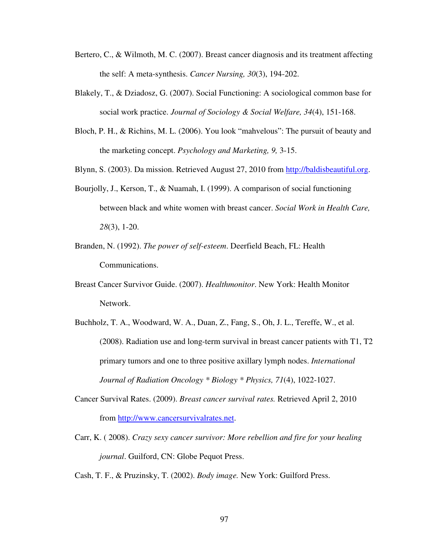- Bertero, C., & Wilmoth, M. C. (2007). Breast cancer diagnosis and its treatment affecting the self: A meta-synthesis. *Cancer Nursing, 30*(3), 194-202.
- Blakely, T., & Dziadosz, G. (2007). Social Functioning: A sociological common base for social work practice. *Journal of Sociology & Social Welfare, 34*(4), 151-168.
- Bloch, P. H., & Richins, M. L. (2006). You look "mahvelous": The pursuit of beauty and the marketing concept. *Psychology and Marketing, 9,* 3-15.
- Blynn, S. (2003). Da mission. Retrieved August 27, 2010 from http://baldisbeautiful.org.
- Bourjolly, J., Kerson, T., & Nuamah, I. (1999). A comparison of social functioning between black and white women with breast cancer. *Social Work in Health Care, 28*(3), 1-20.
- Branden, N. (1992). *The power of self-esteem*. Deerfield Beach, FL: Health Communications.
- Breast Cancer Survivor Guide. (2007). *Healthmonitor*. New York: Health Monitor Network.
- Buchholz, T. A., Woodward, W. A., Duan, Z., Fang, S., Oh, J. L., Tereffe, W., et al. (2008). Radiation use and long-term survival in breast cancer patients with T1, T2 primary tumors and one to three positive axillary lymph nodes. *International Journal of Radiation Oncology \* Biology \* Physics, 71*(4), 1022-1027.
- Cancer Survival Rates. (2009). *Breast cancer survival rates.* Retrieved April 2, 2010 from http://www.cancersurvivalrates.net.
- Carr, K. ( 2008). *Crazy sexy cancer survivor: More rebellion and fire for your healing journal*. Guilford, CN: Globe Pequot Press.

Cash, T. F., & Pruzinsky, T. (2002). *Body image.* New York: Guilford Press.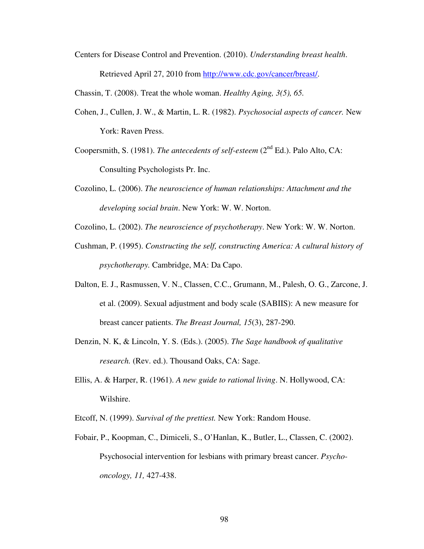Centers for Disease Control and Prevention. (2010). *Understanding breast health*. Retrieved April 27, 2010 from http://www.cdc.gov/cancer/breast/.

Chassin, T. (2008). Treat the whole woman. *Healthy Aging, 3(5), 65.*

- Cohen, J., Cullen, J. W., & Martin, L. R. (1982). *Psychosocial aspects of cancer.* New York: Raven Press.
- Coopersmith, S. (1981). *The antecedents of self-esteem* (2<sup>nd</sup> Ed.). Palo Alto, CA: Consulting Psychologists Pr. Inc.
- Cozolino, L. (2006). *The neuroscience of human relationships: Attachment and the developing social brain*. New York: W. W. Norton.
- Cozolino, L. (2002). *The neuroscience of psychotherapy*. New York: W. W. Norton.
- Cushman, P. (1995). *Constructing the self, constructing America: A cultural history of psychotherapy.* Cambridge, MA: Da Capo.
- Dalton, E. J., Rasmussen, V. N., Classen, C.C., Grumann, M., Palesh, O. G., Zarcone, J. et al. (2009). Sexual adjustment and body scale (SABIIS): A new measure for breast cancer patients. *The Breast Journal, 15*(3), 287-290.
- Denzin, N. K, & Lincoln, Y. S. (Eds.). (2005). *The Sage handbook of qualitative research.* (Rev. ed.). Thousand Oaks, CA: Sage.
- Ellis, A. & Harper, R. (1961). *A new guide to rational living*. N. Hollywood, CA: Wilshire.
- Etcoff, N. (1999). *Survival of the prettiest.* New York: Random House.
- Fobair, P., Koopman, C., Dimiceli, S., O'Hanlan, K., Butler, L., Classen, C. (2002). Psychosocial intervention for lesbians with primary breast cancer. *Psychooncology, 11,* 427-438.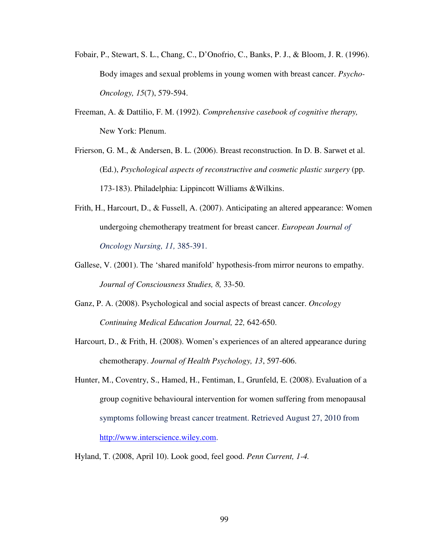- Fobair, P., Stewart, S. L., Chang, C., D'Onofrio, C., Banks, P. J., & Bloom, J. R. (1996). Body images and sexual problems in young women with breast cancer. *Psycho-Oncology, 15*(7), 579-594.
- Freeman, A. & Dattilio, F. M. (1992). *Comprehensive casebook of cognitive therapy,*  New York: Plenum.
- Frierson, G. M., & Andersen, B. L. (2006). Breast reconstruction. In D. B. Sarwet et al. (Ed.), *Psychological aspects of reconstructive and cosmetic plastic surgery* (pp. 173-183). Philadelphia: Lippincott Williams &Wilkins.
- Frith, H., Harcourt, D., & Fussell, A. (2007). Anticipating an altered appearance: Women undergoing chemotherapy treatment for breast cancer. *European Journal of Oncology Nursing, 11,* 385-391.
- Gallese, V. (2001). The 'shared manifold' hypothesis-from mirror neurons to empathy. *Journal of Consciousness Studies, 8,* 33-50.
- Ganz, P. A. (2008). Psychological and social aspects of breast cancer. *Oncology Continuing Medical Education Journal, 22,* 642-650.
- Harcourt, D., & Frith, H. (2008). Women's experiences of an altered appearance during chemotherapy. *Journal of Health Psychology, 13*, 597-606.
- Hunter, M., Coventry, S., Hamed, H., Fentiman, I., Grunfeld, E. (2008). Evaluation of a group cognitive behavioural intervention for women suffering from menopausal symptoms following breast cancer treatment. Retrieved August 27, 2010 from http://www.interscience.wiley.com.
- Hyland, T. (2008, April 10). Look good, feel good. *Penn Current, 1-4.*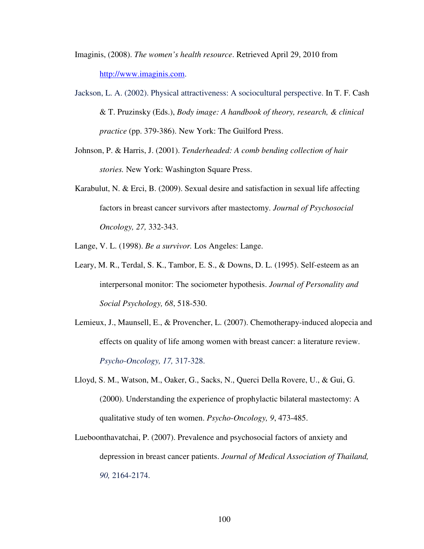Imaginis, (2008). *The women's health resource*. Retrieved April 29, 2010 from http://www.imaginis.com.

- Jackson, L. A. (2002). Physical attractiveness: A sociocultural perspective. In T. F. Cash & T. Pruzinsky (Eds.), *Body image: A handbook of theory, research, & clinical practice* (pp. 379-386). New York: The Guilford Press.
- Johnson, P. & Harris, J. (2001). *Tenderheaded: A comb bending collection of hair stories.* New York: Washington Square Press.
- Karabulut, N. & Erci, B. (2009). Sexual desire and satisfaction in sexual life affecting factors in breast cancer survivors after mastectomy. *Journal of Psychosocial Oncology, 27,* 332-343.

Lange, V. L. (1998). *Be a survivor.* Los Angeles: Lange.

- Leary, M. R., Terdal, S. K., Tambor, E. S., & Downs, D. L. (1995). Self-esteem as an interpersonal monitor: The sociometer hypothesis. *Journal of Personality and Social Psychology, 68*, 518-530.
- Lemieux, J., Maunsell, E., & Provencher, L. (2007). Chemotherapy-induced alopecia and effects on quality of life among women with breast cancer: a literature review. *Psycho-Oncology, 17,* 317-328.
- Lloyd, S. M., Watson, M., Oaker, G., Sacks, N., Querci Della Rovere, U., & Gui, G. (2000). Understanding the experience of prophylactic bilateral mastectomy: A qualitative study of ten women. *Psycho-Oncology, 9*, 473-485.
- Lueboonthavatchai, P. (2007). Prevalence and psychosocial factors of anxiety and depression in breast cancer patients. *Journal of Medical Association of Thailand, 90,* 2164-2174.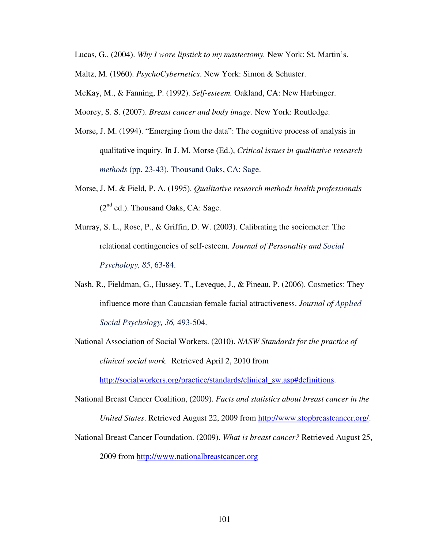Lucas, G., (2004). *Why I wore lipstick to my mastectomy.* New York: St. Martin's.

Maltz, M. (1960). *PsychoCybernetics*. New York: Simon & Schuster.

McKay, M., & Fanning, P. (1992). *Self-esteem.* Oakland, CA: New Harbinger.

Moorey, S. S. (2007). *Breast cancer and body image.* New York: Routledge.

- Morse, J. M. (1994). "Emerging from the data": The cognitive process of analysis in qualitative inquiry. In J. M. Morse (Ed.), *Critical issues in qualitative research methods* (pp. 23-43). Thousand Oaks, CA: Sage.
- Morse, J. M. & Field, P. A. (1995). *Qualitative research methods health professionals*   $(2^{nd}$  ed.). Thousand Oaks, CA: Sage.
- Murray, S. L., Rose, P., & Griffin, D. W. (2003). Calibrating the sociometer: The relational contingencies of self-esteem. *Journal of Personality and Social Psychology, 85*, 63-84.
- Nash, R., Fieldman, G., Hussey, T., Leveque, J., & Pineau, P. (2006). Cosmetics: They influence more than Caucasian female facial attractiveness. *Journal of Applied Social Psychology, 36,* 493-504.
- National Association of Social Workers. (2010). *NASW Standards for the practice of clinical social work.* Retrieved April 2, 2010 from

http://socialworkers.org/practice/standards/clinical\_sw.asp#definitions.

- National Breast Cancer Coalition, (2009). *Facts and statistics about breast cancer in the United States*. Retrieved August 22, 2009 from http://www.stopbreastcancer.org/.
- National Breast Cancer Foundation. (2009). *What is breast cancer?* Retrieved August 25, 2009 from http://www.nationalbreastcancer.org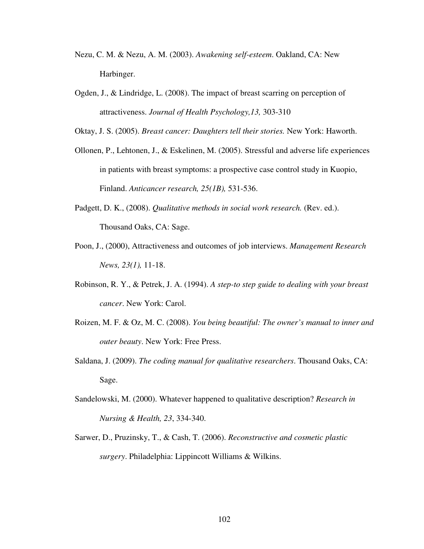- Nezu, C. M. & Nezu, A. M. (2003). *Awakening self-esteem*. Oakland, CA: New Harbinger.
- Ogden, J., & Lindridge, L. (2008). The impact of breast scarring on perception of attractiveness. *Journal of Health Psychology,13,* 303-310

Oktay, J. S. (2005). *Breast cancer: Daughters tell their stories.* New York: Haworth.

- Ollonen, P., Lehtonen, J., & Eskelinen, M. (2005). Stressful and adverse life experiences in patients with breast symptoms: a prospective case control study in Kuopio, Finland. *Anticancer research, 25(1B),* 531-536.
- Padgett, D. K., (2008). *Qualitative methods in social work research.* (Rev. ed.). Thousand Oaks, CA: Sage.
- Poon, J., (2000), Attractiveness and outcomes of job interviews. *Management Research News, 23(1),* 11-18.
- Robinson, R. Y., & Petrek, J. A. (1994). *A step-to step guide to dealing with your breast cancer*. New York: Carol.
- Roizen, M. F. & Oz, M. C. (2008). *You being beautiful: The owner's manual to inner and outer beauty*. New York: Free Press.
- Saldana, J. (2009). *The coding manual for qualitative researchers*. Thousand Oaks, CA: Sage.
- Sandelowski, M. (2000). Whatever happened to qualitative description? *Research in Nursing & Health, 23*, 334-340.
- Sarwer, D., Pruzinsky, T., & Cash, T. (2006). *Reconstructive and cosmetic plastic surgery*. Philadelphia: Lippincott Williams & Wilkins.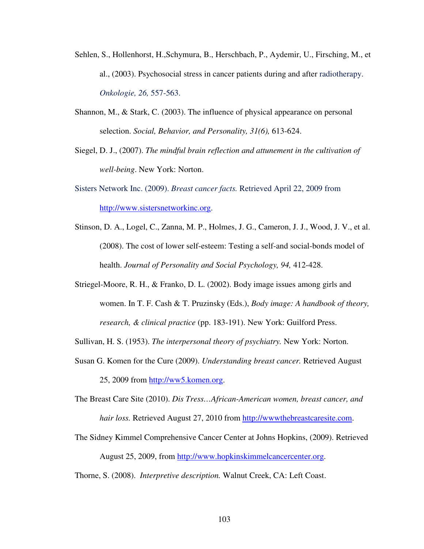- Sehlen, S., Hollenhorst, H.,Schymura, B., Herschbach, P., Aydemir, U., Firsching, M., et al., (2003). Psychosocial stress in cancer patients during and after radiotherapy. *Onkologie, 26,* 557-563.
- Shannon, M., & Stark, C. (2003). The influence of physical appearance on personal selection. *Social, Behavior, and Personality, 31(6),* 613-624.
- Siegel, D. J., (2007). *The mindful brain reflection and attunement in the cultivation of well-being*. New York: Norton.
- Sisters Network Inc. (2009). *Breast cancer facts.* Retrieved April 22, 2009 from http://www.sistersnetworkinc.org.
- Stinson, D. A., Logel, C., Zanna, M. P., Holmes, J. G., Cameron, J. J., Wood, J. V., et al. (2008). The cost of lower self-esteem: Testing a self-and social-bonds model of health. *Journal of Personality and Social Psychology, 94,* 412-428.
- Striegel-Moore, R. H., & Franko, D. L. (2002). Body image issues among girls and women. In T. F. Cash & T. Pruzinsky (Eds.), *Body image: A handbook of theory, research, & clinical practice* (pp. 183-191). New York: Guilford Press.
- Sullivan, H. S. (1953). *The interpersonal theory of psychiatry.* New York: Norton.
- Susan G. Komen for the Cure (2009). *Understanding breast cancer.* Retrieved August 25, 2009 from http://ww5.komen.org.
- The Breast Care Site (2010). *Dis Tress…African-American women, breast cancer, and hair loss.* Retrieved August 27, 2010 from http://wwwthebreastcaresite.com.
- The Sidney Kimmel Comprehensive Cancer Center at Johns Hopkins, (2009). Retrieved August 25, 2009, from http://www.hopkinskimmelcancercenter.org.
- Thorne, S. (2008). *Interpretive description.* Walnut Creek, CA: Left Coast.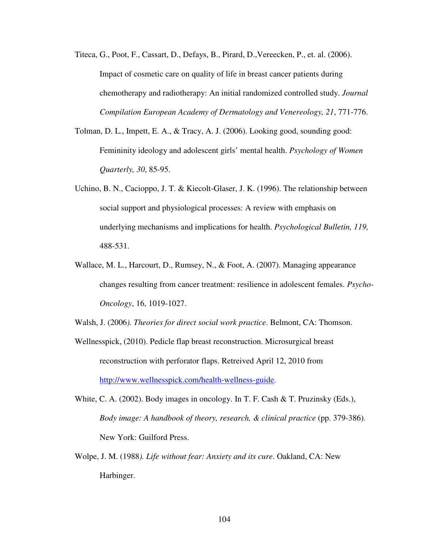- Titeca, G., Poot, F., Cassart, D., Defays, B., Pirard, D.,Vereecken, P., et. al. (2006). Impact of cosmetic care on quality of life in breast cancer patients during chemotherapy and radiotherapy: An initial randomized controlled study. *Journal Compilation European Academy of Dermatology and Venereology, 21*, 771-776.
- Tolman, D. L., Impett, E. A., & Tracy, A. J. (2006). Looking good, sounding good: Femininity ideology and adolescent girls' mental health. *Psychology of Women Quarterly, 30*, 85-95.
- Uchino, B. N., Cacioppo, J. T. & Kiecolt-Glaser, J. K. (1996). The relationship between social support and physiological processes: A review with emphasis on underlying mechanisms and implications for health. *Psychological Bulletin, 119,*  488-531.
- Wallace, M. L., Harcourt, D., Rumsey, N., & Foot, A. (2007). Managing appearance changes resulting from cancer treatment: resilience in adolescent females. *Psycho-Oncology*, 16, 1019-1027.
- Walsh, J. (2006*). Theories for direct social work practice*. Belmont, CA: Thomson.
- Wellnesspick, (2010). Pedicle flap breast reconstruction. Microsurgical breast reconstruction with perforator flaps. Retreived April 12, 2010 from http://www.wellnesspick.com/health-wellness-guide.
- White, C. A. (2002). Body images in oncology. In T. F. Cash & T. Pruzinsky (Eds.), *Body image: A handbook of theory, research, & clinical practice* (pp. 379-386). New York: Guilford Press.
- Wolpe, J. M. (1988*). Life without fear: Anxiety and its cure*. Oakland, CA: New Harbinger.